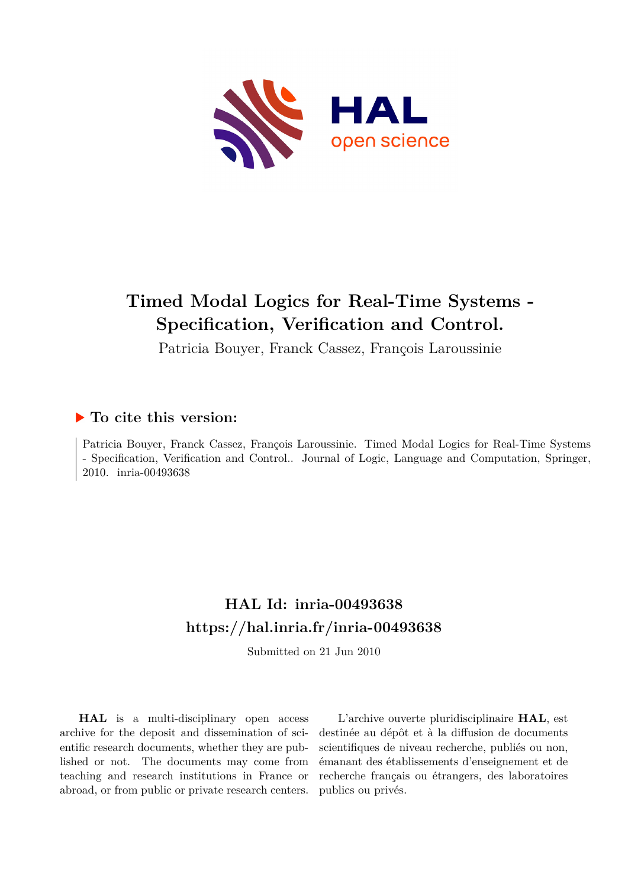

# **Timed Modal Logics for Real-Time Systems - Specification, Verification and Control.**

Patricia Bouyer, Franck Cassez, François Laroussinie

## **To cite this version:**

Patricia Bouyer, Franck Cassez, François Laroussinie. Timed Modal Logics for Real-Time Systems - Specification, Verification and Control.. Journal of Logic, Language and Computation, Springer, 2010. inria-00493638

## **HAL Id: inria-00493638 <https://hal.inria.fr/inria-00493638>**

Submitted on 21 Jun 2010

**HAL** is a multi-disciplinary open access archive for the deposit and dissemination of scientific research documents, whether they are published or not. The documents may come from teaching and research institutions in France or abroad, or from public or private research centers.

L'archive ouverte pluridisciplinaire **HAL**, est destinée au dépôt et à la diffusion de documents scientifiques de niveau recherche, publiés ou non, émanant des établissements d'enseignement et de recherche français ou étrangers, des laboratoires publics ou privés.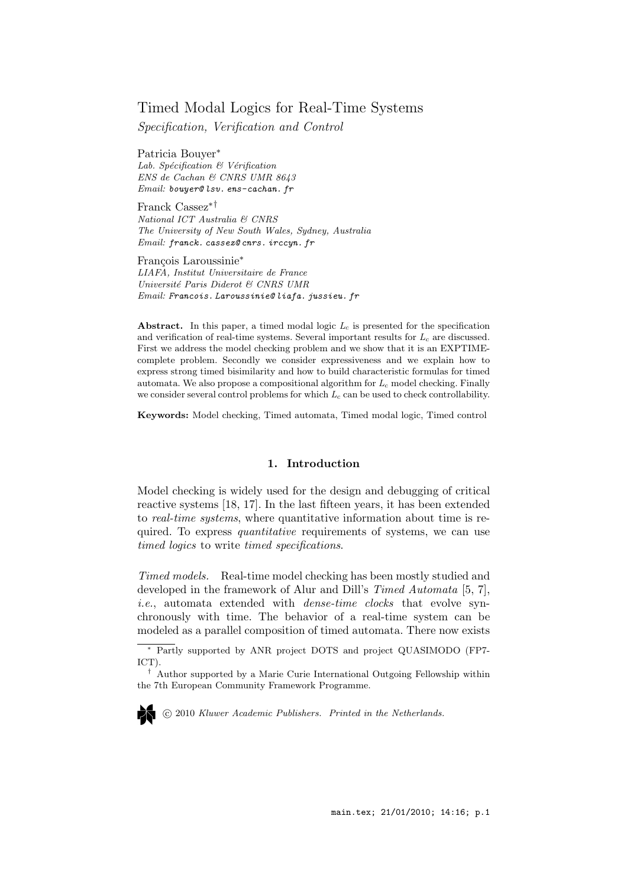### Timed Modal Logics for Real-Time Systems

Specification, Verification and Control

Patricia Bouyer<sup>∗</sup> Lab. Spécification  $\mathcal B$  Vérification ENS de Cachan & CNRS UMR 8643 Email: bouyer@ lsv. ens-cachan. fr

Franck Cassez∗† National ICT Australia & CNRS The University of New South Wales, Sydney, Australia Email: franck. cassez@ cnrs. irccyn. fr

François Laroussinie<sup>∗</sup> LIAFA, Institut Universitaire de France Université Paris Diderot & CNRS UMR Email: Francois. Laroussinie@ liafa. jussieu. fr

Abstract. In this paper, a timed modal logic  $L_c$  is presented for the specification and verification of real-time systems. Several important results for  $L_c$  are discussed. First we address the model checking problem and we show that it is an EXPTIMEcomplete problem. Secondly we consider expressiveness and we explain how to express strong timed bisimilarity and how to build characteristic formulas for timed automata. We also propose a compositional algorithm for  $L_c$  model checking. Finally we consider several control problems for which  $L_c$  can be used to check controllability.

Keywords: Model checking, Timed automata, Timed modal logic, Timed control

### 1. Introduction

Model checking is widely used for the design and debugging of critical reactive systems [18, 17]. In the last fifteen years, it has been extended to real-time systems, where quantitative information about time is required. To express quantitative requirements of systems, we can use timed logics to write timed specifications.

Timed models. Real-time model checking has been mostly studied and developed in the framework of Alur and Dill's Timed Automata [5, 7], i.e., automata extended with *dense-time clocks* that evolve synchronously with time. The behavior of a real-time system can be modeled as a parallel composition of timed automata. There now exists

c 2010 Kluwer Academic Publishers. Printed in the Netherlands.

<sup>∗</sup> Partly supported by ANR project DOTS and project QUASIMODO (FP7- ICT).

<sup>†</sup> Author supported by a Marie Curie International Outgoing Fellowship within the 7th European Community Framework Programme.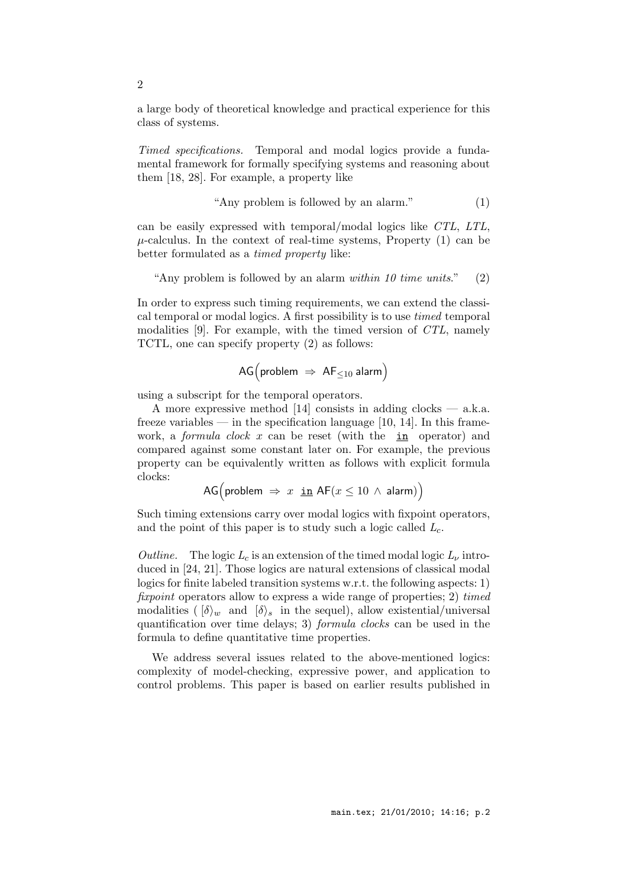a large body of theoretical knowledge and practical experience for this class of systems.

Timed specifications. Temporal and modal logics provide a fundamental framework for formally specifying systems and reasoning about them [18, 28]. For example, a property like

$$
"Any problem is followed by an alarm." \tag{1}
$$

can be easily expressed with temporal/modal logics like CTL, LTL,  $\mu$ -calculus. In the context of real-time systems, Property (1) can be better formulated as a timed property like:

"Any problem is followed by an alarm *within* 10 time units."  $(2)$ 

In order to express such timing requirements, we can extend the classical temporal or modal logics. A first possibility is to use timed temporal modalities [9]. For example, with the timed version of CTL, namely TCTL, one can specify property (2) as follows:

$$
\text{AG}\big(\text{problem } \Rightarrow \text{ AF}_{\leq 10} \text{ alarm}\big)
$$

using a subscript for the temporal operators.

A more expressive method  $[14]$  consists in adding clocks — a.k.a. freeze variables — in the specification language  $[10, 14]$ . In this framework, a *formula clock* x can be reset (with the in operator) and compared against some constant later on. For example, the previous property can be equivalently written as follows with explicit formula clocks:

$$
\mathsf{AG}\big(\text{problem } \Rightarrow x \underline{\text{ in }} \mathsf{AF}(x \le 10 \land \mathsf{alarm})\big)
$$

Such timing extensions carry over modal logics with fixpoint operators, and the point of this paper is to study such a logic called  $L_c$ .

Outline. The logic  $L_c$  is an extension of the timed modal logic  $L_{\nu}$  introduced in [24, 21]. Those logics are natural extensions of classical modal logics for finite labeled transition systems w.r.t. the following aspects: 1) fixpoint operators allow to express a wide range of properties; 2) timed modalities ( $\{\delta\}_w$  and  $\{\delta\}_s$  in the sequel), allow existential/universal quantification over time delays; 3) formula clocks can be used in the formula to define quantitative time properties.

We address several issues related to the above-mentioned logics: complexity of model-checking, expressive power, and application to control problems. This paper is based on earlier results published in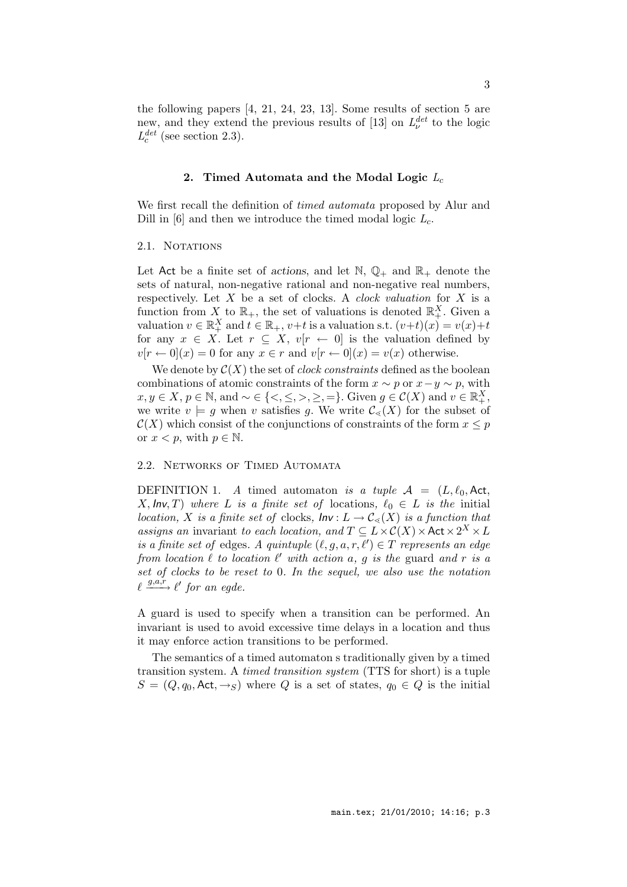the following papers [4, 21, 24, 23, 13]. Some results of section 5 are new, and they extend the previous results of [13] on  $L^{det}_{\nu}$  $v^{\text{det}}$  to the logic  $L_c^{det}$  $c^{det}$  (see section 2.3).

### 2. Timed Automata and the Modal Logic  $L_c$

We first recall the definition of *timed automata* proposed by Alur and Dill in  $[6]$  and then we introduce the timed modal logic  $L_c$ .

### 2.1. NOTATIONS

Let Act be a finite set of actions, and let  $\mathbb{N}, \mathbb{Q}_+$  and  $\mathbb{R}_+$  denote the sets of natural, non-negative rational and non-negative real numbers, respectively. Let  $X$  be a set of clocks. A *clock valuation* for  $X$  is a function from X to  $\mathbb{R}_+$ , the set of valuations is denoted  $\mathbb{R}_+^X$ . Given a valuation  $v \in \mathbb{R}_+^X$  and  $t \in \mathbb{R}_+$ ,  $v+t$  is a valuation s.t.  $(v+t)(x) = v(x)+t$ for any  $x \in X$ . Let  $r \subseteq X$ ,  $v[r \leftarrow 0]$  is the valuation defined by  $v[r \leftarrow 0](x) = 0$  for any  $x \in r$  and  $v[r \leftarrow 0](x) = v(x)$  otherwise.

We denote by  $\mathcal{C}(X)$  the set of *clock constraints* defined as the boolean combinations of atomic constraints of the form  $x \sim p$  or  $x - y \sim p$ , with  $x, y \in X, p \in \mathbb{N}$ , and  $\sim \in \{ \leq, \leq, >, \geq, = \}$ . Given  $g \in \mathcal{C}(X)$  and  $v \in \mathbb{R}^X_+$ , we write  $v \models g$  when v satisfies g. We write  $\mathcal{C}_{\leq}(X)$  for the subset of  $\mathcal{C}(X)$  which consist of the conjunctions of constraints of the form  $x \leq p$ or  $x < p$ , with  $p \in \mathbb{N}$ .

### 2.2. Networks of Timed Automata

DEFINITION 1. A timed automaton is a tuple  $A = (L, \ell_0, Act,$ X, Inv, T) where L is a finite set of locations,  $\ell_0 \in L$  is the initial location, X is a finite set of clocks,  $Inv: L \to C_{\leq}(X)$  is a function that assigns an invariant to each location, and  $T \subseteq L \times C(X) \times \text{Act} \times 2^X \times L$ is a finite set of edges. A quintuple  $(\ell, g, a, r, \ell') \in T$  represents an edge from location  $\ell$  to location  $\ell'$  with action  $a, g$  is the guard and r is a set of clocks to be reset to 0. In the sequel, we also use the notation  $\ell \stackrel{g,a,r}{\longrightarrow} \ell'$  for an egde.

A guard is used to specify when a transition can be performed. An invariant is used to avoid excessive time delays in a location and thus it may enforce action transitions to be performed.

The semantics of a timed automaton s traditionally given by a timed transition system. A timed transition system (TTS for short) is a tuple  $S = (Q, q_0, \text{Act}, \rightarrow_S)$  where Q is a set of states,  $q_0 \in Q$  is the initial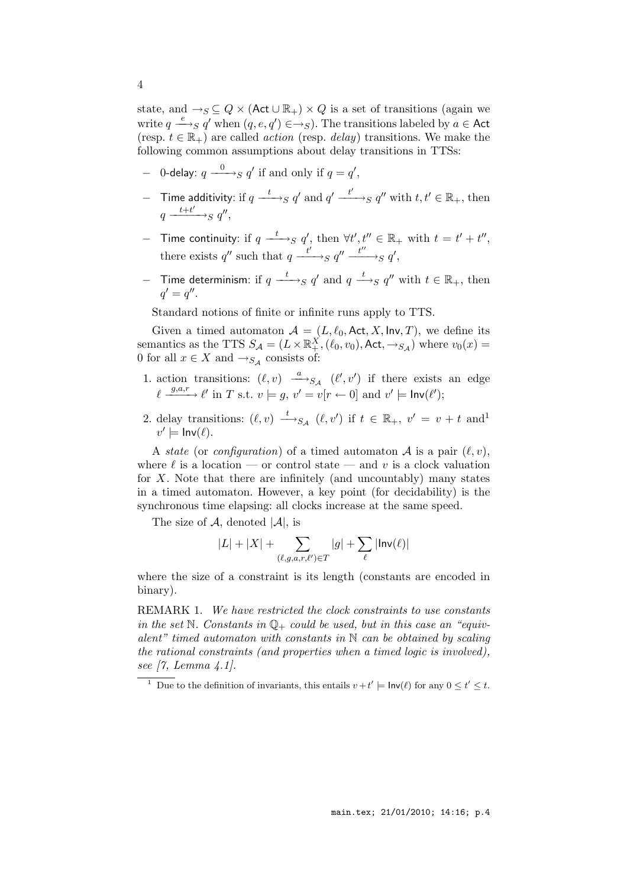state, and  $\rightarrow_S \subseteq Q \times (\text{Act} \cup \mathbb{R}_+) \times Q$  is a set of transitions (again we write  $q \stackrel{e}{\longrightarrow}_S q'$  when  $(q, e, q') \in \rightarrow_S$ ). The transitions labeled by  $a \in \text{Act}$ (resp.  $t \in \mathbb{R}_+$ ) are called *action* (resp. *delay*) transitions. We make the following common assumptions about delay transitions in TTSs:

- − 0-delay:  $q \xrightarrow{0} q'$  if and only if  $q = q'$ ,
- − Time additivity: if  $q \xrightarrow{t} s q'$  and  $q' \xrightarrow{t'} s q''$  with  $t, t' \in \mathbb{R}_+$ , then  $q \xrightarrow{t+t'} s q''$ ,
- − Time continuity: if  $q \xrightarrow{t}_{S} q'$ , then  $\forall t', t'' \in \mathbb{R}_+$  with  $t = t' + t''$ , there exists q'' such that  $q \xrightarrow{t'} g q'' \xrightarrow{t''} g q'$ ,
- − Time determinism: if  $q \xrightarrow{t}_{S} q'$  and  $q \xrightarrow{t}_{S} q''$  with  $t \in \mathbb{R}_{+}$ , then  $q' = q''$ .

Standard notions of finite or infinite runs apply to TTS.

Given a timed automaton  $A = (L, \ell_0, \text{Act}, X, \text{Inv}, T)$ , we define its semantics as the TTS  $S_A = (L \times \mathbb{R}^X_+, (\ell_0, v_0), \text{Act}, \rightarrow_{S_A})$  where  $v_0(x) =$ 0 for all  $x \in X$  and  $\rightarrow_{S_{\mathcal{A}}}$  consists of:

- 1. action transitions:  $(\ell, v) \xrightarrow{a} S_A$   $(\ell', v')$  if there exists an edge  $\ell \stackrel{g,a,r}{\longrightarrow} \ell'$  in T s.t.  $v \models g, v' = v[r \leftarrow 0]$  and  $v' \models \mathsf{Inv}(\ell');$
- 2. delay transitions:  $(\ell, v) \stackrel{t}{\longrightarrow}_{S_{\mathcal{A}}} (\ell, v')$  if  $t \in \mathbb{R}_+, v' = v + t$  and<sup>1</sup>  $v' \models \mathsf{Inv}(\ell).$

A state (or configuration) of a timed automaton A is a pair  $(\ell, v)$ , where  $\ell$  is a location — or control state — and v is a clock valuation for  $X$ . Note that there are infinitely (and uncountably) many states in a timed automaton. However, a key point (for decidability) is the synchronous time elapsing: all clocks increase at the same speed.

The size of  $A$ , denoted  $|A|$ , is

$$
|L| + |X| + \sum_{(\ell,g,a,r,\ell') \in T} |g| + \sum_{\ell} |\text{Inv}(\ell)|
$$

where the size of a constraint is its length (constants are encoded in binary).

REMARK 1. We have restricted the clock constraints to use constants in the set N. Constants in  $\mathbb{Q}_+$  could be used, but in this case an "equivalent" timed automaton with constants in  $\mathbb N$  can be obtained by scaling the rational constraints (and properties when a timed logic is involved), see [7, Lemma 4.1].

<sup>&</sup>lt;sup>1</sup> Due to the definition of invariants, this entails  $v + t' \models \mathsf{Inv}(\ell)$  for any  $0 \le t' \le t$ .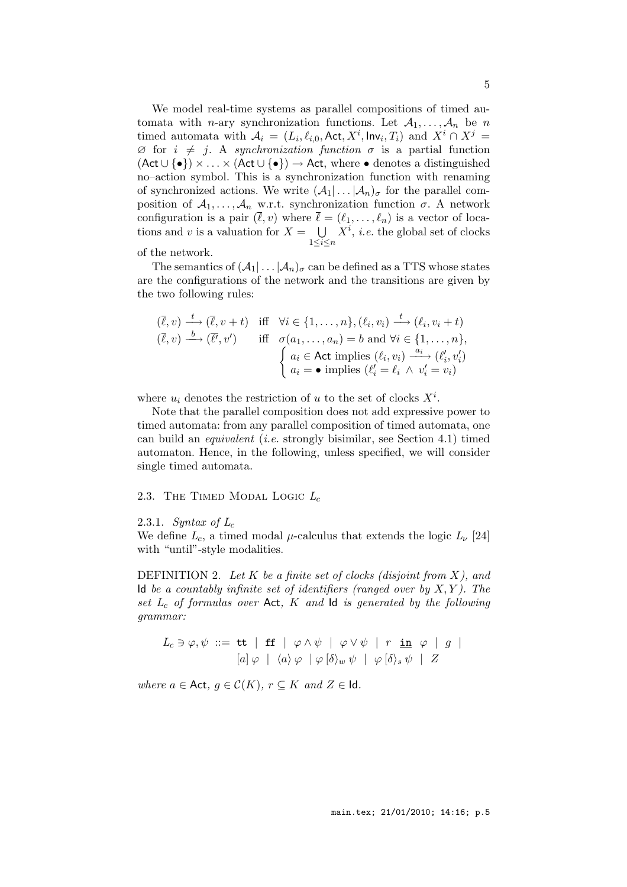We model real-time systems as parallel compositions of timed automata with *n*-ary synchronization functions. Let  $A_1, \ldots, A_n$  be *n* timed automata with  $A_i = (L_i, \ell_{i,0}, \text{Act}, X^i, \text{Inv}_i, T_i)$  and  $X^i \cap X^j =$  $\emptyset$  for  $i \neq j$ . A synchronization function  $\sigma$  is a partial function  $($ Act ∪ {•})  $\times \ldots \times$  (Act ∪ {•})  $\rightarrow$  Act, where • denotes a distinguished no–action symbol. This is a synchronization function with renaming of synchronized actions. We write  $(\mathcal{A}_1 | \dots | \mathcal{A}_n)_{\sigma}$  for the parallel composition of  $A_1, \ldots, A_n$  w.r.t. synchronization function  $\sigma$ . A network configuration is a pair  $(\ell, v)$  where  $\ell = (\ell_1, \ldots, \ell_n)$  is a vector of locations and v is a valuation for  $X = \bigcup$  $1\leq i\leq n$  $X^i$ , *i.e.* the global set of clocks

of the network.

The semantics of  $(\mathcal{A}_1 | \dots | \mathcal{A}_n)_{\sigma}$  can be defined as a TTS whose states are the configurations of the network and the transitions are given by the two following rules:

$$
(\overline{\ell}, v) \xrightarrow{t} (\overline{\ell}, v + t) \quad \text{iff} \quad \forall i \in \{1, \dots, n\}, (\ell_i, v_i) \xrightarrow{t} (\ell_i, v_i + t)
$$
\n
$$
(\overline{\ell}, v) \xrightarrow{b} (\overline{\ell'}, v') \quad \text{iff} \quad \sigma(a_1, \dots, a_n) = b \text{ and } \forall i \in \{1, \dots, n\},
$$
\n
$$
\begin{cases}\n a_i \in \text{Act implies } (\ell_i, v_i) \xrightarrow{a_i} (\ell'_i, v'_i) \\
 a_i = \bullet \text{ implies } (\ell'_i = \ell_i \ \land \ v'_i = v_i)\n\end{cases}
$$

where  $u_i$  denotes the restriction of u to the set of clocks  $X^i$ .

Note that the parallel composition does not add expressive power to timed automata: from any parallel composition of timed automata, one can build an equivalent (i.e. strongly bisimilar, see Section 4.1) timed automaton. Hence, in the following, unless specified, we will consider single timed automata.

### 2.3. The TIMED MODAL LOGIC  $L_c$

2.3.1. Syntax of  $L_c$ 

We define  $L_c$ , a timed modal  $\mu$ -calculus that extends the logic  $L_{\nu}$  [24] with "until"-style modalities.

DEFINITION 2. Let K be a finite set of clocks (disjoint from  $X$ ), and Id be a countably infinite set of identifiers (ranged over by  $X, Y$ ). The set  $L_c$  of formulas over Act,  $K$  and  $\mathsf{Id}$  is generated by the following grammar:

$$
L_c \ni \varphi, \psi \ ::= \ \mathbf{tt} \quad | \quad \mathbf{ff} \quad | \quad \varphi \land \psi \quad | \quad \varphi \lor \psi \quad | \quad r \quad \mathbf{in} \quad \varphi \quad | \quad g \quad |
$$

$$
[a] \varphi \quad | \quad \langle a \rangle \varphi \quad | \quad \varphi \ [\delta \rangle_w \psi \quad | \quad \varphi \ [\delta \rangle_s \psi \quad | \quad Z
$$

where  $a \in \mathsf{Act}, g \in \mathcal{C}(K), r \subseteq K$  and  $Z \in \mathsf{Id}.$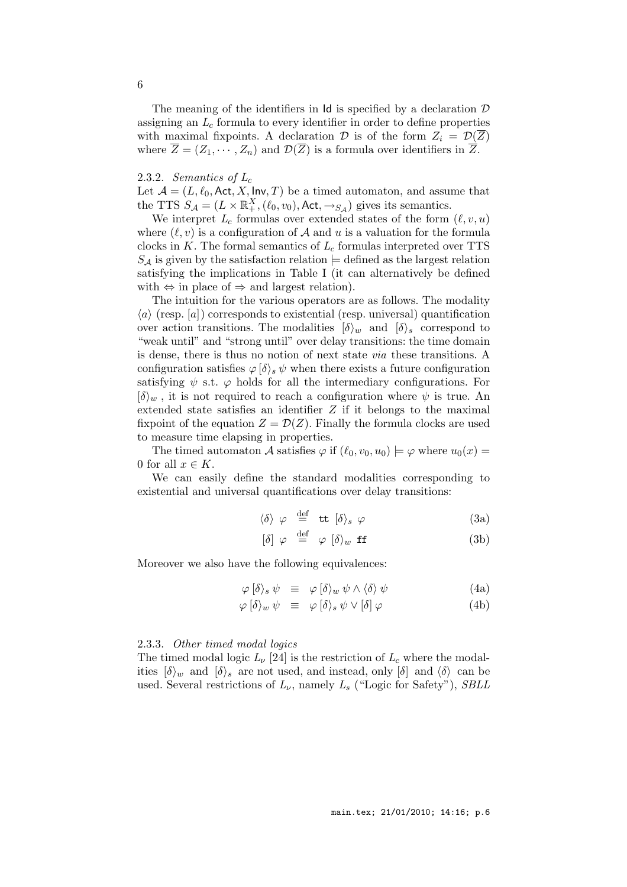The meaning of the identifiers in  $\mathsf{Id}$  is specified by a declaration  $\mathcal D$ assigning an  $L_c$  formula to every identifier in order to define properties with maximal fixpoints. A declaration D is of the form  $Z_i = \mathcal{D}(\overline{Z})$ where  $\overline{Z} = (Z_1, \dots, Z_n)$  and  $\mathcal{D}(\overline{Z})$  is a formula over identifiers in  $\overline{Z}$ .

### 2.3.2. Semantics of  $L_c$

Let  $\mathcal{A} = (L, \ell_0, \text{Act}, X, \text{Inv}, T)$  be a timed automaton, and assume that the TTS  $S_A = (L \times \mathbb{R}^X_+, (\ell_0, v_0), \text{Act}, \rightarrow_{S_A})$  gives its semantics.

We interpret  $L_c$  formulas over extended states of the form  $(\ell, v, u)$ where  $(\ell, v)$  is a configuration of A and u is a valuation for the formula clocks in  $K$ . The formal semantics of  $L_c$  formulas interpreted over TTS  $S_A$  is given by the satisfaction relation  $\models$  defined as the largest relation satisfying the implications in Table I (it can alternatively be defined with  $\Leftrightarrow$  in place of  $\Rightarrow$  and largest relation).

The intuition for the various operators are as follows. The modality  $\langle a \rangle$  (resp. [a]) corresponds to existential (resp. universal) quantification over action transitions. The modalities  $\{\delta\}_{w}$  and  $\{\delta\}_{s}$  correspond to "weak until" and "strong until" over delay transitions: the time domain is dense, there is thus no notion of next state via these transitions. A configuration satisfies  $\varphi/\delta$ ,  $\psi$  when there exists a future configuration satisfying  $\psi$  s.t.  $\varphi$  holds for all the intermediary configurations. For  $\langle \delta \rangle_w$ , it is not required to reach a configuration where  $\psi$  is true. An extended state satisfies an identifier  $Z$  if it belongs to the maximal fixpoint of the equation  $Z = \mathcal{D}(Z)$ . Finally the formula clocks are used to measure time elapsing in properties.

The timed automaton A satisfies  $\varphi$  if  $(\ell_0, v_0, u_0) \models \varphi$  where  $u_0(x) =$ 0 for all  $x \in K$ .

We can easily define the standard modalities corresponding to existential and universal quantifications over delay transitions:

$$
\langle \delta \rangle \varphi \stackrel{\text{def}}{=} \text{tt} \; [\delta \rangle_s \varphi \tag{3a}
$$

$$
\left[\delta\right] \varphi \stackrel{\text{def}}{=} \varphi \left[\delta\right)_w \text{ ff} \tag{3b}
$$

Moreover we also have the following equivalences:

$$
\varphi \left[ \delta \right\rangle_s \psi \equiv \varphi \left[ \delta \right\rangle_w \psi \wedge \langle \delta \rangle \psi \tag{4a}
$$

$$
\varphi \left[ \delta \right\rangle_w \psi \equiv \varphi \left[ \delta \right\rangle_s \psi \vee \left[ \delta \right] \varphi \tag{4b}
$$

#### 2.3.3. Other timed modal logics

The timed modal logic  $L_{\nu}$  [24] is the restriction of  $L_c$  where the modalities  $\{\delta\}_w$  and  $\{\delta\}_s$  are not used, and instead, only  $\{\delta\}$  and  $\{\delta\}$  can be used. Several restrictions of  $L_{\nu}$ , namely  $L_{s}$  ("Logic for Safety"), SBLL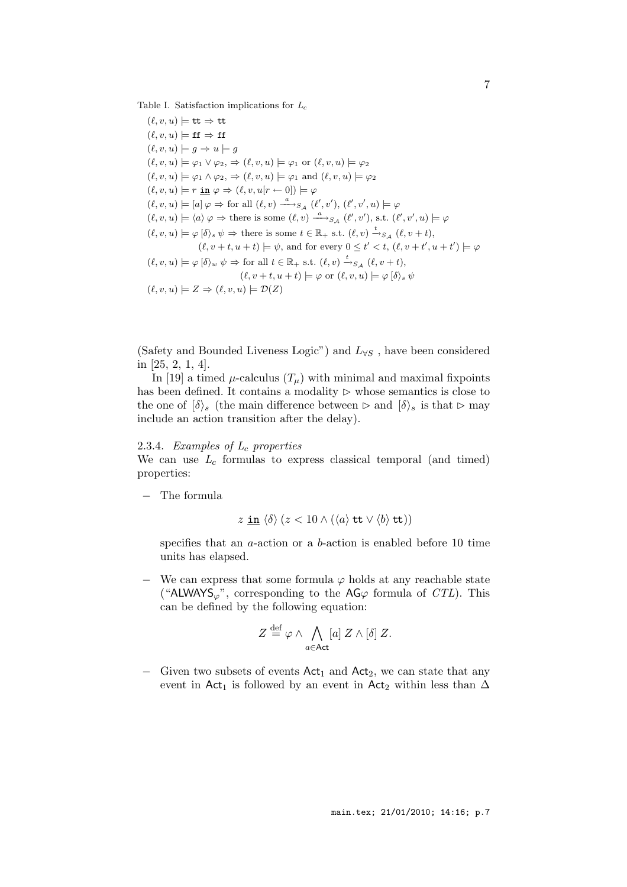Table I. Satisfaction implications for  $L_c$ 

 $(\ell, v, u) \models$  tt  $\Rightarrow$  tt  $(\ell, v, u) \models \mathbf{ff} \Rightarrow \mathbf{ff}$  $(\ell, v, u) \models g \Rightarrow u \models g$  $(\ell, v, u) \models \varphi_1 \lor \varphi_2, \Rightarrow (\ell, v, u) \models \varphi_1$  or  $(\ell, v, u) \models \varphi_2$  $(\ell, v, u) \models \varphi_1 \land \varphi_2, \Rightarrow (\ell, v, u) \models \varphi_1 \text{ and } (\ell, v, u) \models \varphi_2$  $(\ell, v, u) \models r \underline{\text{in}} \varphi \Rightarrow (\ell, v, u[r \leftarrow 0]) \models \varphi$  $(\ell, v, u) \models [a] \varphi \Rightarrow$  for all  $(\ell, v) \xrightarrow{a} S_{\mathcal{A}} (\ell', v'), (\ell', v', u) \models \varphi$  $(\ell, v, u) \models \langle a \rangle \varphi \Rightarrow$  there is some  $(\ell, v) \xrightarrow{a} S_{\mathcal{A}} (\ell', v'),$  s.t.  $(\ell', v', u) \models \varphi$  $(\ell, v, u) \models \varphi \: [\delta \rangle_s \: \psi \Rightarrow \text{there is some } t \in \mathbb{R}_+ \text{ s.t. } (\ell, v) \xrightarrow{t}_{S_{\mathcal{A}}} (\ell, v + t),$  $(\ell, v+t, u+t) \models \psi$ , and for every  $0 \leq t' < t$ ,  $(\ell, v+t', u+t') \models \varphi$  $(\ell, v, u) \models \varphi [\delta \rangle_w \psi \Rightarrow$  for all  $t \in \mathbb{R}_+$  s.t.  $(\ell, v) \stackrel{t}{\rightarrow} S_{\mathcal{A}} (\ell, v + t),$  $(\ell, v+t, u+t) \models \varphi \text{ or } (\ell, v, u) \models \varphi [\delta \rangle_s \psi$  $(\ell, v, u) \models Z \Rightarrow (\ell, v, u) \models \mathcal{D}(Z)$ 

(Safety and Bounded Liveness Logic") and  $L_{\forall S}$ , have been considered in [25, 2, 1, 4].

In [19] a timed  $\mu$ -calculus  $(T_{\mu})$  with minimal and maximal fixpoints has been defined. It contains a modality  $\triangleright$  whose semantics is close to the one of  $\{\delta\}_s$  (the main difference between ⊳ and  $\{\delta\}_s$  is that ⊳ may include an action transition after the delay).

### 2.3.4. Examples of  $L_c$  properties

We can use  $L_c$  formulas to express classical temporal (and timed) properties:

− The formula

$$
z \underline{\text{ in }} \langle \delta \rangle \ (z < 10 \land (\langle a \rangle \text{ tt} \lor \langle b \rangle \text{ tt}))
$$

specifies that an a-action or a b-action is enabled before 10 time units has elapsed.

 $-$  We can express that some formula  $\varphi$  holds at any reachable state ("ALWAYS<sub> $\varphi$ </sub>", corresponding to the AG $\varphi$  formula of *CTL*). This can be defined by the following equation:

$$
Z \stackrel{\text{def}}{=} \varphi \wedge \bigwedge_{a \in \text{Act}} [a] \; Z \wedge [\delta] \; Z.
$$

− Given two subsets of events  $Act_1$  and  $Act_2$ , we can state that any event in Act<sub>1</sub> is followed by an event in Act<sub>2</sub> within less than  $\Delta$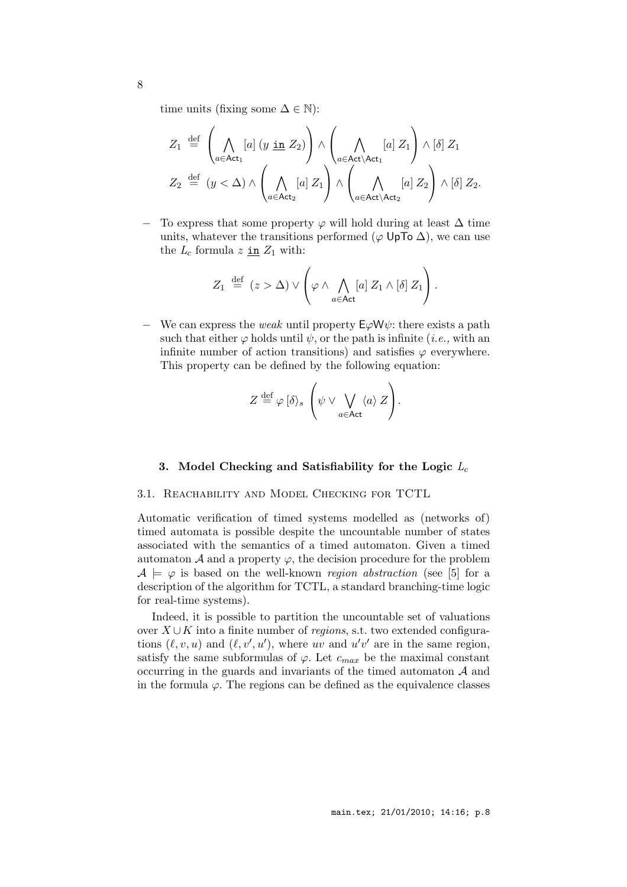time units (fixing some  $\Delta \in \mathbb{N}$ ):

$$
Z_1 \stackrel{\text{def}}{=} \left(\bigwedge_{a \in \text{Act}_1} [a] (y \underline{\text{in}} Z_2)\right) \wedge \left(\bigwedge_{a \in \text{Act}\setminus \text{Act}_1} [a] Z_1\right) \wedge [\delta] Z_1
$$
  

$$
Z_2 \stackrel{\text{def}}{=} (y < \Delta) \wedge \left(\bigwedge_{a \in \text{Act}_2} [a] Z_1\right) \wedge \left(\bigwedge_{a \in \text{Act}\setminus \text{Act}_2} [a] Z_2\right) \wedge [\delta] Z_2.
$$

To express that some property  $\varphi$  will hold during at least  $\Delta$  time units, whatever the transitions performed ( $\varphi$  UpTo  $\Delta$ ), we can use the  $L_c$  formula z in  $Z_1$  with:

$$
Z_1 \stackrel{\text{def}}{=} (z > \Delta) \vee \left( \varphi \wedge \bigwedge_{a \in \text{Act}} [a] \ Z_1 \wedge [\delta] \ Z_1 \right).
$$

 $\overline{\phantom{a}}$  We can express the *weak* until property  $E\varphi W\psi$ : there exists a path such that either  $\varphi$  holds until  $\psi$ , or the path is infinite (*i.e.*, with an infinite number of action transitions) and satisfies  $\varphi$  everywhere. This property can be defined by the following equation:

$$
Z \stackrel{\text{def}}{=} \varphi \left[ \delta \right\rangle_s \left( \psi \vee \bigvee_{a \in \mathsf{Act}} \langle a \rangle Z \right).
$$

### 3. Model Checking and Satisfiability for the Logic  $L_c$

### 3.1. Reachability and Model Checking for TCTL

Automatic verification of timed systems modelled as (networks of) timed automata is possible despite the uncountable number of states associated with the semantics of a timed automaton. Given a timed automaton  $A$  and a property  $\varphi$ , the decision procedure for the problem  $A \models \varphi$  is based on the well-known region abstraction (see [5] for a description of the algorithm for TCTL, a standard branching-time logic for real-time systems).

Indeed, it is possible to partition the uncountable set of valuations over  $X \cup K$  into a finite number of *regions*, s.t. two extended configurations  $(\ell, v, u)$  and  $(\ell, v', u')$ , where uv and  $u'v'$  are in the same region, satisfy the same subformulas of  $\varphi$ . Let  $c_{max}$  be the maximal constant occurring in the guards and invariants of the timed automaton  $A$  and in the formula  $\varphi$ . The regions can be defined as the equivalence classes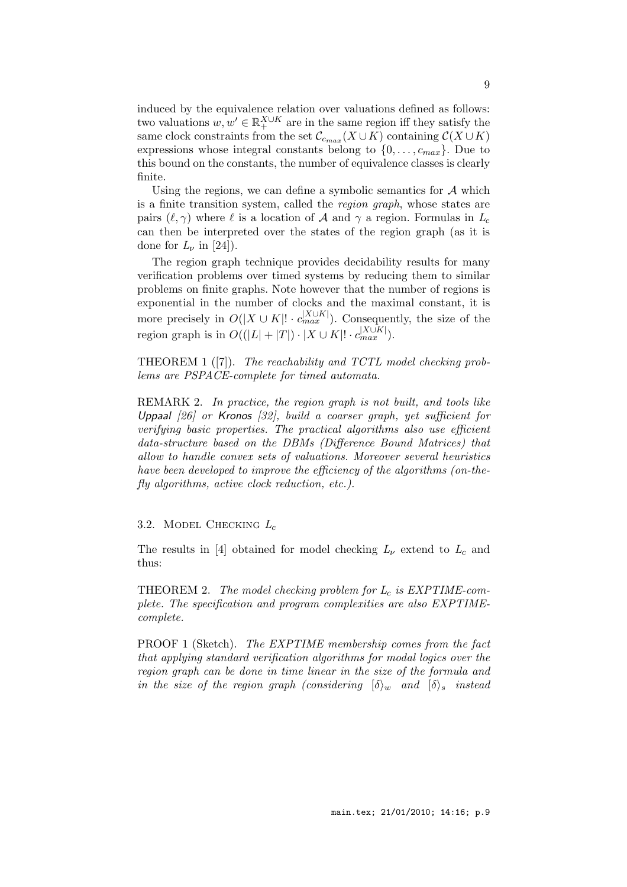induced by the equivalence relation over valuations defined as follows: two valuations  $w, w' \in \mathbb{R}_+^{X \cup K}$  are in the same region iff they satisfy the same clock constraints from the set  $\mathcal{C}_{c_{max}}(X \cup K)$  containing  $\mathcal{C}(X \cup K)$ expressions whose integral constants belong to  $\{0, \ldots, c_{max}\}\$ . Due to this bound on the constants, the number of equivalence classes is clearly finite.

Using the regions, we can define a symbolic semantics for  $A$  which is a finite transition system, called the region graph, whose states are pairs  $(\ell, \gamma)$  where  $\ell$  is a location of A and  $\gamma$  a region. Formulas in  $L_c$ can then be interpreted over the states of the region graph (as it is done for  $L_{\nu}$  in [24]).

The region graph technique provides decidability results for many verification problems over timed systems by reducing them to similar problems on finite graphs. Note however that the number of regions is exponential in the number of clocks and the maximal constant, it is more precisely in  $O(|X \cup K|! \cdot c_{max}^{|X \cup K|})$ . Consequently, the size of the region graph is in  $O((|L|+|T|) \cdot |X \cup K|! \cdot c_{max}^{|X \cup K|}).$ 

THEOREM 1 ([7]). The reachability and TCTL model checking problems are PSPACE-complete for timed automata.

REMARK 2. In practice, the region graph is not built, and tools like Uppaal [26] or Kronos [32], build a coarser graph, yet sufficient for verifying basic properties. The practical algorithms also use efficient data-structure based on the DBMs (Difference Bound Matrices) that allow to handle convex sets of valuations. Moreover several heuristics have been developed to improve the efficiency of the algorithms (on-thefly algorithms, active clock reduction, etc.).

### 3.2. MODEL CHECKING  $L_c$

The results in [4] obtained for model checking  $L_{\nu}$  extend to  $L_c$  and thus:

THEOREM 2. The model checking problem for  $L_c$  is EXPTIME-complete. The specification and program complexities are also EXPTIMEcomplete.

PROOF 1 (Sketch). The EXPTIME membership comes from the fact that applying standard verification algorithms for modal logics over the region graph can be done in time linear in the size of the formula and in the size of the region graph (considering  $\{\delta\}_w$  and  $\{\delta\}_s$  instead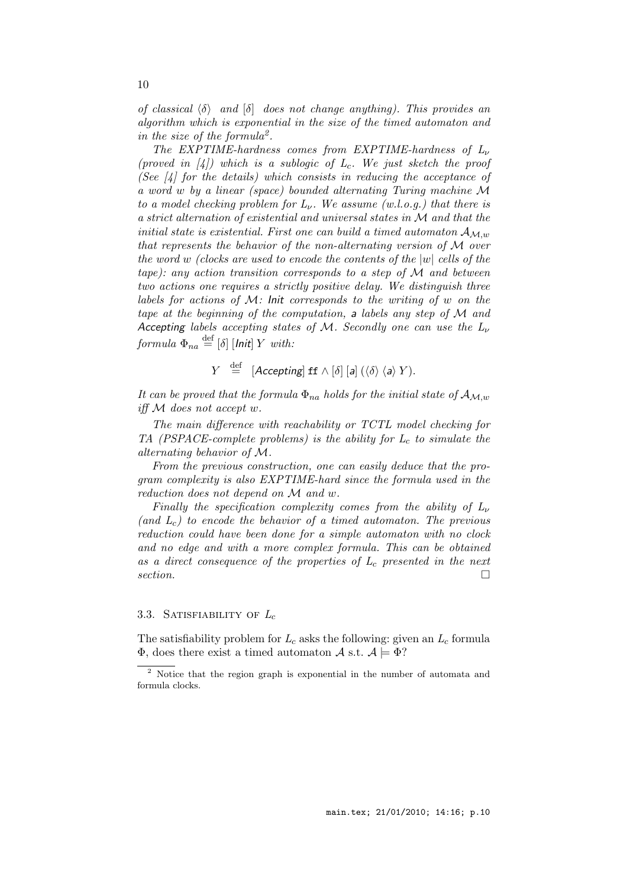of classical  $\langle \delta \rangle$  and  $\delta$  does not change anything). This provides an algorithm which is exponential in the size of the timed automaton and in the size of the formula<sup>2</sup>.

The EXPTIME-hardness comes from EXPTIME-hardness of  $L_{\nu}$ (proved in  $\vert 4 \vert$ ) which is a sublogic of  $L_c$ . We just sketch the proof (See  $\left[4\right]$  for the details) which consists in reducing the acceptance of a word w by a linear (space) bounded alternating Turing machine M to a model checking problem for  $L_{\nu}$ . We assume (w.l.o.g.) that there is a strict alternation of existential and universal states in M and that the initial state is existential. First one can build a timed automaton  $A_{M,w}$ that represents the behavior of the non-alternating version of M over the word w (clocks are used to encode the contents of the  $|w|$  cells of the tape): any action transition corresponds to a step of  $\mathcal M$  and between two actions one requires a strictly positive delay. We distinguish three labels for actions of  $M$ : Init corresponds to the writing of w on the tape at the beginning of the computation, a labels any step of M and Accepting labels accepting states of M. Secondly one can use the  $L_{\nu}$  $formula\ \Phi_{na}\stackrel{{\rm def}}{=}[\delta]\ [Init]\ Y\ with:$ 

$$
Y \stackrel{\text{def}}{=} [Accepting] \text{ ff} \land [\delta] [a] (\langle \delta \rangle \langle a \rangle Y).
$$

It can be proved that the formula  $\Phi_{na}$  holds for the initial state of  $\mathcal{A}_{M,w}$ iff  $M$  does not accept w.

The main difference with reachability or TCTL model checking for TA (PSPACE-complete problems) is the ability for  $L_c$  to simulate the alternating behavior of M.

From the previous construction, one can easily deduce that the program complexity is also EXPTIME-hard since the formula used in the reduction does not depend on M and w.

Finally the specification complexity comes from the ability of  $L_{\nu}$ (and  $L_c$ ) to encode the behavior of a timed automaton. The previous reduction could have been done for a simple automaton with no clock and no edge and with a more complex formula. This can be obtained as a direct consequence of the properties of  $L_c$  presented in the next section.  $\Box$ 

### 3.3. SATISFIABILITY OF  $L_c$

The satisfiability problem for  $L_c$  asks the following: given an  $L_c$  formula  $\Phi$ , does there exist a timed automaton A s.t.  $\mathcal{A} \models \Phi$ ?

<sup>&</sup>lt;sup>2</sup> Notice that the region graph is exponential in the number of automata and formula clocks.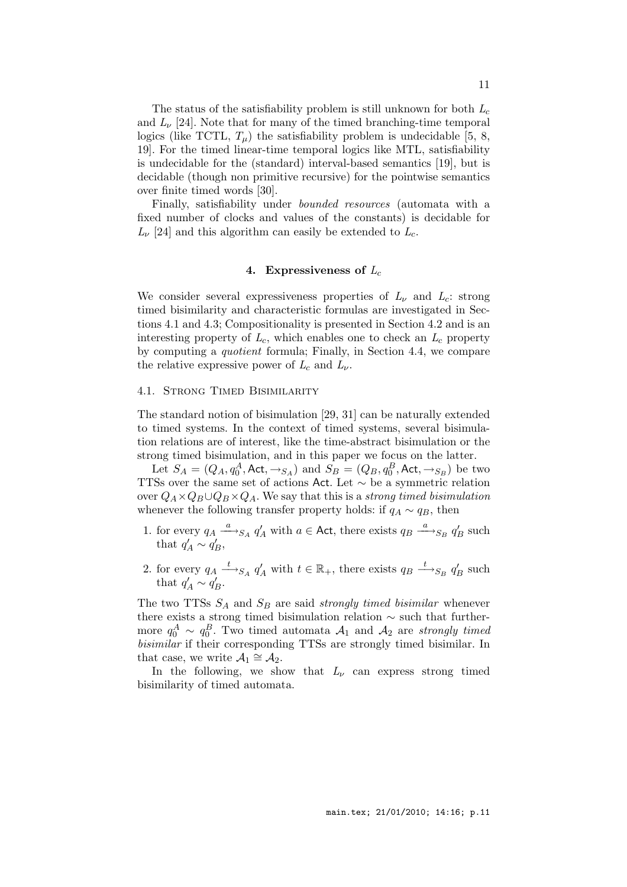The status of the satisfiability problem is still unknown for both  $L_c$ and  $L_{\nu}$  [24]. Note that for many of the timed branching-time temporal logics (like TCTL,  $T_{\mu}$ ) the satisfiability problem is undecidable [5, 8, 19]. For the timed linear-time temporal logics like MTL, satisfiability is undecidable for the (standard) interval-based semantics [19], but is decidable (though non primitive recursive) for the pointwise semantics over finite timed words [30].

Finally, satisfiability under bounded resources (automata with a fixed number of clocks and values of the constants) is decidable for  $L_{\nu}$  [24] and this algorithm can easily be extended to  $L_c$ .

### 4. Expressiveness of  $L_c$

We consider several expressiveness properties of  $L_{\nu}$  and  $L_{c}$ : strong timed bisimilarity and characteristic formulas are investigated in Sections 4.1 and 4.3; Compositionality is presented in Section 4.2 and is an interesting property of  $L_c$ , which enables one to check an  $L_c$  property by computing a quotient formula; Finally, in Section 4.4, we compare the relative expressive power of  $L_c$  and  $L_{\nu}$ .

### 4.1. Strong Timed Bisimilarity

The standard notion of bisimulation [29, 31] can be naturally extended to timed systems. In the context of timed systems, several bisimulation relations are of interest, like the time-abstract bisimulation or the strong timed bisimulation, and in this paper we focus on the latter.

Let  $S_A = (Q_A, q_0^A, \text{Act}, \rightarrow_{S_A})$  and  $S_B = (Q_B, q_0^B, \text{Act}, \rightarrow_{S_B})$  be two TTSs over the same set of actions Act. Let ∼ be a symmetric relation over  $Q_A \times Q_B \cup Q_B \times Q_A$ . We say that this is a strong timed bisimulation whenever the following transfer property holds: if  $q_A \sim q_B$ , then

- 1. for every  $q_A \xrightarrow{a} s_A q'_A$  with  $a \in \text{Act}$ , there exists  $q_B \xrightarrow{a} s_B q'_B$  such that  $q'_A \sim q'_B$ ,
- 2. for every  $q_A \stackrel{t}{\longrightarrow}_{S_A} q'_A$  with  $t \in \mathbb{R}_+$ , there exists  $q_B \stackrel{t}{\longrightarrow}_{S_B} q'_B$  such that  $q'_A \sim q'_B$ .

The two TTSs  $S_A$  and  $S_B$  are said *strongly timed bisimilar* whenever there exists a strong timed bisimulation relation ∼ such that furthermore  $q_0^A \sim q_0^B$ . Two timed automata  $\mathcal{A}_1$  and  $\mathcal{A}_2$  are strongly timed bisimilar if their corresponding TTSs are strongly timed bisimilar. In that case, we write  $\mathcal{A}_1 \cong \mathcal{A}_2$ .

In the following, we show that  $L_{\nu}$  can express strong timed bisimilarity of timed automata.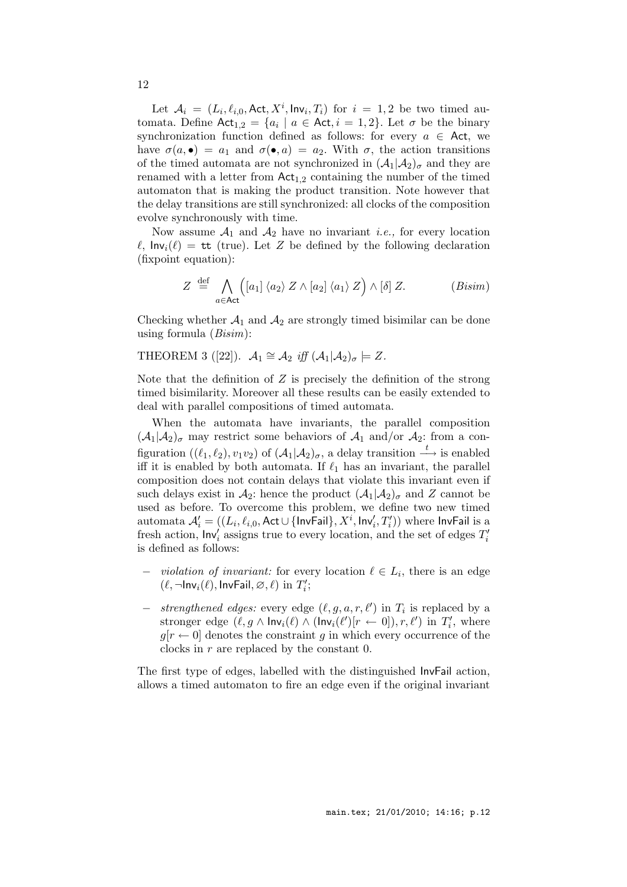Let  $A_i = (L_i, \ell_{i,0}, \text{Act}, X^i, \text{Inv}_i, T_i)$  for  $i = 1, 2$  be two timed automata. Define  $Act_{1,2} = \{a_i \mid a \in Act, i = 1, 2\}$ . Let  $\sigma$  be the binary synchronization function defined as follows: for every  $a \in$  Act, we have  $\sigma(a, \bullet) = a_1$  and  $\sigma(\bullet, a) = a_2$ . With  $\sigma$ , the action transitions of the timed automata are not synchronized in  $(\mathcal{A}_1|\mathcal{A}_2)_{\sigma}$  and they are renamed with a letter from  $Act_{1,2}$  containing the number of the timed automaton that is making the product transition. Note however that the delay transitions are still synchronized: all clocks of the composition evolve synchronously with time.

Now assume  $A_1$  and  $A_2$  have no invariant *i.e.*, for every location  $\ell$ ,  $\mathsf{Inv}_i(\ell) = \mathsf{tt}$  (true). Let Z be defined by the following declaration (fixpoint equation):

$$
Z \stackrel{\text{def}}{=} \bigwedge_{a \in \text{Act}} \left( [a_1] \langle a_2 \rangle Z \wedge [a_2] \langle a_1 \rangle Z \right) \wedge [\delta] Z. \tag{Bisim}
$$

Checking whether  $A_1$  and  $A_2$  are strongly timed bisimilar can be done using formula  $(Bisim)$ :

### THEOREM 3 ([22]).  $\mathcal{A}_1 \cong \mathcal{A}_2$  iff  $(\mathcal{A}_1 | \mathcal{A}_2)_{\sigma} \models Z$ .

Note that the definition of  $Z$  is precisely the definition of the strong timed bisimilarity. Moreover all these results can be easily extended to deal with parallel compositions of timed automata.

When the automata have invariants, the parallel composition  $(\mathcal{A}_1|\mathcal{A}_2)_{\sigma}$  may restrict some behaviors of  $\mathcal{A}_1$  and/or  $\mathcal{A}_2$ : from a configuration  $((\ell_1, \ell_2), v_1v_2)$  of  $(\mathcal{A}_1 | \mathcal{A}_2)_{\sigma}$ , a delay transition  $\stackrel{t}{\longrightarrow}$  is enabled iff it is enabled by both automata. If  $\ell_1$  has an invariant, the parallel composition does not contain delays that violate this invariant even if such delays exist in  $\mathcal{A}_2$ : hence the product  $(\mathcal{A}_1|\mathcal{A}_2)_{\sigma}$  and Z cannot be used as before. To overcome this problem, we define two new timed automata  $\mathcal{A}'_i=((L_i,\ell_{i,0},\mathsf{Act}\cup\{\mathsf{InvFall}\},X^i,\mathsf{Inv}'_i,T'_i))$  where  $\mathsf{InvFall}$  is a fresh action,  $\mathsf{Inv}_i'$  assigns true to every location, and the set of edges  $T_i'$ is defined as follows:

- $\text{-}$  violation of invariant: for every location  $\ell \in L_i$ , there is an edge  $(\ell, \neg \mathsf{Inv}_i(\ell), \mathsf{InvFall}, \varnothing, \ell)$  in  $T'_i;$
- − *strengthened edges:* every edge  $(\ell, g, a, r, \ell')$  in  $T_i$  is replaced by a stronger edge  $(\ell, g \wedge \mathsf{Inv}_i(\ell) \wedge (\mathsf{Inv}_i(\ell')[r \leftarrow 0]), r, \ell')$  in  $T'_i$ , where  $g[r \leftarrow 0]$  denotes the constraint g in which every occurrence of the clocks in r are replaced by the constant 0.

The first type of edges, labelled with the distinguished InvFail action, allows a timed automaton to fire an edge even if the original invariant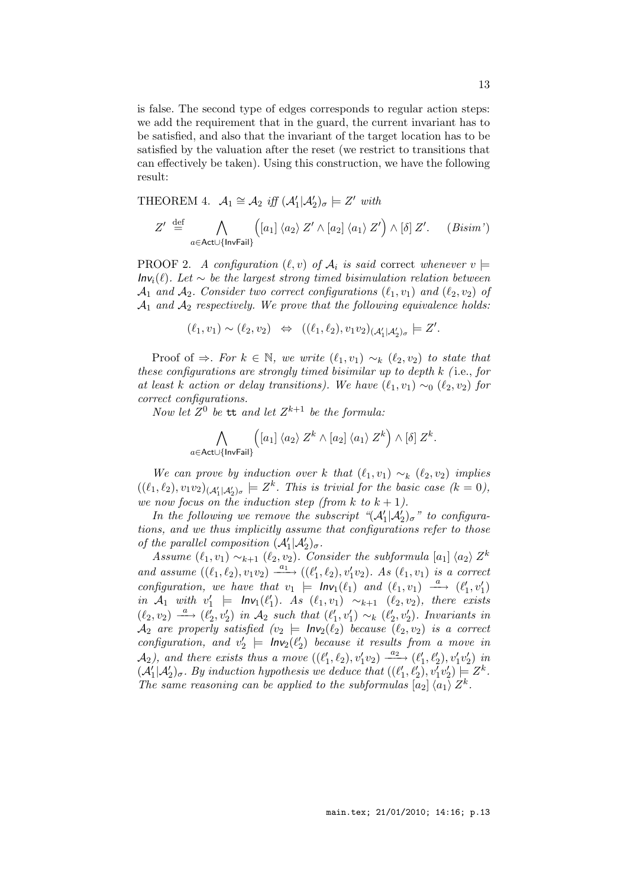is false. The second type of edges corresponds to regular action steps: we add the requirement that in the guard, the current invariant has to be satisfied, and also that the invariant of the target location has to be satisfied by the valuation after the reset (we restrict to transitions that can effectively be taken). Using this construction, we have the following result:

THEOREM 4.  $\mathcal{A}_1 \cong \mathcal{A}_2$  iff  $(\mathcal{A}'_1 | \mathcal{A}'_2)_{\sigma} \models Z'$  with

$$
Z' \stackrel{\text{def}}{=} \bigwedge_{a \in \text{Act} \cup \{\text{InvFail}\}} \left( \left[ a_1 \right] \langle a_2 \rangle Z' \wedge \left[ a_2 \right] \langle a_1 \rangle Z' \right) \wedge \left[ \delta \right] Z'. \quad (Bisim')
$$

**PROOF 2.** A configuration  $(\ell, v)$  of  $\mathcal{A}_i$  is said correct whenever  $v \models$  $Inv_i(\ell)$ . Let  $\sim$  be the largest strong timed bisimulation relation between  $\mathcal{A}_1$  and  $\mathcal{A}_2$ . Consider two correct configurations  $(\ell_1, v_1)$  and  $(\ell_2, v_2)$  of  $A_1$  and  $A_2$  respectively. We prove that the following equivalence holds:

 $(\ell_1, v_1) \sim (\ell_2, v_2) \Leftrightarrow ((\ell_1, \ell_2), v_1v_2)_{(\mathcal{A}'_1|\mathcal{A}'_2)_{\sigma}} \models Z'.$ 

Proof of  $\Rightarrow$ . For  $k \in \mathbb{N}$ , we write  $(\ell_1, v_1) \sim_k (\ell_2, v_2)$  to state that these configurations are strongly timed bisimilar up to depth  $k$  (i.e., for at least k action or delay transitions). We have  $(\ell_1, v_1) \sim_0 (\ell_2, v_2)$  for correct configurations.

Now let  $Z^0$  be tt and let  $Z^{k+1}$  be the formula:

$$
\bigwedge_{a\in\mathsf{Act}\cup\{\mathsf{InvFail}\}} \left([a_1]\ \langle a_2\rangle\ Z^k\wedge [a_2]\ \langle a_1\rangle\ Z^k\right)\wedge [\delta]\ Z^k.
$$

We can prove by induction over k that  $(\ell_1, v_1) \sim_k (\ell_2, v_2)$  implies  $((\ell_1, \ell_2), v_1v_2)_{(\mathcal{A}_1'|\mathcal{A}_2')_\sigma} \models Z^k$ . This is trivial for the basic case  $(k = 0)$ , we now focus on the induction step (from k to  $k + 1$ ).

In the following we remove the subscript  $\mathcal{A}_1^{\prime}|\mathcal{A}_2^{\prime}\rangle_{\sigma}$ " to configurations, and we thus implicitly assume that configurations refer to those of the parallel composition  $(\mathcal{A}'_1 | \mathcal{A}'_2)_{\sigma}$ .

the parametric omposition  $(A_1 | A_2)_{\sigma}$ .<br>Assume  $(\ell_1, v_1) \sim_{k+1} (\ell_2, v_2)$ . Consider the subformula  $[a_1] \langle a_2 \rangle Z^k$ and assume  $((\ell_1, \ell_2), v_1v_2) \xrightarrow{a_1} ((\ell'_1, \ell_2), v'_1v_2)$ . As  $(\ell_1, v_1)$  is a correct configuration, we have that  $v_1 \models \mathsf{Inv}_1(\ell_1)$  and  $(\ell_1, v_1) \stackrel{a}{\longrightarrow} (\ell'_1, v'_1)$ in  $A_1$  with  $v'_1$   $\models$   $\mathsf{Inv}_1(\ell'_1)$ . As  $(\ell_1, v_1) \sim_{k+1} (\ell_2, v_2)$ , there exists  $(\ell_2, v_2) \stackrel{a}{\longrightarrow} (\ell'_2, v'_2)$  in  $\mathcal{A}_2$  such that  $(\ell'_1, v'_1) \sim_k (\ell'_2, v'_2)$ . Invariants in  $\mathcal{A}_2$  are properly satisfied  $(v_2 = Inv_2(\ell_2)$  because  $(\ell_2, v_2)$  is a correct configuration, and  $v'_2$   $\models$   $\mathsf{Inv}_2(\ell'_2)$  because it results from a move in  $\mathcal{A}_2$ ), and there exists thus a move  $((\ell'_1, \ell_2), v'_1v_2) \xrightarrow{a_2} (\ell'_1, \ell'_2), v'_1v'_2)$  in  $(\mathcal{A}'_1|\mathcal{A}'_2)_{\sigma}$ . By induction hypothesis we deduce that  $((\ell'_1, \ell'_2), v'_1v'_2) \models Z^k$ . The same reasoning can be applied to the subformulas  $[a_2] \langle a_1 \rangle Z^k$ .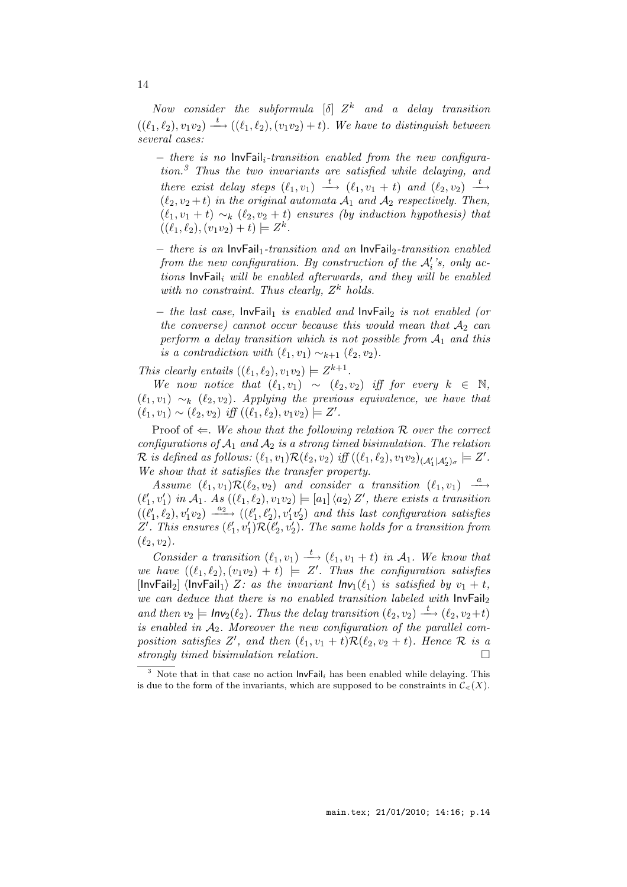Now consider the subformula  $[\delta]$   $Z^k$  and a delay transition  $((\ell_1, \ell_2), v_1v_2) \stackrel{t}{\longrightarrow} ((\ell_1, \ell_2), (v_1v_2) + t)$ . We have to distinguish between several cases:

 $-$  there is no  $\text{InvFail}_{i}\text{-}transition$  enabled from the new configura $tion.<sup>3</sup>$  Thus the two invariants are satisfied while delaying, and there exist delay steps  $(\ell_1, v_1) \stackrel{t}{\longrightarrow} (\ell_1, v_1 + t)$  and  $(\ell_2, v_2) \stackrel{t}{\longrightarrow}$  $(\ell_2, v_2 + t)$  in the original automata  $\mathcal{A}_1$  and  $\mathcal{A}_2$  respectively. Then,  $(\ell_1, v_1 + t) \sim_k (\ell_2, v_2 + t)$  ensures (by induction hypothesis) that  $((\ell_1, \ell_2), (v_1v_2) + t) \models Z^k.$ 

− there is an InvFail1-transition and an InvFail2-transition enabled from the new configuration. By construction of the  $\mathcal{A}'_i$ 's, only actions  $\text{InvFall}_i$  will be enabled afterwards, and they will be enabled with no constraint. Thus clearly,  $Z^k$  holds.

 $-$  the last case, InvFail<sub>1</sub> is enabled and InvFail<sub>2</sub> is not enabled (or the converse) cannot occur because this would mean that  $A_2$  can perform a delay transition which is not possible from  $A_1$  and this is a contradiction with  $(\ell_1, v_1) \sim_{k+1} (\ell_2, v_2)$ .

This clearly entails  $((\ell_1, \ell_2), v_1v_2) \models Z^{k+1}$ .

We now notice that  $(\ell_1, v_1) \sim (\ell_2, v_2)$  iff for every  $k \in \mathbb{N}$ ,  $(\ell_1, v_1) \sim_k (\ell_2, v_2)$ . Applying the previous equivalence, we have that  $(\ell_1, v_1) \sim (\ell_2, v_2)$  iff  $((\ell_1, \ell_2), v_1v_2) \models Z'.$ 

Proof of  $\Leftarrow$ . We show that the following relation R over the correct configurations of  $A_1$  and  $A_2$  is a strong timed bisimulation. The relation  $\mathcal{R}$  is defined as follows:  $(\ell_1, v_1)\mathcal{R}(\ell_2, v_2)$  iff  $((\ell_1, \ell_2), v_1v_2)_{(\mathcal{A}'_1|\mathcal{A}'_2)_{\sigma}} \models Z'.$ We show that it satisfies the transfer property.

Assume  $(\ell_1, v_1) \mathcal{R}(\ell_2, v_2)$  and consider a transition  $(\ell_1, v_1) \stackrel{a}{\longrightarrow}$  $(\ell'_1, v'_1)$  in  $\mathcal{A}_1$ . As  $((\ell_1, \ell_2), v_1v_2) \models [a_1] \langle a_2 \rangle Z'$ , there exists a transition  $((\ell'_1, \ell_2), v'_1v_2) \xrightarrow{a_2} ((\ell'_1, \ell'_2), v'_1v'_2)$  and this last configuration satisfies Z'. This ensures  $(\ell'_1, v'_1) \mathcal{R}(\ell'_2, v'_2)$ . The same holds for a transition from  $(\ell_2, v_2).$ 

Consider a transition  $(\ell_1, v_1) \stackrel{t}{\longrightarrow} (\ell_1, v_1 + t)$  in  $\mathcal{A}_1$ . We know that we have  $((\ell_1, \ell_2), (v_1v_2) + t) \models Z'$ . Thus the configuration satisfies [InvFail<sub>2</sub>]  $\langle$ InvFail<sub>1</sub> $\rangle$  Z: as the invariant Inv<sub>1</sub>( $\ell_1$ ) is satisfied by  $v_1 + t$ , we can deduce that there is no enabled transition labeled with  $InvFall_2$ and then  $v_2 \models \mathsf{Inv}_2(\ell_2)$ . Thus the delay transition  $(\ell_2, v_2) \xrightarrow{t} (\ell_2, v_2+t)$ is enabled in  $A_2$ . Moreover the new configuration of the parallel composition satisfies Z', and then  $(\ell_1, v_1 + t) \mathcal{R}(\ell_2, v_2 + t)$ . Hence R is a strongly timed bisimulation relation.

 $\frac{3}{3}$  Note that in that case no action  $\text{InvFail}_i$  has been enabled while delaying. This is due to the form of the invariants, which are supposed to be constraints in  $\mathcal{C}_{\leq}(X)$ .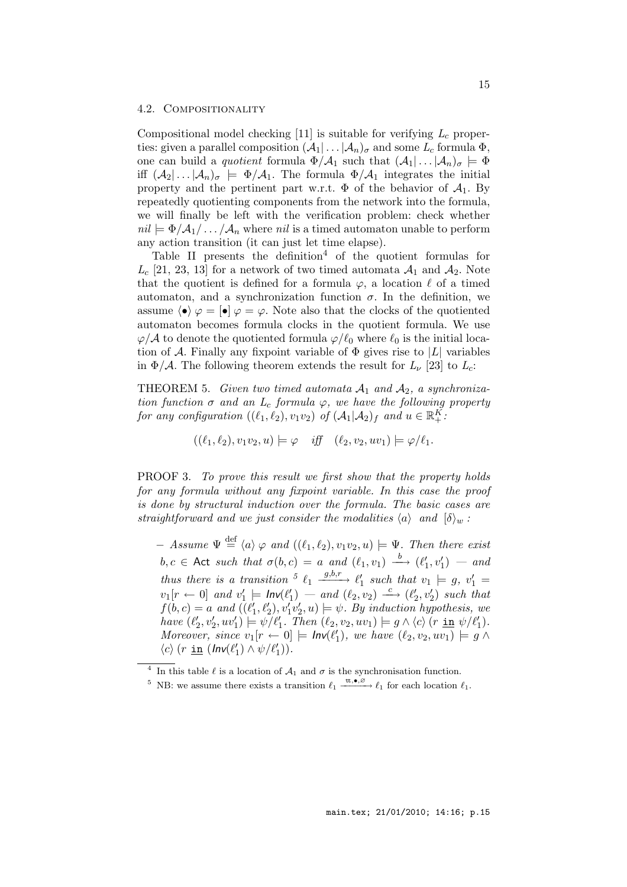#### 4.2. Compositionality

Compositional model checking  $[11]$  is suitable for verifying  $L_c$  properties: given a parallel composition  $(\mathcal{A}_1 | \dots | \mathcal{A}_n)_{\sigma}$  and some  $L_c$  formula  $\Phi$ , one can build a *quotient* formula  $\Phi/\mathcal{A}_1$  such that  $(\mathcal{A}_1 | \dots | \mathcal{A}_n)_{\sigma} \models \Phi$ iff  $(A_2 | ... | A_n)_{\sigma} \models \Phi/A_1$ . The formula  $\Phi/A_1$  integrates the initial property and the pertinent part w.r.t.  $\Phi$  of the behavior of  $\mathcal{A}_1$ . By repeatedly quotienting components from the network into the formula, we will finally be left with the verification problem: check whether  $nil \models \Phi/A_1/ \dots / A_n$  where nil is a timed automaton unable to perform any action transition (it can just let time elapse).

Table II presents the definition<sup>4</sup> of the quotient formulas for  $L_c$  [21, 23, 13] for a network of two timed automata  $\mathcal{A}_1$  and  $\mathcal{A}_2$ . Note that the quotient is defined for a formula  $\varphi$ , a location  $\ell$  of a timed automaton, and a synchronization function  $\sigma$ . In the definition, we assume  $\langle \bullet \rangle \varphi = [\bullet] \varphi = \varphi$ . Note also that the clocks of the quotiented automaton becomes formula clocks in the quotient formula. We use  $\varphi/\mathcal{A}$  to denote the quotiented formula  $\varphi/\ell_0$  where  $\ell_0$  is the initial location of A. Finally any fixpoint variable of  $\Phi$  gives rise to |L| variables in  $\Phi/\mathcal{A}$ . The following theorem extends the result for  $L_{\nu}$  [23] to  $L_c$ :

THEOREM 5. Given two timed automata  $A_1$  and  $A_2$ , a synchronization function  $\sigma$  and an  $L_c$  formula  $\varphi$ , we have the following property for any configuration  $((\ell_1, \ell_2), v_1v_2)$  of  $(\mathcal{A}_1 | \mathcal{A}_2)_f$  and  $u \in \mathbb{R}_+^K$ :

$$
((\ell_1,\ell_2),v_1v_2,u)\models\varphi\quad \textit{iff}\quad (\ell_2,v_2,uv_1)\models\varphi/\ell_1.
$$

PROOF 3. To prove this result we first show that the property holds for any formula without any fixpoint variable. In this case the proof is done by structural induction over the formula. The basic cases are straightforward and we just consider the modalities  $\langle a \rangle$  and  $\langle \delta \rangle_w$ :

 $-$  Assume  $\Psi \stackrel{\text{def}}{=} \langle a \rangle \varphi$  and  $((\ell_1, \ell_2), v_1v_2, u) \models \Psi$ . Then there exist  $b, c \in \mathsf{Act} \text{ such that } \sigma(b, c) = a \text{ and } (\ell_1, v_1) \stackrel{b}{\longrightarrow} (\ell'_1, v'_1) \text{ -- and }$ thus there is a transition  $\frac{5}{2}$   $\ell_1$   $\frac{g,b,r}{g}$   $\ell'_1$  such that  $v_1 \models g, v'_1 =$  $v_1[r \leftarrow 0]$  and  $v'_1 \models \mathit{Inv}(\ell'_1) \rightarrow \mathit{and} (\ell_2, v_2) \xrightarrow{c} (\ell'_2, v'_2)$  such that  $f(b, c) = a$  and  $((\ell'_1, \ell'_2), v'_1v'_2, u) \models \psi$ . By induction hypothesis, we have  $(\ell'_2, v'_2, uv'_1) \models \psi/\ell'_1$ . Then  $(\ell_2, v_2, uv_1) \models g \wedge \langle c \rangle$  (r in  $\psi/\ell'_1$ ). Moreover, since  $v_1[r \leftarrow 0] \models \mathit{Inv}(\ell'_1)$ , we have  $(\ell_2, v_2, uv_1) \models g \land$  $\langle c \rangle$  (r <u>in</u>  $(\ln v(\ell'_1) \wedge v/\ell'_1))$ ).

<sup>&</sup>lt;sup>4</sup> In this table  $\ell$  is a location of  $\mathcal{A}_1$  and  $\sigma$  is the synchronisation function.

<sup>&</sup>lt;sup>5</sup> NB: we assume there exists a transition  $\ell_1 \xrightarrow{\text{tt},\bullet,\varnothing} \ell_1$  for each location  $\ell_1$ .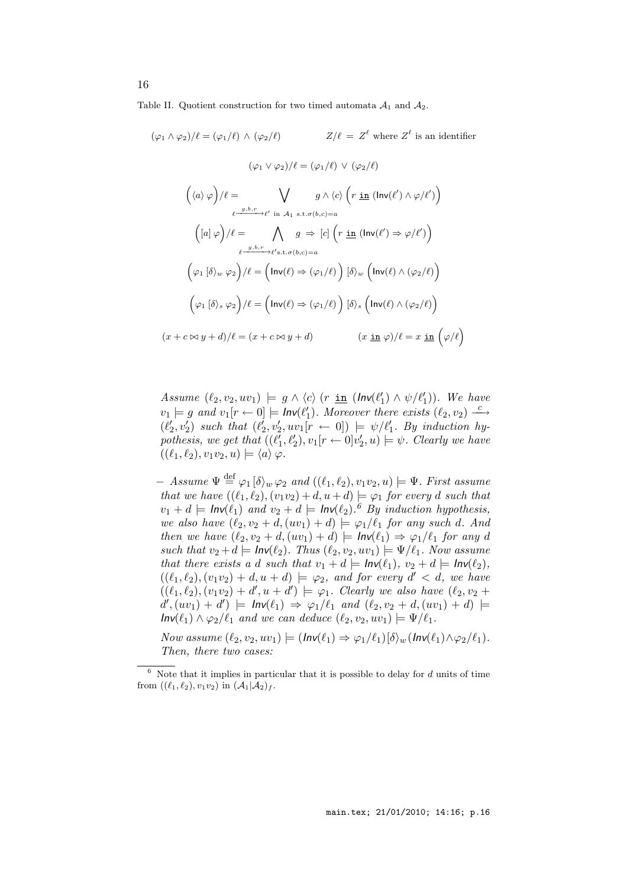Table II. Quotient construction for two timed automata  $A_1$  and  $A_2$ .

$$
(\varphi_1 \wedge \varphi_2)/\ell = (\varphi_1/\ell) \wedge (\varphi_2/\ell) \qquad Z/\ell = Z^{\ell} \text{ where } Z^{\ell} \text{ is an identifier}
$$

$$
(\varphi_1 \vee \varphi_2)/\ell = (\varphi_1/\ell) \vee (\varphi_2/\ell)
$$

$$
(\langle a \rangle \varphi)/\ell = \bigvee_{\ell = g, b, r \to \ell' \text{ in } \mathcal{A}_1 \text{ s.t. } \sigma(b, c) = a}
$$

$$
(\lceil a \rceil \varphi)/\ell = \bigwedge_{\ell = g, b, r \to \ell' \text{ in } \mathcal{A}_1 \text{ s.t. } \sigma(b, c) = a}
$$

$$
(\varphi_1 \lceil \delta \rangle_w \varphi_2)/\ell = (\ln v(\ell) \Rightarrow (\varphi_1/\ell)) \lceil \delta \rangle_w (\ln v(\ell) \wedge (\varphi_2/\ell))
$$

$$
(\varphi_1 \lceil \delta \rangle_s \varphi_2)/\ell = (\ln v(\ell) \Rightarrow (\varphi_1/\ell)) \lceil \delta \rangle_s (\ln v(\ell) \wedge (\varphi_2/\ell))
$$

$$
(x + c \bowtie y + d)/\ell = (x + c \bowtie y + d) \qquad (x \underline{\text{ in }} \varphi)/\ell = x \underline{\text{ in }} (\varphi/\ell)
$$

Assume  $(\ell_2, v_2, uv_1) \models g \land \langle c \rangle$  (r in  $(\text{Inv}(\ell'_1) \land \psi/\ell'_1)$ ). We have  $v_1 \models g$  and  $v_1[r \leftarrow 0] \models \mathsf{Inv}(\ell'_1)$ . Moreover there exists  $(\ell_2, v_2) \xrightarrow{c}$  $(\ell'_2, v'_2)$  such that  $(\ell'_2, v'_2, uv_1[r \leftarrow 0]) \models \psi/\ell'_1$ . By induction hypothesis, we get that  $((\ell'_1, \ell'_2), v_1 [r \leftarrow 0] v'_2, u) \models \psi$ . Clearly we have  $((\ell_1, \ell_2), v_1v_2, u) \models \langle a \rangle \varphi.$ 

 $-$  Assume  $\Psi \stackrel{\text{def}}{=} \varphi_1[\delta\rangle_w \varphi_2$  and  $((\ell_1, \ell_2), v_1v_2, u) \models \Psi$ . First assume that we have  $((\ell_1, \ell_2), (v_1v_2) + d, u + d) \models \varphi_1$  for every d such that  $v_1 + d \models \mathsf{Inv}(\ell_1)$  and  $v_2 + d \models \mathsf{Inv}(\ell_2)$ . <sup>6</sup> By induction hypothesis, we also have  $(\ell_2, v_2 + d, (uv_1) + d) \models \varphi_1/\ell_1$  for any such d. And then we have  $(\ell_2, v_2 + d, (uv_1) + d) \models Inv(\ell_1) \Rightarrow \varphi_1/\ell_1$  for any d such that  $v_2 + d \models Inv(\ell_2)$ . Thus  $(\ell_2, v_2, uv_1) \models \Psi/\ell_1$ . Now assume that there exists a d such that  $v_1 + d \models Inv(\ell_1), v_2 + d \models Inv(\ell_2),$  $((\ell_1, \ell_2), (v_1v_2) + d, u + d) \models \varphi_2$ , and for every  $d' < d$ , we have  $((\ell_1, \ell_2), (v_1v_2) + d', u + d') \models \varphi_1$ . Clearly we also have  $(\ell_2, v_2 +$  $d'(u_1) + d'$  =  $\mathsf{Inv}(\ell_1) \Rightarrow \varphi_1/\ell_1$  and  $(\ell_2, v_2 + d, (uv_1) + d)$  =  $Inv(\ell_1) \wedge \varphi_2/\ell_1$  and we can deduce  $(\ell_2, v_2, uv_1) \models \Psi/\ell_1$ .

Now assume  $(\ell_2, v_2, uv_1) \models (Inv(\ell_1) \Rightarrow \varphi_1/\ell_1) [\delta\rangle_w (Inv(\ell_1) \land \varphi_2/\ell_1).$ Then, there two cases:

 $\overline{6}$  Note that it implies in particular that it is possible to delay for d units of time from  $((\ell_1, \ell_2), v_1v_2)$  in  $(\mathcal{A}_1 | \mathcal{A}_2)_f$ .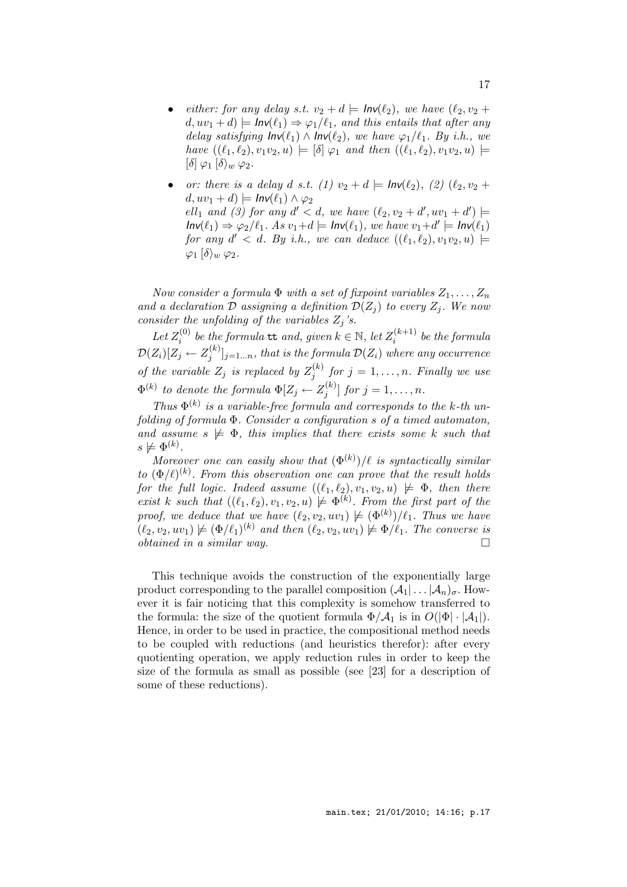- either: for any delay s.t.  $v_2 + d \models \mathsf{Inv}(\ell_2)$ , we have  $(\ell_2, v_2 +$  $d, uv_1 + d$  =  $\mathsf{Inv}(\ell_1) \Rightarrow \varphi_1/\ell_1$ , and this entails that after any delay satisfying  $Inv(\ell_1) \wedge Inv(\ell_2)$ , we have  $\varphi_1/\ell_1$ . By i.h., we have  $((\ell_1, \ell_2), v_1v_2, u) \models [\delta] \varphi_1$  and then  $((\ell_1, \ell_2), v_1v_2, u) \models$  $[\delta] \varphi_1 [\delta \rangle_w \varphi_2$ .
- or: there is a delay d s.t. (1)  $v_2 + d \models Inv(\ell_2), (2) (\ell_2, v_2 + d)$  $d, uv_1 + d \models Inv(\ell_1) \wedge \varphi_2$  $ell_1$  and (3) for any  $d' < d$ , we have  $(\ell_2, v_2 + d', uv_1 + d') \models$  $Inv(\ell_1) \Rightarrow \varphi_2/\ell_1$ . As  $v_1+d \models Inv(\ell_1)$ , we have  $v_1+d' \models Inv(\ell_1)$ for any  $d' < d$ . By i.h., we can deduce  $((\ell_1, \ell_2), v_1v_2, u)$   $\models$  $\varphi_1$   $\langle \delta \rangle_w \varphi_2$ .

Now consider a formula  $\Phi$  with a set of fixpoint variables  $Z_1, \ldots, Z_n$ and a declaration  $\mathcal D$  assigning a definition  $\mathcal D(Z_i)$  to every  $Z_i$ . We now consider the unfolding of the variables  $Z_j$ 's.

Let  $Z_i^{(0)}$  $\mathcal{E}_i^{(0)}$  be the formula  $\mathsf{tt}$  and, given  $k \in \mathbb{N}$ , let  $Z_i^{(k+1)}$  $i^{(\kappa+1)}$  be the formula  $\mathcal{D}(Z_i)[Z_j \leftarrow Z_j^{(k)}$  $[\zeta^{(\kappa)}_j]_{j=1...n},$  that is the formula  $\mathcal{D}(Z_i)$  where any occurrence of the variable  $Z_j$  is replaced by  $Z_j^{(k)}$  $j_j^{(k)}$  for  $j = 1, \ldots, n$ . Finally we use  $\Phi^{(k)}$  to denote the formula  $\Phi[Z_j \leftarrow Z_j^{(k)}]$  $j^{(k)}$  for  $j=1,\ldots,n$ .

Thus  $\Phi^{(k)}$  is a variable-free formula and corresponds to the k-th unfolding of formula Φ. Consider a configuration s of a timed automaton, and assume  $s \not\models \Phi$ , this implies that there exists some k such that  $s \not\models \Phi^{(k)}$ .

Moreover one can easily show that  $(\Phi^{(k)})/\ell$  is syntactically similar to  $(\Phi/\ell)^{(k)}$ . From this observation one can prove that the result holds for the full logic. Indeed assume  $((\ell_1, \ell_2), v_1, v_2, u) \not\models \Phi$ , then there exist k such that  $((\ell_1, \ell_2), v_1, v_2, u) \not\models \Phi^{(k)}$ . From the first part of the proof, we deduce that we have  $(\ell_2, v_2, uv_1) \not\models (\Phi^{(k)})/ \ell_1$ . Thus we have  $(\ell_2, v_2, uv_1) \not\models (\Phi/\ell_1)^{(k)}$  and then  $(\ell_2, v_2, uv_1) \not\models \Phi/\ell_1$ . The converse is  $obtained \textit{ in a similar way.}$ 

This technique avoids the construction of the exponentially large product corresponding to the parallel composition  $(\mathcal{A}_1 | \dots | \mathcal{A}_n)_{\sigma}$ . However it is fair noticing that this complexity is somehow transferred to the formula: the size of the quotient formula  $\Phi/A_1$  is in  $O(|\Phi| \cdot |A_1|)$ . Hence, in order to be used in practice, the compositional method needs to be coupled with reductions (and heuristics therefor): after every quotienting operation, we apply reduction rules in order to keep the size of the formula as small as possible (see [23] for a description of some of these reductions).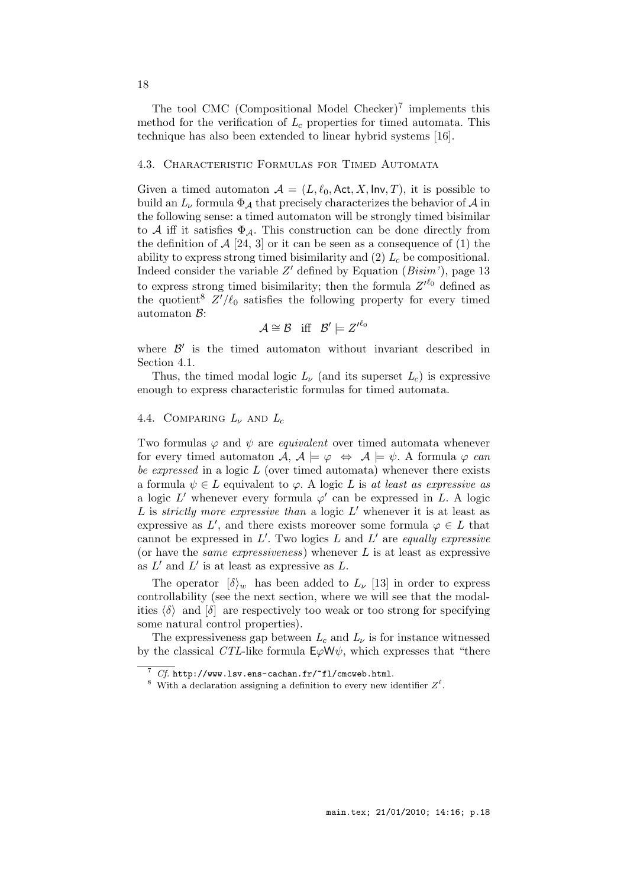The tool CMC (Compositional Model Checker)<sup>7</sup> implements this method for the verification of  $L_c$  properties for timed automata. This technique has also been extended to linear hybrid systems [16].

### 4.3. Characteristic Formulas for Timed Automata

Given a timed automaton  $A = (L, \ell_0, \text{Act}, X, \text{Inv}, T)$ , it is possible to build an  $L_{\nu}$  formula  $\Phi_{\mathcal{A}}$  that precisely characterizes the behavior of  $\mathcal{A}$  in the following sense: a timed automaton will be strongly timed bisimilar to A iff it satisfies  $\Phi_{\mathcal{A}}$ . This construction can be done directly from the definition of  $A$  [24, 3] or it can be seen as a consequence of (1) the ability to express strong timed bisimilarity and  $(2)$   $L_c$  be compositional. Indeed consider the variable  $Z'$  defined by Equation ( $Bisim'$ ), page 13 to express strong timed bisimilarity; then the formula  $Z^{\prime \ell_0}$  defined as the quotient<sup>8</sup>  $Z'/\ell_0$  satisfies the following property for every timed automaton  $B$ :

$$
\mathcal{A}\cong\mathcal{B}\quad \text{iff}\quad \mathcal{B}'\models {Z'}^{\ell_0}
$$

where  $\mathcal{B}'$  is the timed automaton without invariant described in Section 4.1.

Thus, the timed modal logic  $L_{\nu}$  (and its superset  $L_c$ ) is expressive enough to express characteristic formulas for timed automata.

### 4.4. COMPARING  $L_{\nu}$  and  $L_{c}$

Two formulas  $\varphi$  and  $\psi$  are *equivalent* over timed automata whenever for every timed automaton  $\mathcal{A}, \mathcal{A} \models \varphi \Leftrightarrow \mathcal{A} \models \psi$ . A formula  $\varphi$  can be expressed in a logic  $L$  (over timed automata) whenever there exists a formula  $\psi \in L$  equivalent to  $\varphi$ . A logic L is at least as expressive as a logic  $L'$  whenever every formula  $\varphi'$  can be expressed in  $L$ . A logic  $L$  is strictly more expressive than a logic  $L'$  whenever it is at least as expressive as  $L'$ , and there exists moreover some formula  $\varphi \in L$  that cannot be expressed in  $L'$ . Two logics  $L$  and  $L'$  are equally expressive (or have the *same expressiveness*) whenever  $L$  is at least as expressive as  $L'$  and  $L'$  is at least as expressive as  $L$ .

The operator  $\{\delta\}_{w}$  has been added to  $L_{\nu}$  [13] in order to express controllability (see the next section, where we will see that the modalities  $\langle \delta \rangle$  and  $\delta$  are respectively too weak or too strong for specifying some natural control properties).

The expressiveness gap between  $L_c$  and  $L_{\nu}$  is for instance witnessed by the classical CTL-like formula  $E\varphi W\psi$ , which expresses that "there

 $7 \text{ Cf. http://www.1sv.ens-cachan.fr/~f1/cmcweb.html.}$ 

<sup>&</sup>lt;sup>8</sup> With a declaration assigning a definition to every new identifier  $Z^{\ell}$ .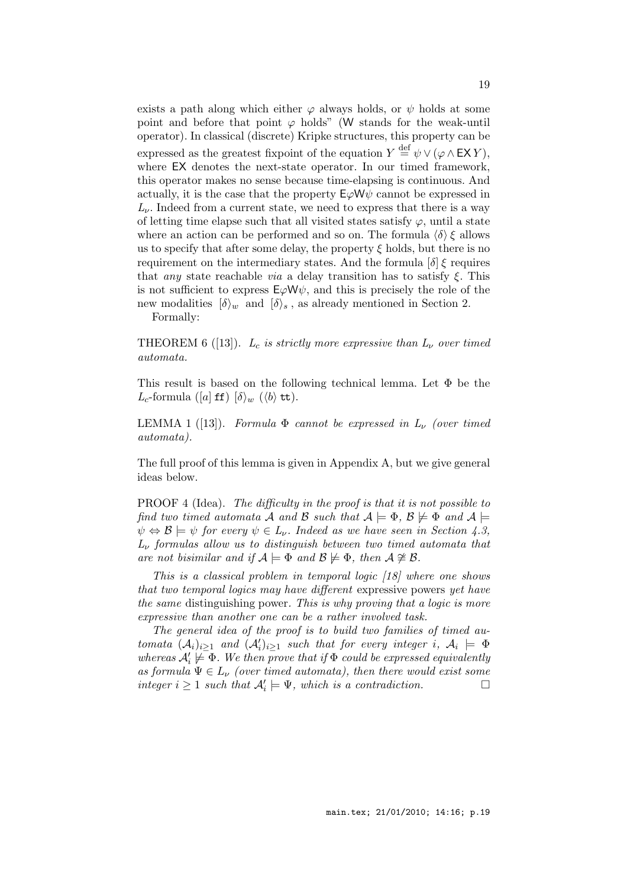exists a path along which either  $\varphi$  always holds, or  $\psi$  holds at some point and before that point  $\varphi$  holds" (W stands for the weak-until operator). In classical (discrete) Kripke structures, this property can be expressed as the greatest fixpoint of the equation  $Y \stackrel{\text{def}}{=} \psi \vee (\varphi \wedge \mathsf{EX} Y)$ , where EX denotes the next-state operator. In our timed framework, this operator makes no sense because time-elapsing is continuous. And actually, it is the case that the property  $E\varphi W\psi$  cannot be expressed in  $L_{\nu}$ . Indeed from a current state, we need to express that there is a way of letting time elapse such that all visited states satisfy  $\varphi$ , until a state where an action can be performed and so on. The formula  $\langle \delta \rangle \xi$  allows us to specify that after some delay, the property  $\xi$  holds, but there is no requirement on the intermediary states. And the formula  $\delta \xi$  requires that *any* state reachable *via* a delay transition has to satisfy  $\xi$ . This is not sufficient to express  $E\varphi W\psi$ , and this is precisely the role of the new modalities  $\{\delta\}_w$  and  $\{\delta\}_s$ , as already mentioned in Section 2. Formally:

THEOREM 6 ([13]).  $L_c$  is strictly more expressive than  $L_{\nu}$  over timed automata.

This result is based on the following technical lemma. Let Φ be the  $L_c$ -formula ([a] **ff**)  $\delta$ <sub>*w*</sub> ( $\langle b \rangle$  **tt**).

LEMMA 1 ([13]). Formula  $\Phi$  cannot be expressed in  $L_{\nu}$  (over timed automata).

The full proof of this lemma is given in Appendix A, but we give general ideas below.

PROOF 4 (Idea). The difficulty in the proof is that it is not possible to find two timed automata A and B such that  $A \models \Phi$ ,  $B \not\models \Phi$  and  $A \models$  $\psi \Leftrightarrow \mathcal{B} \models \psi$  for every  $\psi \in L_{\nu}$ . Indeed as we have seen in Section 4.3,  $L_{\nu}$  formulas allow us to distinguish between two timed automata that are not bisimilar and if  $\mathcal{A} \models \Phi$  and  $\mathcal{B} \not\models \Phi$ , then  $\mathcal{A} \not\cong \mathcal{B}$ .

This is a classical problem in temporal logic [18] where one shows that two temporal logics may have different expressive powers yet have the same distinguishing power. This is why proving that a logic is more expressive than another one can be a rather involved task.

The general idea of the proof is to build two families of timed automata  $(\mathcal{A}_i)_{i\geq 1}$  and  $(\mathcal{A}'_i)_{i\geq 1}$  such that for every integer i,  $\mathcal{A}_i \models \Phi$ whereas  $A'_i \not\models \Phi$ . We then prove that if  $\Phi$  could be expressed equivalently as formula  $\Psi \in L_{\nu}$  (over timed automata), then there would exist some integer  $i \geq 1$  such that  $\mathcal{A}'_i \models \Psi$ , which is a contradiction.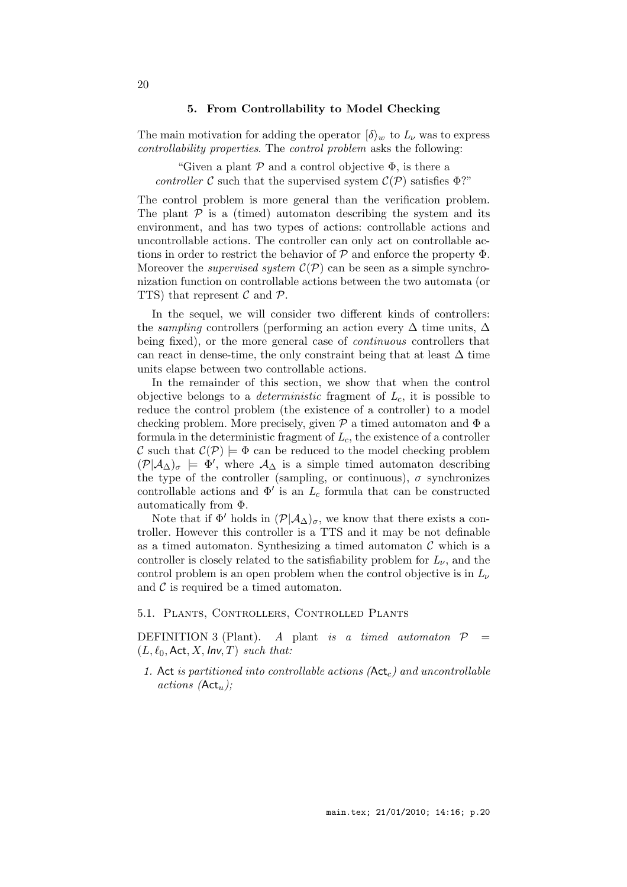### 5. From Controllability to Model Checking

The main motivation for adding the operator  $\langle \delta \rangle_w$  to  $L_\nu$  was to express controllability properties. The control problem asks the following:

"Given a plant  $P$  and a control objective  $\Phi$ , is there a controller C such that the supervised system  $\mathcal{C}(\mathcal{P})$  satisfies  $\Phi$ ?"

The control problem is more general than the verification problem. The plant  $P$  is a (timed) automaton describing the system and its environment, and has two types of actions: controllable actions and uncontrollable actions. The controller can only act on controllable actions in order to restrict the behavior of  $P$  and enforce the property  $\Phi$ . Moreover the *supervised system*  $\mathcal{C}(\mathcal{P})$  can be seen as a simple synchronization function on controllable actions between the two automata (or TTS) that represent  $\mathcal C$  and  $\mathcal P$ .

In the sequel, we will consider two different kinds of controllers: the *sampling* controllers (performing an action every  $\Delta$  time units,  $\Delta$ being fixed), or the more general case of *continuous* controllers that can react in dense-time, the only constraint being that at least  $\Delta$  time units elapse between two controllable actions.

In the remainder of this section, we show that when the control objective belongs to a *deterministic* fragment of  $L_c$ , it is possible to reduce the control problem (the existence of a controller) to a model checking problem. More precisely, given  $P$  a timed automaton and  $\Phi$  a formula in the deterministic fragment of  $L_c$ , the existence of a controller C such that  $\mathcal{C}(\mathcal{P}) \models \Phi$  can be reduced to the model checking problem  $(\mathcal{P}|\mathcal{A}_{\Delta})_{\sigma} \models \Phi'$ , where  $\mathcal{A}_{\Delta}$  is a simple timed automaton describing the type of the controller (sampling, or continuous),  $\sigma$  synchronizes controllable actions and  $\Phi'$  is an  $L_c$  formula that can be constructed automatically from Φ.

Note that if  $\Phi'$  holds in  $(\mathcal{P}|\mathcal{A}_{\Delta})_{\sigma}$ , we know that there exists a controller. However this controller is a TTS and it may be not definable as a timed automaton. Synthesizing a timed automaton  $\mathcal C$  which is a controller is closely related to the satisfiability problem for  $L_{\nu}$ , and the control problem is an open problem when the control objective is in  $L_{\nu}$ and  $\mathcal C$  is required be a timed automaton.

### 5.1. Plants, Controllers, Controlled Plants

DEFINITION 3 (Plant). A plant is a timed automator  $P =$  $(L, \ell_0, \text{Act}, X, \text{Inv}, T)$  such that:

1. Act is partitioned into controllable actions  $(\mathsf{Act}_c)$  and uncontrollable  $actions (\mathsf{Act}_u);$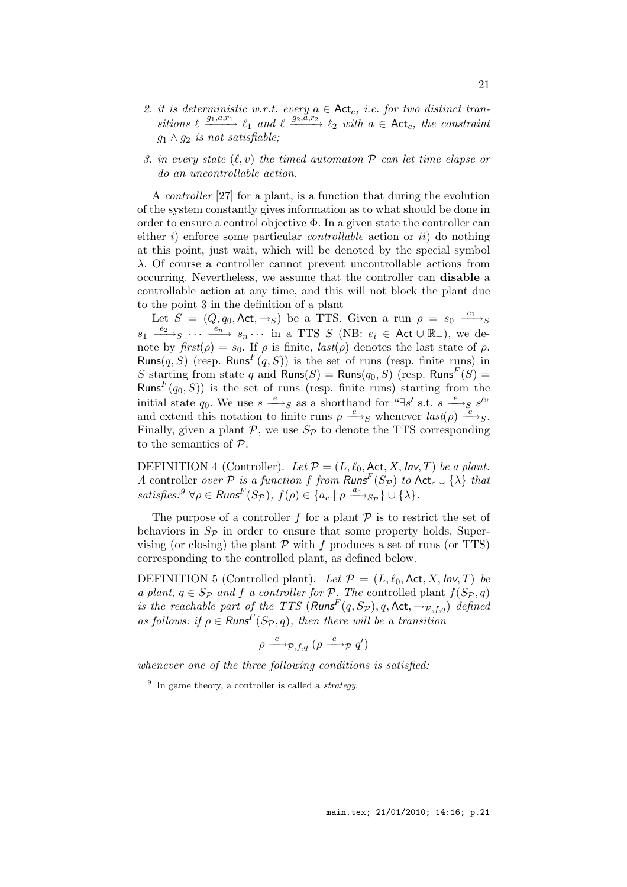- 2. it is deterministic w.r.t. every  $a \in \mathsf{Act}_c$ , i.e. for two distinct transitions  $\ell \xrightarrow{g_1, a, r_1} \ell_1$  and  $\ell \xrightarrow{g_2, a, r_2} \ell_2$  with  $a \in \text{Act}_c$ , the constraint  $g_1 \wedge g_2$  is not satisfiable;
- 3. in every state  $(\ell, v)$  the timed automaton  $P$  can let time elapse or do an uncontrollable action.

A controller [27] for a plant, is a function that during the evolution of the system constantly gives information as to what should be done in order to ensure a control objective Φ. In a given state the controller can either i) enforce some particular *controllable* action or  $ii$  do nothing at this point, just wait, which will be denoted by the special symbol λ. Of course a controller cannot prevent uncontrollable actions from occurring. Nevertheless, we assume that the controller can disable a controllable action at any time, and this will not block the plant due to the point 3 in the definition of a plant

Let  $S = (Q, q_0, \text{Act}, \rightarrow_S)$  be a TTS. Given a run  $\rho = s_0 \stackrel{e_1}{\longrightarrow_S}$  $s_1 \xrightarrow{e_2} s \cdots \xrightarrow{e_n} s_n \cdots$  in a TTS S (NB:  $e_i \in \text{Act} \cup \mathbb{R}_+$ ), we denote by  $first(\rho) = s_0$ . If  $\rho$  is finite,  $last(\rho)$  denotes the last state of  $\rho$ . Runs $(q, S)$  (resp. Runs<sup>F</sup> $(q, S)$ ) is the set of runs (resp. finite runs) in S starting from state q and  $\mathsf{Runs}(S) = \mathsf{Runs}(q_0,S)$  (resp.  $\mathsf{Runs}^F(S) =$ Runs<sup> $F(q_0, S)$ </sup> is the set of runs (resp. finite runs) starting from the initial state  $q_0$ . We use  $s \xrightarrow{e}_{S}$  as a shorthand for "∃s' s.t.  $s \xrightarrow{e}_{S} s$ " and extend this notation to finite runs  $\rho \stackrel{e}{\longrightarrow}_S$  whenever  $last(\rho) \stackrel{e}{\longrightarrow}_S$ . Finally, given a plant  $P$ , we use  $S_P$  to denote the TTS corresponding to the semantics of P.

DEFINITION 4 (Controller). Let  $\mathcal{P} = (L, \ell_0, \text{Act}, X, \text{Inv}, T)$  be a plant. A controller over  $\mathcal P$  is a function f from  $\mathsf{Runs}^F(S_{\mathcal P})$  to  $\mathsf{Act}_c \cup \{\lambda\}$  that satisfies:<sup>9</sup>  $\forall \rho \in \mathsf{Runs}^F(S_{\mathcal{P}}), f(\rho) \in \{a_c \mid \rho \xrightarrow{a_c} S_{\mathcal{P}}\} \cup \{\lambda\}.$ 

The purpose of a controller  $f$  for a plant  $P$  is to restrict the set of behaviors in  $S_{\mathcal{P}}$  in order to ensure that some property holds. Supervising (or closing) the plant  $P$  with f produces a set of runs (or TTS) corresponding to the controlled plant, as defined below.

DEFINITION 5 (Controlled plant). Let  $\mathcal{P} = (L, \ell_0, \text{Act}, X, \text{Inv}, T)$  be a plant,  $q \in Sp$  and f a controller for P. The controlled plant  $f(S_{\mathcal{P}}, q)$ is the reachable part of the TTS  $(Runs<sup>F</sup>(q, S_{\mathcal{P}}), q, \text{Act}, \rightarrow_{\mathcal{P},f,q})$  defined as follows: if  $\rho \in$  Runs<sup>F</sup>(S<sub>P</sub>, q), then there will be a transition

$$
\rho \xrightarrow{e} \mathcal{P}, f, q \ (\rho \xrightarrow{e} \mathcal{P} \ q')
$$

whenever one of the three following conditions is satisfied:

 $9$  In game theory, a controller is called a *strategy*.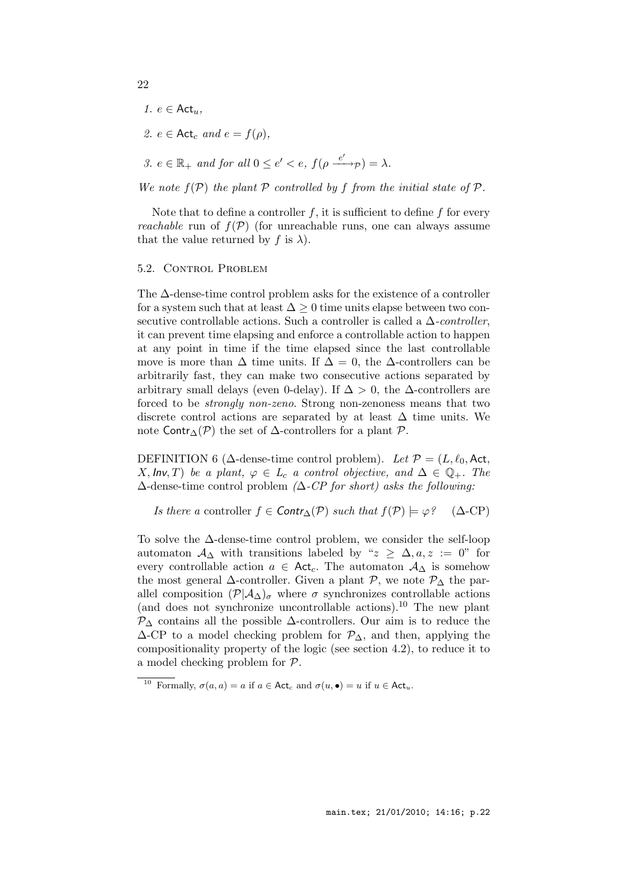- 1.  $e \in \text{Act}_u$ ,
- 2.  $e \in \text{Act}_c$  and  $e = f(\rho)$ ,
- 3.  $e \in \mathbb{R}_+$  and for all  $0 \le e' < e$ ,  $f(\rho \xrightarrow{e'} \neg p) = \lambda$ .

We note  $f(\mathcal{P})$  the plant  $\mathcal P$  controlled by f from the initial state of  $\mathcal P$ .

Note that to define a controller f, it is sufficient to define f for every *reachable* run of  $f(\mathcal{P})$  (for unreachable runs, one can always assume that the value returned by f is  $\lambda$ ).

### 5.2. Control Problem

The ∆-dense-time control problem asks for the existence of a controller for a system such that at least  $\Delta \geq 0$  time units elapse between two consecutive controllable actions. Such a controller is called a  $\Delta$ -controller, it can prevent time elapsing and enforce a controllable action to happen at any point in time if the time elapsed since the last controllable move is more than  $\Delta$  time units. If  $\Delta = 0$ , the  $\Delta$ -controllers can be arbitrarily fast, they can make two consecutive actions separated by arbitrary small delays (even 0-delay). If  $\Delta > 0$ , the  $\Delta$ -controllers are forced to be strongly non-zeno. Strong non-zenoness means that two discrete control actions are separated by at least  $\Delta$  time units. We note Contr<sub>∆</sub>( $\mathcal{P}$ ) the set of  $\Delta$ -controllers for a plant  $\mathcal{P}$ .

DEFINITION 6 ( $\Delta$ -dense-time control problem). Let  $\mathcal{P} = (L, \ell_0, \text{Act},$ X,  $Inv, T$ ) be a plant,  $\varphi \in L_c$  a control objective, and  $\Delta \in \mathbb{Q}_+$ . The  $\Delta$ -dense-time control problem ( $\Delta$ -CP for short) asks the following:

Is there a controller  $f \in \text{Contr}_\Delta(\mathcal{P})$  such that  $f(\mathcal{P}) \models \varphi$ ? ( $\Delta$ -CP)

To solve the ∆-dense-time control problem, we consider the self-loop automaton  $\mathcal{A}_{\Delta}$  with transitions labeled by " $z \geq \Delta, a, z := 0$ " for every controllable action  $a \in \text{Act}_c$ . The automaton  $\mathcal{A}_{\Delta}$  is somehow the most general  $\Delta$ -controller. Given a plant  $\mathcal{P}$ , we note  $\mathcal{P}_{\Delta}$  the parallel composition  $(\mathcal{P}|\mathcal{A}_{\Delta})_{\sigma}$  where  $\sigma$  synchronizes controllable actions (and does not synchronize uncontrollable actions).<sup>10</sup> The new plant  $\mathcal{P}_{\Delta}$  contains all the possible  $\Delta$ -controllers. Our aim is to reduce the  $\Delta$ -CP to a model checking problem for  $\mathcal{P}_{\Delta}$ , and then, applying the compositionality property of the logic (see section 4.2), to reduce it to a model checking problem for P.

<sup>&</sup>lt;sup>10</sup> Formally,  $\sigma(a, a) = a$  if  $a \in \text{Act}_c$  and  $\sigma(u, \bullet) = u$  if  $u \in \text{Act}_u$ .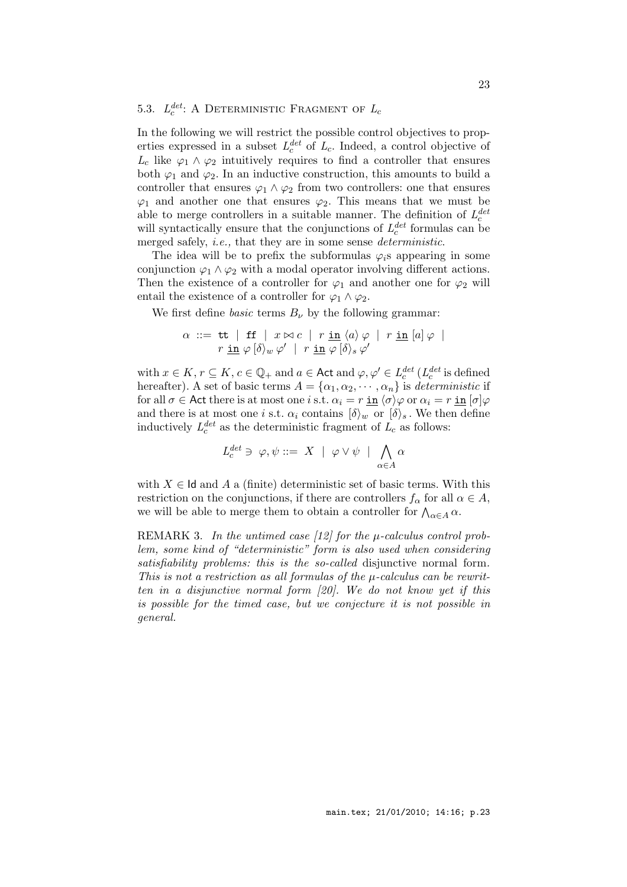#### 5.3.  $L_c^{det}$  $_{c}^{det}$ : A DETERMINISTIC FRAGMENT OF  $L_{c}$

In the following we will restrict the possible control objectives to properties expressed in a subset  $L_c^{det}$  of  $L_c$ . Indeed, a control objective of  $L_c$  like  $\varphi_1 \wedge \varphi_2$  intuitively requires to find a controller that ensures both  $\varphi_1$  and  $\varphi_2$ . In an inductive construction, this amounts to build a controller that ensures  $\varphi_1 \wedge \varphi_2$  from two controllers: one that ensures  $\varphi_1$  and another one that ensures  $\varphi_2$ . This means that we must be able to merge controllers in a suitable manner. The definition of  $L_c^{det}$ c will syntactically ensure that the conjunctions of  $L_c^{det}$  $c^{det}$  formulas can be merged safely, *i.e.*, that they are in some sense *deterministic*.

The idea will be to prefix the subformulas  $\varphi_i$ s appearing in some conjunction  $\varphi_1 \wedge \varphi_2$  with a modal operator involving different actions. Then the existence of a controller for  $\varphi_1$  and another one for  $\varphi_2$  will entail the existence of a controller for  $\varphi_1 \wedge \varphi_2$ .

We first define *basic* terms  $B_{\nu}$  by the following grammar:

$$
\alpha \ ::= \ \mathsf{tt} \ \mid \ \mathsf{ff} \ \mid \ x \bowtie c \ \mid \ r \ \underline{\mathsf{in}} \ \langle a \rangle \varphi \ \mid \ r \ \underline{\mathsf{in}} \ [a] \varphi \ \mid \\ \ r \ \underline{\mathsf{in}} \ \varphi \ [\delta \rangle_w \ \varphi' \ \mid \ r \ \underline{\mathsf{in}} \ \varphi \ [\delta \rangle_s \ \varphi'
$$

with  $x \in K$ ,  $r \subseteq K$ ,  $c \in \mathbb{Q}_+$  and  $a \in \mathsf{Act}$  and  $\varphi, \varphi' \in L_c^{det}$  $_{c}^{det}$  ( $L_c^{det}$  $_{c}^{det}$  is defined hereafter). A set of basic terms  $A = {\alpha_1, \alpha_2, \cdots, \alpha_n}$  is deterministic if for all  $\sigma \in$  Act there is at most one i s.t.  $\alpha_i = r \underline{\text{in}} \langle \sigma \rangle \varphi$  or  $\alpha_i = r \underline{\text{in}} \langle \sigma \rangle \varphi$ and there is at most one *i* s.t.  $\alpha_i$  contains  $\{\delta\}_w$  or  $\{\delta\}_s$ . We then define inductively  $L_c^{det}$  as the deterministic fragment of  $L_c$  as follows:

$$
L_c^{det}\ni\;\varphi,\psi::= \;X\;\mid\; \varphi\vee\psi\;\mid\; \bigwedge_{\alpha\in A}\alpha
$$

with  $X \in \mathsf{Id}$  and A a (finite) deterministic set of basic terms. With this restriction on the conjunctions, if there are controllers  $f_{\alpha}$  for all  $\alpha \in A$ , we will be able to merge them to obtain a controller for  $\bigwedge_{\alpha \in A} \alpha$ .

REMARK 3. In the untimed case  $[12]$  for the  $\mu$ -calculus control problem, some kind of "deterministic" form is also used when considering satisfiability problems: this is the so-called disjunctive normal form. This is not a restriction as all formulas of the  $\mu$ -calculus can be rewritten in a disjunctive normal form [20]. We do not know yet if this is possible for the timed case, but we conjecture it is not possible in general.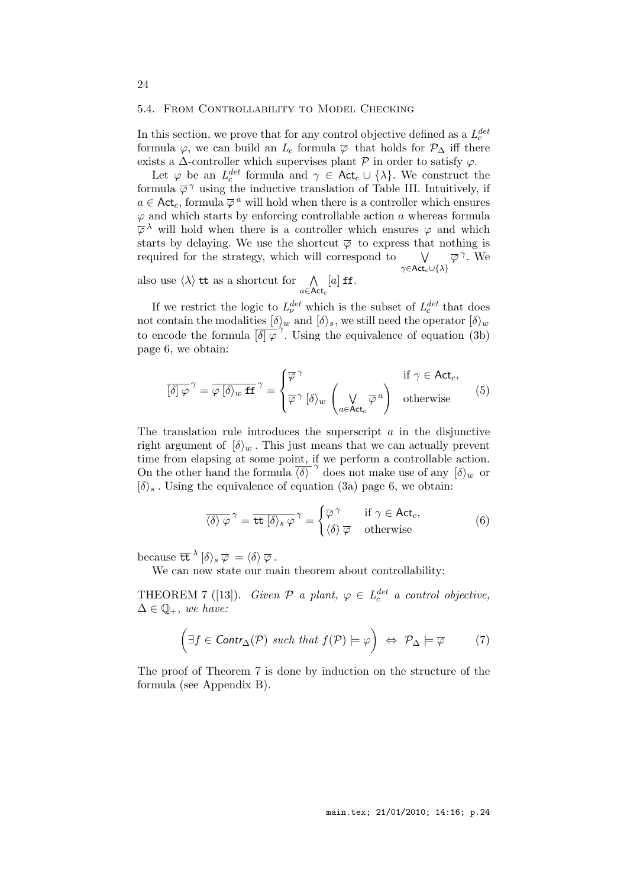### 5.4. From Controllability to Model Checking

In this section, we prove that for any control objective defined as a  $L_c^{det}$ c formula  $\varphi$ , we can build an  $L_c$  formula  $\overline{\varphi}$  that holds for  $\mathcal{P}_{\Delta}$  iff there exists a  $\Delta$ -controller which supervises plant  $P$  in order to satisfy  $\varphi$ .

Let  $\varphi$  be an  $L_c^{det}$  $c^{det}_{c}$  formula and  $\gamma \in \mathsf{Act}_{c} \cup \{\lambda\}$ . We construct the formula  $\overline{\varphi}$ <sup> $\gamma$ </sup> using the inductive translation of Table III. Intuitively, if  $a \in \mathsf{Act}_c$ , formula  $\overline{\varphi}^a$  will hold when there is a controller which ensures  $\varphi$  and which starts by enforcing controllable action a whereas formula  $\overline{\varphi}^{\lambda}$  will hold when there is a controller which ensures  $\varphi$  and which starts by delaying. We use the shortcut  $\overline{\varphi}$  to express that nothing is required for the strategy, which will correspond to  $\gamma \in \mathsf{Act}_c \cup \{\lambda\}$  $\overline{\varphi}^{\,\gamma}$ . We

also use  $\langle \lambda \rangle$  tt as a shortcut for  $\Lambda$  $a \in$ Act $_c$  $[a]$  ff.

If we restrict the logic to  $L^{det}_{\nu}$  which is the subset of  $L^{det}_{c}$  $c^{det}$  that does not contain the modalities  $[\delta\rangle_w$  and  $[\delta\rangle_s$ , we still need the operator  $[\delta\rangle_w$ to encode the formula  $\frac{1}{\delta |\varphi'}\tilde{\gamma}$ . Using the equivalence of equation (3b) page 6, we obtain:

$$
\overline{[\delta]\,\varphi}^{\,\gamma} = \overline{\varphi\,[\delta\rangle_w \,\mathrm{ff}}^{\,\gamma} = \begin{cases} \overline{\varphi}^{\,\gamma} & \text{if } \gamma \in \mathrm{Act}_c, \\ \overline{\varphi}^{\,\gamma} \,[\delta\rangle_w \,\left(\bigvee_{a \in \mathrm{Act}_c} \overline{\varphi}^{\,a}\right) & \text{otherwise} \end{cases} \tag{5}
$$

The translation rule introduces the superscript  $\alpha$  in the disjunctive right argument of  $\{\delta\}_w$ . This just means that we can actually prevent time from elapsing at some point, if we perform a controllable action. On the other hand the formula  $\overline{\langle \delta \rangle}^{\gamma}$  does not make use of any  $\overline{\langle \delta \rangle}_w$  or  $[\delta\rangle_s$ . Using the equivalence of equation (3a) page 6, we obtain:

$$
\overline{\langle \delta \rangle \varphi}^{\gamma} = \overline{\text{tt}[\delta\rangle_s \varphi}^{\gamma} = \begin{cases} \overline{\varphi}^{\gamma} & \text{if } \gamma \in \text{Act}_c, \\ \langle \delta \rangle \overline{\varphi} & \text{otherwise} \end{cases}
$$
(6)

because  $\overline{\text{tt}}^{\lambda} [\delta \rangle_s \overline{\varphi} = \langle \delta \rangle \overline{\varphi}$  .

We can now state our main theorem about controllability:

THEOREM 7 ([13]). Given  $P$  a plant,  $\varphi \in L_c^{det}$  a control objective,  $\Delta \in \mathbb{Q}_+$ , we have:

$$
\left(\exists f \in \text{Contr}_{\Delta}(\mathcal{P}) \text{ such that } f(\mathcal{P}) \models \varphi\right) \Leftrightarrow \mathcal{P}_{\Delta} \models \overline{\varphi} \tag{7}
$$

The proof of Theorem 7 is done by induction on the structure of the formula (see Appendix B).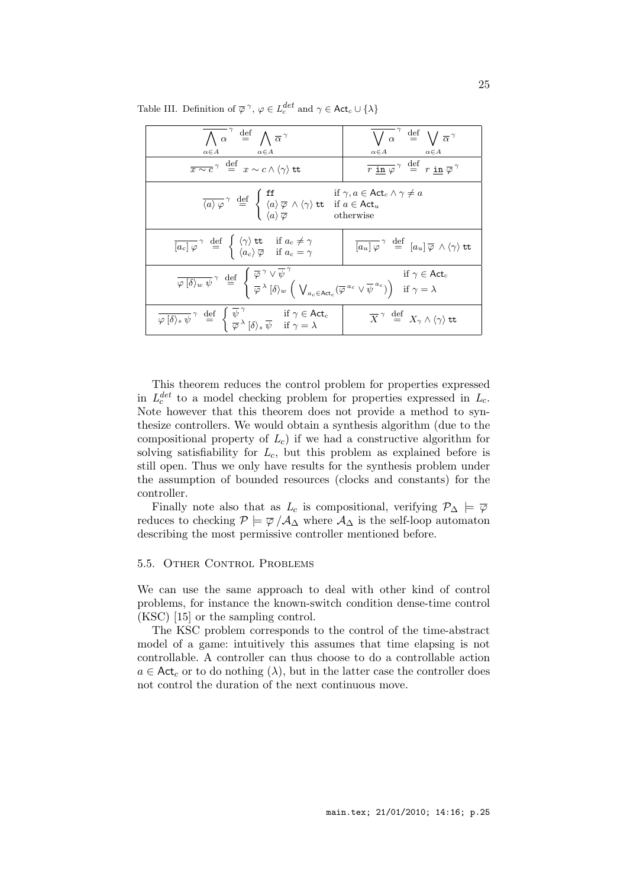Table III. Definition of  $\overline{\varphi}^{\gamma}$ ,  $\varphi \in L_c^{det}$  and  $\gamma \in \textsf{Act}_c \cup \{\lambda\}$ 

| $\overline{\bigwedge\alpha}^{\gamma} \stackrel{\text{def}}{=} \bigwedge \overline{\alpha}^{\gamma}$<br>$\alpha \in A$<br>$\alpha \in A$                                                                                                                                                                                                                                                                                   | $\overline{\bigvee\, \alpha}^{\;\gamma} \;\stackrel{\mathrm{def}}{=} \;\bigvee\, \overline{\alpha}^{\,\gamma}$<br>$\alpha \in A$<br>$\alpha\!\in\!A$ |
|---------------------------------------------------------------------------------------------------------------------------------------------------------------------------------------------------------------------------------------------------------------------------------------------------------------------------------------------------------------------------------------------------------------------------|------------------------------------------------------------------------------------------------------------------------------------------------------|
| $\overline{x \sim c}$ <sup><math>\gamma</math></sup> $\stackrel{\text{def}}{=}$ $x \sim c \wedge \langle \gamma \rangle$ tt                                                                                                                                                                                                                                                                                               | $\overline{r \text{ in } \varphi}$ <sup><math>\gamma</math></sup> $\stackrel{\text{def}}{=}$ $r \text{ in } \overline{\varphi}$                      |
| $\overline{\langle a \rangle \varphi}$ <sup><math>\gamma</math></sup> def $\begin{cases}$ <b>ff</b> $\langle a \rangle \overline{\varphi} \land \langle \gamma \rangle$ <b>tt</b> if $a \in \text{Act}_{u}$<br>$\overline{\langle a \rangle \varphi}$ $\overline{\varphi}$ $\overline{\langle a \rangle \varphi}$ the subset of $\overline{\langle a \rangle \varphi}$                                                    |                                                                                                                                                      |
| $\overline{[a_c]\,\varphi}$ <sup><math>\gamma</math></sup> def $\left\{\n\begin{array}{ll}\n\langle \gamma \rangle \text{tt} & \text{if } a_c \neq \gamma \\ \langle a_c \rangle \overline{\varphi} & \text{if } a_c = \gamma\n\end{array}\n\right.$                                                                                                                                                                      | $\overline{\left[a_u\right]\varphi}^{\gamma} \stackrel{\text{def}}{=} \left[a_u\right]\overline{\varphi} \wedge \langle \gamma \rangle$ tt           |
| $\overline{\varphi\left[\delta\right\rangle_{w} \psi}^{\gamma} \stackrel{\text{def}}{=} \begin{cases} \overline{\varphi}^{\gamma} \vee \overline{\psi}^{\gamma} & \text{if } \gamma \in \text{Act}_{c} \\ \overline{\varphi}^{\lambda} \left[\delta\right\rangle_{w} \left(\bigvee_{a_{c} \in \text{Act}_{c}} (\overline{\varphi}^{a_{c}} \vee \overline{\psi}^{a_{c}})\right) & \text{if } \gamma = \lambda \end{cases}$ |                                                                                                                                                      |
| $\overline{\varphi \left[\delta\right]_{s} \psi}^{\gamma} \stackrel{\text{def}}{=} \begin{cases} \psi' & \text{if } \gamma \in \text{Act}_{c} \\ \overline{\varphi}^{\lambda} \left[\delta\right]_{s} \overline{\psi} & \text{if } \gamma = \lambda \end{cases}$                                                                                                                                                          | $\overline{X}^{\gamma} \stackrel{\text{def}}{=} X_{\gamma} \wedge \langle \gamma \rangle$ tt                                                         |

This theorem reduces the control problem for properties expressed in  $L_c^{det}$  $c^{det}_{c}$  to a model checking problem for properties expressed in  $L_c$ . Note however that this theorem does not provide a method to synthesize controllers. We would obtain a synthesis algorithm (due to the compositional property of  $L_c$ ) if we had a constructive algorithm for solving satisfiability for  $L_c$ , but this problem as explained before is still open. Thus we only have results for the synthesis problem under the assumption of bounded resources (clocks and constants) for the controller.

Finally note also that as  $L_c$  is compositional, verifying  $\mathcal{P}_\Delta \models \overline{\varphi}$ reduces to checking  $P \models \overline{\varphi} / A_{\Delta}$  where  $A_{\Delta}$  is the self-loop automaton describing the most permissive controller mentioned before.

### 5.5. Other Control Problems

We can use the same approach to deal with other kind of control problems, for instance the known-switch condition dense-time control (KSC) [15] or the sampling control.

The KSC problem corresponds to the control of the time-abstract model of a game: intuitively this assumes that time elapsing is not controllable. A controller can thus choose to do a controllable action  $a \in \text{Act}_c$  or to do nothing  $(\lambda)$ , but in the latter case the controller does not control the duration of the next continuous move.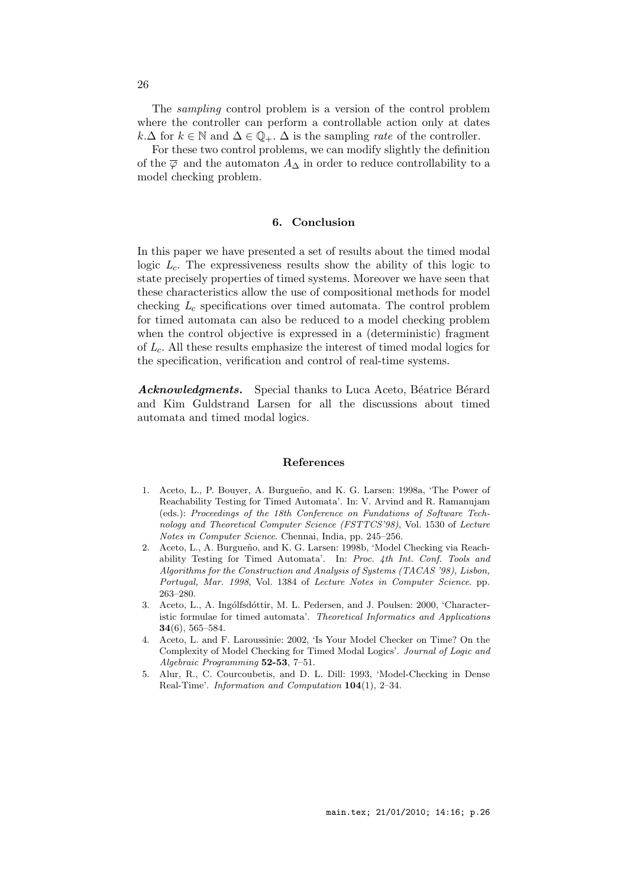The sampling control problem is a version of the control problem where the controller can perform a controllable action only at dates  $k.\Delta$  for  $k \in \mathbb{N}$  and  $\Delta \in \mathbb{Q}_+$ .  $\Delta$  is the sampling *rate* of the controller.

For these two control problems, we can modify slightly the definition of the  $\overline{\varphi}$  and the automaton  $A_{\Delta}$  in order to reduce controllability to a model checking problem.

### 6. Conclusion

In this paper we have presented a set of results about the timed modal logic  $L_c$ . The expressiveness results show the ability of this logic to state precisely properties of timed systems. Moreover we have seen that these characteristics allow the use of compositional methods for model checking  $L_c$  specifications over timed automata. The control problem for timed automata can also be reduced to a model checking problem when the control objective is expressed in a (deterministic) fragment of  $L_c$ . All these results emphasize the interest of timed modal logics for the specification, verification and control of real-time systems.

Acknowledgments. Special thanks to Luca Aceto, Béatrice Bérard and Kim Guldstrand Larsen for all the discussions about timed automata and timed modal logics.

### References

- 1. Aceto, L., P. Bouyer, A. Burgueño, and K. G. Larsen: 1998a, 'The Power of Reachability Testing for Timed Automata'. In: V. Arvind and R. Ramanujam (eds.): Proceedings of the 18th Conference on Fundations of Software Technology and Theoretical Computer Science (FSTTCS'98), Vol. 1530 of Lecture Notes in Computer Science. Chennai, India, pp. 245–256.
- 2. Aceto, L., A. Burgueño, and K. G. Larsen: 1998b, 'Model Checking via Reachability Testing for Timed Automata'. In: Proc. 4th Int. Conf. Tools and Algorithms for the Construction and Analysis of Systems (TACAS '98), Lisbon, Portugal, Mar. 1998, Vol. 1384 of Lecture Notes in Computer Science. pp. 263–280.
- 3. Aceto, L., A. Ingólfsdóttir, M. L. Pedersen, and J. Poulsen: 2000, 'Characteristic formulae for timed automata'. Theoretical Informatics and Applications 34(6), 565–584.
- 4. Aceto, L. and F. Laroussinie: 2002, 'Is Your Model Checker on Time? On the Complexity of Model Checking for Timed Modal Logics'. Journal of Logic and Algebraic Programming 52-53, 7–51.
- 5. Alur, R., C. Courcoubetis, and D. L. Dill: 1993, 'Model-Checking in Dense Real-Time'. Information and Computation 104(1), 2–34.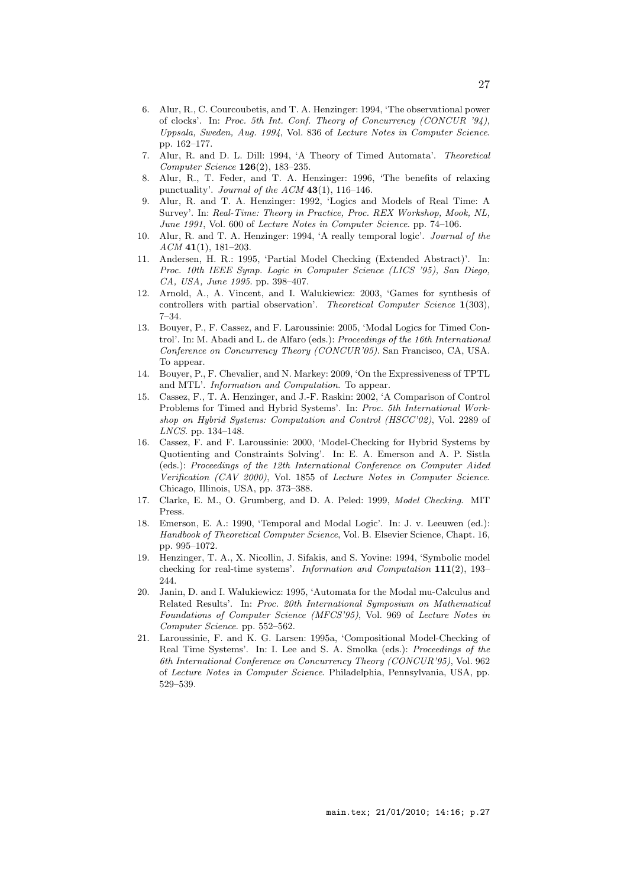- 6. Alur, R., C. Courcoubetis, and T. A. Henzinger: 1994, 'The observational power of clocks'. In: Proc. 5th Int. Conf. Theory of Concurrency (CONCUR '94), Uppsala, Sweden, Aug. 1994, Vol. 836 of Lecture Notes in Computer Science. pp. 162–177.
- 7. Alur, R. and D. L. Dill: 1994, 'A Theory of Timed Automata'. Theoretical Computer Science 126(2), 183–235.
- 8. Alur, R., T. Feder, and T. A. Henzinger: 1996, 'The benefits of relaxing punctuality'. Journal of the  $ACM$  43(1), 116–146.
- 9. Alur, R. and T. A. Henzinger: 1992, 'Logics and Models of Real Time: A Survey'. In: Real-Time: Theory in Practice, Proc. REX Workshop, Mook, NL, June 1991, Vol. 600 of Lecture Notes in Computer Science. pp. 74–106.
- 10. Alur, R. and T. A. Henzinger: 1994, 'A really temporal logic'. Journal of the  $ACM$  41(1), 181-203.
- 11. Andersen, H. R.: 1995, 'Partial Model Checking (Extended Abstract)'. In: Proc. 10th IEEE Symp. Logic in Computer Science (LICS '95), San Diego, CA, USA, June 1995. pp. 398–407.
- 12. Arnold, A., A. Vincent, and I. Walukiewicz: 2003, 'Games for synthesis of controllers with partial observation'. Theoretical Computer Science 1(303), 7–34.
- 13. Bouyer, P., F. Cassez, and F. Laroussinie: 2005, 'Modal Logics for Timed Control'. In: M. Abadi and L. de Alfaro (eds.): Proceedings of the 16th International Conference on Concurrency Theory (CONCUR'05). San Francisco, CA, USA. To appear.
- 14. Bouyer, P., F. Chevalier, and N. Markey: 2009, 'On the Expressiveness of TPTL and MTL'. Information and Computation. To appear.
- 15. Cassez, F., T. A. Henzinger, and J.-F. Raskin: 2002, 'A Comparison of Control Problems for Timed and Hybrid Systems'. In: Proc. 5th International Workshop on Hybrid Systems: Computation and Control (HSCC'02), Vol. 2289 of LNCS. pp. 134–148.
- 16. Cassez, F. and F. Laroussinie: 2000, 'Model-Checking for Hybrid Systems by Quotienting and Constraints Solving'. In: E. A. Emerson and A. P. Sistla (eds.): Proceedings of the 12th International Conference on Computer Aided Verification (CAV 2000), Vol. 1855 of Lecture Notes in Computer Science. Chicago, Illinois, USA, pp. 373–388.
- 17. Clarke, E. M., O. Grumberg, and D. A. Peled: 1999, Model Checking. MIT Press.
- 18. Emerson, E. A.: 1990, 'Temporal and Modal Logic'. In: J. v. Leeuwen (ed.): Handbook of Theoretical Computer Science, Vol. B. Elsevier Science, Chapt. 16, pp. 995–1072.
- 19. Henzinger, T. A., X. Nicollin, J. Sifakis, and S. Yovine: 1994, 'Symbolic model checking for real-time systems'. Information and Computation 111(2), 193– 244.
- 20. Janin, D. and I. Walukiewicz: 1995, 'Automata for the Modal mu-Calculus and Related Results'. In: Proc. 20th International Symposium on Mathematical Foundations of Computer Science (MFCS'95), Vol. 969 of Lecture Notes in Computer Science. pp. 552–562.
- 21. Laroussinie, F. and K. G. Larsen: 1995a, 'Compositional Model-Checking of Real Time Systems'. In: I. Lee and S. A. Smolka (eds.): Proceedings of the 6th International Conference on Concurrency Theory (CONCUR'95), Vol. 962 of Lecture Notes in Computer Science. Philadelphia, Pennsylvania, USA, pp. 529–539.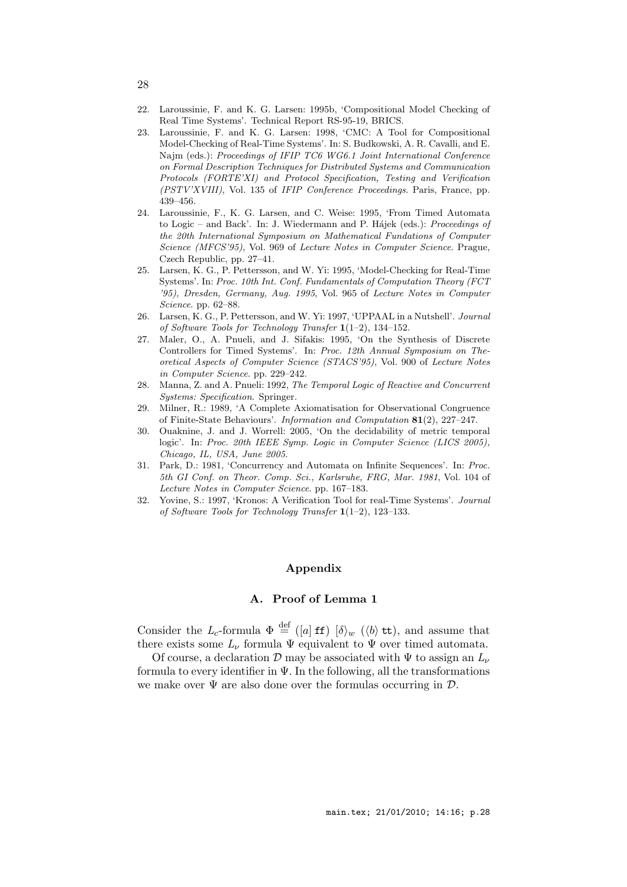- 22. Laroussinie, F. and K. G. Larsen: 1995b, 'Compositional Model Checking of Real Time Systems'. Technical Report RS-95-19, BRICS.
- 23. Laroussinie, F. and K. G. Larsen: 1998, 'CMC: A Tool for Compositional Model-Checking of Real-Time Systems'. In: S. Budkowski, A. R. Cavalli, and E. Najm (eds.): Proceedings of IFIP TC6 WG6.1 Joint International Conference on Formal Description Techniques for Distributed Systems and Communication Protocols (FORTE'XI) and Protocol Specification, Testing and Verification (PSTV'XVIII), Vol. 135 of IFIP Conference Proceedings. Paris, France, pp. 439–456.
- 24. Laroussinie, F., K. G. Larsen, and C. Weise: 1995, 'From Timed Automata to Logic – and Back'. In: J. Wiedermann and P. Hájek (eds.): Proceedings of the 20th International Symposium on Mathematical Fundations of Computer Science (MFCS'95), Vol. 969 of Lecture Notes in Computer Science. Prague, Czech Republic, pp. 27–41.
- 25. Larsen, K. G., P. Pettersson, and W. Yi: 1995, 'Model-Checking for Real-Time Systems'. In: Proc. 10th Int. Conf. Fundamentals of Computation Theory (FCT '95), Dresden, Germany, Aug. 1995, Vol. 965 of Lecture Notes in Computer Science. pp. 62–88.
- 26. Larsen, K. G., P. Pettersson, and W. Yi: 1997, 'UPPAAL in a Nutshell'. Journal of Software Tools for Technology Transfer 1(1–2), 134–152.
- 27. Maler, O., A. Pnueli, and J. Sifakis: 1995, 'On the Synthesis of Discrete Controllers for Timed Systems'. In: Proc. 12th Annual Symposium on Theoretical Aspects of Computer Science (STACS'95), Vol. 900 of Lecture Notes in Computer Science. pp. 229–242.
- 28. Manna, Z. and A. Pnueli: 1992, The Temporal Logic of Reactive and Concurrent Systems: Specification. Springer.
- 29. Milner, R.: 1989, 'A Complete Axiomatisation for Observational Congruence of Finite-State Behaviours'. Information and Computation 81(2), 227–247.
- 30. Ouaknine, J. and J. Worrell: 2005, 'On the decidability of metric temporal logic'. In: Proc. 20th IEEE Symp. Logic in Computer Science (LICS 2005), Chicago, IL, USA, June 2005.
- 31. Park, D.: 1981, 'Concurrency and Automata on Infinite Sequences'. In: Proc. 5th GI Conf. on Theor. Comp. Sci., Karlsruhe, FRG, Mar. 1981, Vol. 104 of Lecture Notes in Computer Science. pp. 167–183.
- 32. Yovine, S.: 1997, 'Kronos: A Verification Tool for real-Time Systems'. Journal of Software Tools for Technology Transfer 1(1–2), 123–133.

### Appendix

### A. Proof of Lemma 1

Consider the L<sub>c</sub>-formula  $\Phi \stackrel{\text{def}}{=} ([a] \text{ ff}) [\delta \rangle_w (\langle b \rangle \text{ tt})$ , and assume that there exists some  $L_{\nu}$  formula  $\Psi$  equivalent to  $\Psi$  over timed automata.

Of course, a declaration D may be associated with  $\Psi$  to assign an  $L_{\nu}$ formula to every identifier in  $\Psi$ . In the following, all the transformations we make over  $\Psi$  are also done over the formulas occurring in  $\mathcal{D}$ .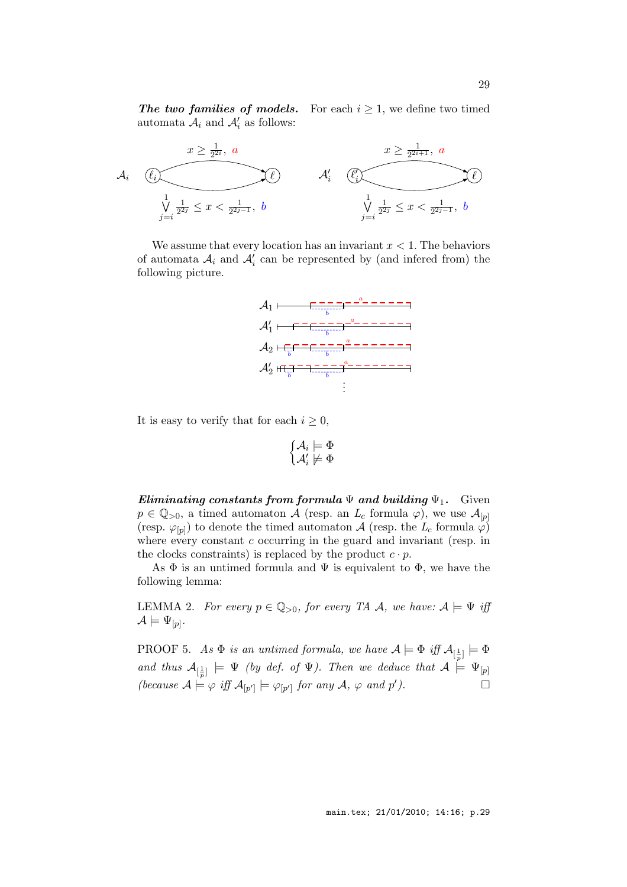automata  $A_i$  and  $A'_i$  as follows:

The two families of models. For each  $i \geq 1$ , we define two timed



We assume that every location has an invariant  $x < 1$ . The behaviors of automata  $A_i$  and  $A'_i$  can be represented by (and infered from) the following picture.



It is easy to verify that for each  $i \geq 0$ ,

$$
\biggl\{ \begin{matrix} \mathcal{A}_i \models \Phi \\ \mathcal{A}'_i \not \models \Phi \end{matrix}
$$

Eliminating constants from formula  $\Psi$  and building  $\Psi_1$ . Given  $p \in \mathbb{Q}_{>0}$ , a timed automaton A (resp. an  $L_c$  formula  $\varphi$ ), we use  $\mathcal{A}_{[p]}$ (resp.  $\varphi_{[p]}$ ) to denote the timed automaton A (resp. the  $L_c$  formula  $\varphi$ ) where every constant  $c$  occurring in the guard and invariant (resp. in the clocks constraints) is replaced by the product  $c \cdot p$ .

As  $\Phi$  is an untimed formula and  $\Psi$  is equivalent to  $\Phi$ , we have the following lemma:

LEMMA 2. For every  $p \in \mathbb{Q}_{>0}$ , for every TA A, we have:  $A \models \Psi$  iff  $\mathcal{A}\models \Psi_{[p]}.$ 

PROOF 5. As  $\Phi$  is an untimed formula, we have  $\mathcal{A} \models \Phi$  iff  $\mathcal{A}_{[\frac{1}{p}]} \models \Phi$ and thus  $\mathcal{A}_{\left[\frac{1}{p}\right]} \models \Psi$  (by def. of  $\Psi$ ). Then we deduce that  $\mathcal{A} \models \Psi_{[p]}$ (because  $\mathcal{A} \models \varphi$  iff  $\mathcal{A}_{[p']} \models \varphi_{[p']}$  for any  $\mathcal{A}, \varphi$  and  $p'$  $\Box$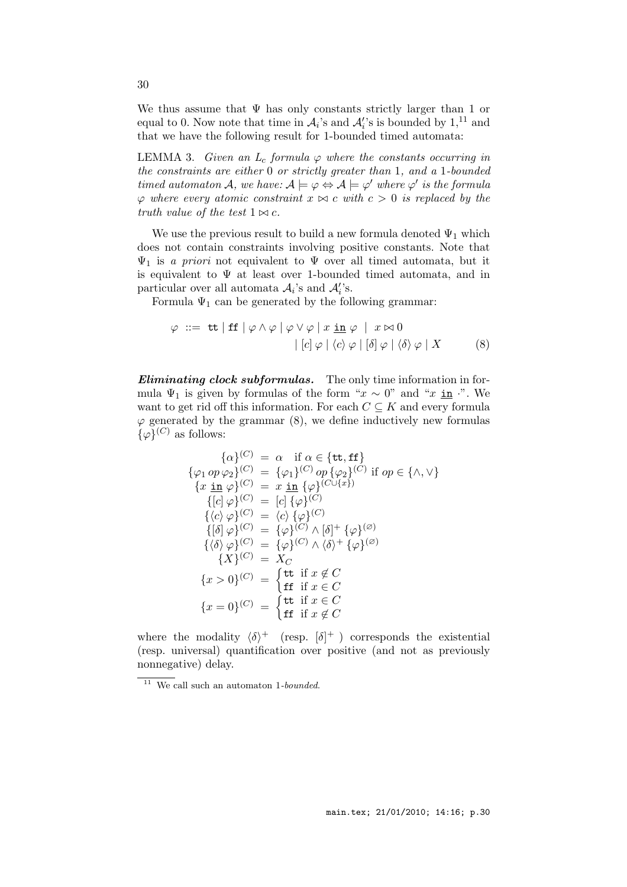We thus assume that  $\Psi$  has only constants strictly larger than 1 or equal to 0. Now note that time in  $\mathcal{A}_i$ 's and  $\mathcal{A}'_i$ 's is bounded by  $1$ <sup>11</sup>, and that we have the following result for 1-bounded timed automata:

LEMMA 3. Given an  $L_c$  formula  $\varphi$  where the constants occurring in the constraints are either 0 or strictly greater than 1, and a 1-bounded timed automaton A, we have:  $A \models \varphi \Leftrightarrow A \models \varphi'$  where  $\varphi'$  is the formula  $\varphi$  where every atomic constraint  $x \bowtie c$  with  $c > 0$  is replaced by the truth value of the test  $1 \Join c$ .

We use the previous result to build a new formula denoted  $\Psi_1$  which does not contain constraints involving positive constants. Note that  $\Psi_1$  is a priori not equivalent to  $\Psi$  over all timed automata, but it is equivalent to  $\Psi$  at least over 1-bounded timed automata, and in particular over all automata  $A_i$ 's and  $A_i'$ 's.

Formula  $\Psi_1$  can be generated by the following grammar:

$$
\varphi \ ::= \ \mathbf{tt} \mid \mathbf{ff} \mid \varphi \land \varphi \mid \varphi \lor \varphi \mid x \ \mathbf{in} \ \varphi \mid x \bowtie 0
$$
\n
$$
\mid [c] \varphi \mid \langle c \rangle \varphi \mid [\delta] \varphi \mid \langle \delta \rangle \varphi \mid X \tag{8}
$$

**Eliminating clock subformulas.** The only time information in formula  $\Psi_1$  is given by formulas of the form " $x \sim 0$ " and " $x \underline{\text{in}}$ ". We want to get rid off this information. For each  $C \subseteq K$  and every formula  $\varphi$  generated by the grammar (8), we define inductively new formulas  $\{\varphi\}^{(C)}$  as follows:

$$
\{\alpha\}^{(C)} = \alpha \quad \text{if } \alpha \in \{\text{tt}, \text{ff}\}
$$
\n
$$
\{\varphi_1 op \varphi_2\}^{(C)} = \{\varphi_1\}^{(C)} op \{\varphi_2\}^{(C)} \quad \text{if } op \in \{\land, \lor\}
$$
\n
$$
\{x \underline{\text{in}} \varphi\}^{(C)} = x \underline{\text{in}} \{\varphi\}^{(C \cup \{x\})}
$$
\n
$$
\{[c] \varphi\}^{(C)} = [c] \{\varphi\}^{(C)}
$$
\n
$$
\{\langle c \rangle \varphi\}^{(C)} = \langle c \rangle \{\varphi\}^{(C)}
$$
\n
$$
\{\{\delta\} \varphi\}^{(C)} = \{\varphi\}^{(C)} \land \{\delta\}^+ \{\varphi\}^{(Z)}
$$
\n
$$
\{\langle \delta \rangle \varphi\}^{(C)} = \{\varphi\}^{(C)} \land \langle \delta \rangle^+ \{\varphi\}^{(Z)}
$$
\n
$$
\{X\}^{(C)} = X_C
$$
\n
$$
\{x > 0\}^{(C)} = \begin{cases} \text{tt if } \text{if } x \notin C \\ \text{tt if } \text{if } x \in C \end{cases}
$$
\n
$$
\{x = 0\}^{(C)} = \begin{cases} \text{tt if } \text{if } x \notin C \\ \text{tt if } \text{if } x \notin C \end{cases}
$$

where the modality  $\langle \delta \rangle^+$  (resp.  $[\delta]^+$ ) corresponds the existential (resp. universal) quantification over positive (and not as previously nonnegative) delay.

 $\overline{11}$  We call such an automaton 1-bounded.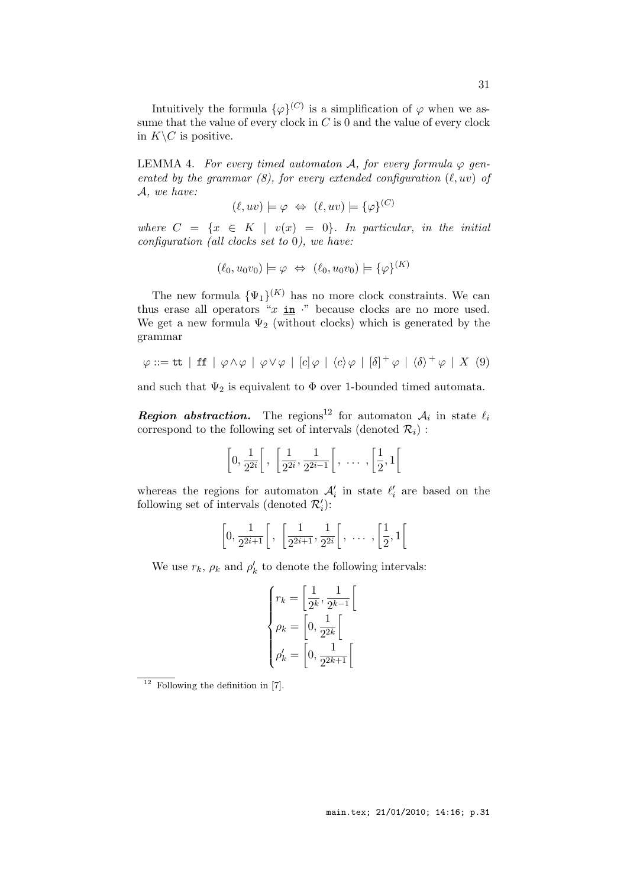Intuitively the formula  $\{\varphi\}^{(C)}$  is a simplification of  $\varphi$  when we assume that the value of every clock in  $C$  is 0 and the value of every clock in  $K\backslash C$  is positive.

LEMMA 4. For every timed automaton A, for every formula  $\varphi$  generated by the grammar  $(8)$ , for every extended configuration  $(\ell, uv)$  of A, we have:

$$
(\ell, uv) \models \varphi \Leftrightarrow (\ell, uv) \models {\varphi}^{(C)}
$$

where  $C = \{x \in K \mid v(x) = 0\}$ . In particular, in the initial configuration (all clocks set to 0), we have:

$$
(\ell_0, u_0v_0) \models \varphi \Leftrightarrow (\ell_0, u_0v_0) \models {\varphi}^{(K)}
$$

The new formula  $\{\Psi_1\}^{(K)}$  has no more clock constraints. We can thus erase all operators " $x \underline{\text{in}}$ " because clocks are no more used. We get a new formula  $\Psi_2$  (without clocks) which is generated by the grammar

$$
\varphi ::= \mathsf{tt} \mid \mathsf{ff} \mid \varphi \land \varphi \mid \varphi \lor \varphi \mid [c] \varphi \mid \langle c \rangle \varphi \mid [\delta]^+ \varphi \mid \langle \delta \rangle^+ \varphi \mid X \tag{9}
$$

and such that  $\Psi_2$  is equivalent to  $\Phi$  over 1-bounded timed automata.

**Region abstraction.** The regions<sup>12</sup> for automaton  $A_i$  in state  $\ell_i$ correspond to the following set of intervals (denoted  $\mathcal{R}_i$ ) :

$$
\left[0, \frac{1}{2^{2i}}\right[, \left[\frac{1}{2^{2i}}, \frac{1}{2^{2i-1}}\right[, \ldots, \left[\frac{1}{2}, 1\right[\right]
$$

whereas the regions for automaton  $\mathcal{A}'_i$  in state  $\ell'_i$  are based on the following set of intervals (denoted  $\mathcal{R}'_i$ ):

$$
\left[0, \frac{1}{2^{2i+1}}\right[, \left[\frac{1}{2^{2i+1}}, \frac{1}{2^{2i}}\right[, \ldots, \left[\frac{1}{2}, 1\right[\right]
$$

We use  $r_k$ ,  $\rho_k$  and  $\rho'_k$  to denote the following intervals:

$$
\begin{cases}\nr_k = \left[\frac{1}{2^k}, \frac{1}{2^{k-1}}\right] \\
\rho_k = \left[0, \frac{1}{2^{2k}}\right] \\
\rho'_k = \left[0, \frac{1}{2^{2k+1}}\right]\n\end{cases}
$$

 $\overline{12}$  Following the definition in [7].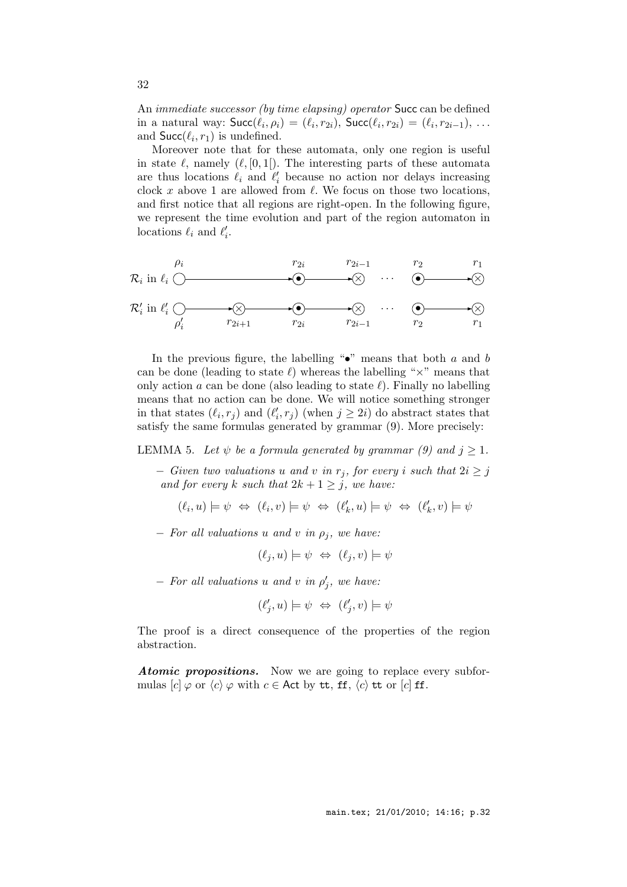An immediate successor (by time elapsing) operator Succ can be defined in a natural way:  $\mathsf{Succ}(\ell_i, \rho_i) = (\ell_i, r_{2i}), \mathsf{Succ}(\ell_i, r_{2i}) = (\ell_i, r_{2i-1}), \dots$ and  $\textsf{Succ}(\ell_i, r_1)$  is undefined.

Moreover note that for these automata, only one region is useful in state  $\ell$ , namely  $(\ell, [0, 1])$ . The interesting parts of these automata are thus locations  $\ell_i$  and  $\ell'_i$  because no action nor delays increasing clock x above 1 are allowed from  $\ell$ . We focus on those two locations, and first notice that all regions are right-open. In the following figure, we represent the time evolution and part of the region automaton in locations  $\ell_i$  and  $\ell'_i$ .

R<sup>i</sup> in ℓ<sup>i</sup> • × . . . • × ρ<sup>i</sup> r2<sup>i</sup> r2i−<sup>1</sup> r<sup>2</sup> r<sup>1</sup> R′ i in ℓ ′ <sup>i</sup> × • × . . . • × ρ ′ i r2i+1 r2<sup>i</sup> r2i−<sup>1</sup> r<sup>2</sup> r<sup>1</sup>

In the previous figure, the labelling " $\bullet$ " means that both a and b can be done (leading to state  $\ell$ ) whereas the labelling " $\times$ " means that only action a can be done (also leading to state  $\ell$ ). Finally no labelling means that no action can be done. We will notice something stronger in that states  $(\ell_i, r_j)$  and  $(\ell'_i, r_j)$  (when  $j \geq 2i$ ) do abstract states that satisfy the same formulas generated by grammar (9). More precisely:

LEMMA 5. Let  $\psi$  be a formula generated by grammar (9) and  $j \geq 1$ .

 $-$  Given two valuations u and v in  $r_j$ , for every i such that  $2i \geq j$ and for every k such that  $2k + 1 \geq j$ , we have:

$$
(\ell_i,u) \models \psi \; \Leftrightarrow \; (\ell_i,v) \models \psi \; \Leftrightarrow \; (\ell'_k,u) \models \psi \; \Leftrightarrow \; (\ell'_k,v) \models \psi
$$

 $-$  For all valuations u and v in  $\rho_i$ , we have:

$$
(\ell_j, u) \models \psi \Leftrightarrow (\ell_j, v) \models \psi
$$

 $-$  For all valuations u and v in  $\rho'_j$ , we have:

$$
(\ell'_j, u) \models \psi \iff (\ell'_j, v) \models \psi
$$

The proof is a direct consequence of the properties of the region abstraction.

Atomic propositions. Now we are going to replace every subformulas  $[c] \varphi$  or  $\langle c \rangle \varphi$  with  $c \in$  Act by tt, ff,  $\langle c \rangle$  tt or  $[c]$  ff.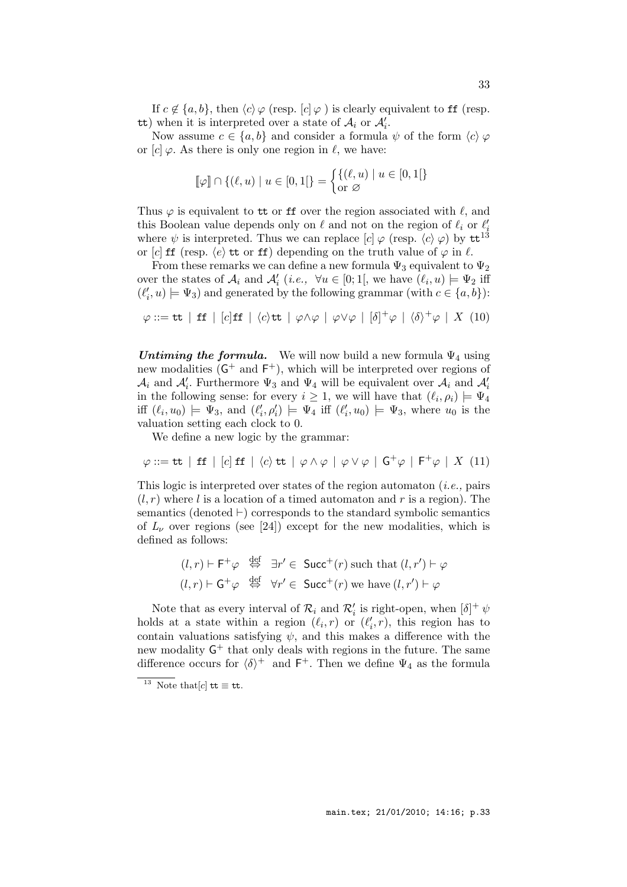If  $c \notin \{a, b\}$ , then  $\langle c \rangle \varphi$  (resp.  $[c] \varphi$ ) is clearly equivalent to ff (resp. tt) when it is interpreted over a state of  $A_i$  or  $A'_i$ .

Now assume  $c \in \{a, b\}$  and consider a formula  $\psi$  of the form  $\langle c \rangle \varphi$ or  $[c] \varphi$ . As there is only one region in  $\ell$ , we have:

$$
[\![\varphi]\!] \cap \{(\ell, u) \mid u \in [0, 1[\}] = \begin{cases} \{(\ell, u) \mid u \in [0, 1[\}] \\ \text{or } \varnothing \end{cases}
$$

Thus  $\varphi$  is equivalent to tt or ff over the region associated with  $\ell$ , and this Boolean value depends only on  $\ell$  and not on the region of  $\ell_i$  or  $\ell'_i$ where  $\psi$  is interpreted. Thus we can replace  $[c] \varphi$  (resp.  $\langle c \rangle \varphi$ ) by tt<sup>13</sup> or [c] ff (resp.  $\langle e \rangle$ ) tt or ff) depending on the truth value of  $\varphi$  in  $\ell$ .

From these remarks we can define a new formula  $\Psi_3$  equivalent to  $\Psi_2$ over the states of  $\mathcal{A}_i$  and  $\mathcal{A}'_i$  (*i.e.*,  $\forall u \in [0;1],$  we have  $(\ell_i, u) \models \Psi_2$  iff  $(\ell'_i, u) \models \Psi_3$  and generated by the following grammar (with  $c \in \{a, b\}$ ):

$$
\varphi ::= \mathtt{tt} \ | \ \mathtt{ff} \ | \ [c] \mathtt{ff} \ | \ \langle c \rangle \mathtt{tt} \ | \ \varphi \wedge \varphi \ | \ \varphi \vee \varphi \ | \ [\delta]^+ \varphi \ | \ \langle \delta \rangle^+ \varphi \ | \ X \ (10)
$$

Untiming the formula. We will now build a new formula  $\Psi_4$  using new modalities  $(G^+$  and  $F^+$ ), which will be interpreted over regions of  $\mathcal{A}_i$  and  $\mathcal{A}'_i$ . Furthermore  $\Psi_3$  and  $\Psi_4$  will be equivalent over  $\mathcal{A}_i$  and  $\mathcal{A}'_i$ in the following sense: for every  $i \geq 1$ , we will have that  $(\ell_i, \rho_i) \models \Psi_4$ iff  $(\ell_i, u_0) \models \Psi_3$ , and  $(\ell'_i, \rho'_i) \models \Psi_4$  iff  $(\ell'_i, u_0) \models \Psi_3$ , where  $u_0$  is the valuation setting each clock to 0.

We define a new logic by the grammar:

$$
\varphi ::= \mathsf{tt} \mid \mathsf{ff} \mid [c] \mathsf{ff} \mid \langle c \rangle \mathsf{tt} \mid \varphi \land \varphi \mid \varphi \lor \varphi \mid \mathsf{G}^+ \varphi \mid \mathsf{F}^+ \varphi \mid X \tag{11}
$$

This logic is interpreted over states of the region automaton  $(i.e., pairs)$  $(l, r)$  where l is a location of a timed automaton and r is a region). The semantics (denoted ⊢) corresponds to the standard symbolic semantics of  $L_{\nu}$  over regions (see [24]) except for the new modalities, which is defined as follows:

$$
(l,r) \vdash \mathsf{F}^+ \varphi \stackrel{\text{def}}{\Leftrightarrow} \exists r' \in \mathsf{Succ}^+(r) \text{ such that } (l,r') \vdash \varphi
$$

$$
(l,r) \vdash \mathsf{G}^+ \varphi \stackrel{\text{def}}{\Leftrightarrow} \forall r' \in \mathsf{Succ}^+(r) \text{ we have } (l,r') \vdash \varphi
$$

Note that as every interval of  $\mathcal{R}_i$  and  $\mathcal{R}'_i$  is right-open, when  $[\delta]^+ \psi$ holds at a state within a region  $(\ell_i, r)$  or  $(\ell'_i, r)$ , this region has to contain valuations satisfying  $\psi$ , and this makes a difference with the new modality  $G^+$  that only deals with regions in the future. The same difference occurs for  $\langle \delta \rangle^+$  and  $F^+$ . Then we define  $\Psi_4$  as the formula

 $\overline{13}$  Note that  $[c]$  tt  $\equiv$  tt.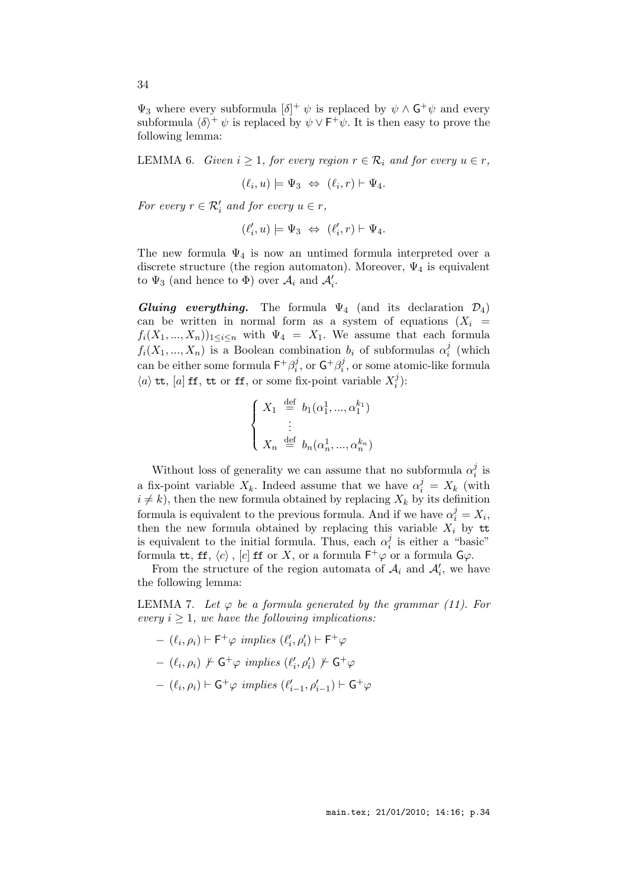$\Psi_3$  where every subformula  $[\delta]^+ \psi$  is replaced by  $\psi \wedge \mathsf{G}^+ \psi$  and every subformula  $\langle \delta \rangle^+ \psi$  is replaced by  $\psi \vee F^+ \psi$ . It is then easy to prove the following lemma:

LEMMA 6. Given  $i \geq 1$ , for every region  $r \in \mathcal{R}_i$  and for every  $u \in r$ ,

$$
(\ell_i, u) \models \Psi_3 \Leftrightarrow (\ell_i, r) \vdash \Psi_4.
$$

For every  $r \in \mathcal{R}'_i$  and for every  $u \in r$ ,

$$
(\ell'_i,u) \models \Psi_3 \; \Leftrightarrow \; (\ell'_i,r) \vdash \Psi_4.
$$

The new formula  $\Psi_4$  is now an untimed formula interpreted over a discrete structure (the region automaton). Moreover,  $\Psi_4$  is equivalent to  $\Psi_3$  (and hence to  $\Phi$ ) over  $\mathcal{A}_i$  and  $\mathcal{A}'_i$ .

Gluing everything. The formula  $\Psi_4$  (and its declaration  $\mathcal{D}_4$ ) can be written in normal form as a system of equations  $(X_i =$  $f_i(X_1, ..., X_n)$ <sub>1 $\lt i\lt n$ </sub> with  $\Psi_4 = X_1$ . We assume that each formula  $f_i(X_1, ..., X_n)$  is a Boolean combination  $b_i$  of subformulas  $\alpha_i^j$  $\frac{j}{i}$  (which can be either some formula  $\mathsf{F}^+ \beta_i^j$  $i^j$ , or  $\mathsf{G}^+\beta_i^j$  $i<sub>i</sub>$ , or some atomic-like formula  $\langle a \rangle$  tt,  $[a]$  ff, tt or ff, or some fix-point variable  $X_i^j$  $_{i}^{j})$ :

$$
\begin{cases}\nX_1 \stackrel{\text{def}}{=} b_1(\alpha_1^1, ..., \alpha_1^{k_1}) \\
\vdots \\
X_n \stackrel{\text{def}}{=} b_n(\alpha_n^1, ..., \alpha_n^{k_n})\n\end{cases}
$$

Without loss of generality we can assume that no subformula  $\alpha_i^j$  $\frac{j}{i}$  is a fix-point variable  $X_k$ . Indeed assume that we have  $\alpha_i^j = X_k$  (with  $i \neq k$ , then the new formula obtained by replacing  $X_k$  by its definition formula is equivalent to the previous formula. And if we have  $\alpha_i^j = X_i$ , then the new formula obtained by replacing this variable  $X_i$  by tt is equivalent to the initial formula. Thus, each  $\alpha_i^j$  $\frac{J}{i}$  is either a "basic" formula tt, ff,  $\langle c \rangle$  ,  $[c]$  ff or X, or a formula  $\mathsf{F}^+\varphi$  or a formula  $\mathsf{G}\varphi$ .

From the structure of the region automata of  $A_i$  and  $A'_i$ , we have the following lemma:

LEMMA 7. Let  $\varphi$  be a formula generated by the grammar (11). For every  $i \geq 1$ , we have the following implications:

- $(\ell_i, \rho_i) \vdash \mathsf{F}^+ \varphi \ \text{implies} \ (\ell'_i, \rho'_i) \vdash \mathsf{F}^+ \varphi$
- $(\ell_i, \rho_i) \not\vdash \mathsf{G}^+ \varphi \text{ implies } (\ell'_i, \rho'_i) \not\vdash \mathsf{G}^+ \varphi$
- $(\ell_i, \rho_i)$   $\vdash$   $\mathsf{G}^+\varphi$  implies  $(\ell'_{i-1}, \rho'_{i-1})$   $\vdash$   $\mathsf{G}^+\varphi$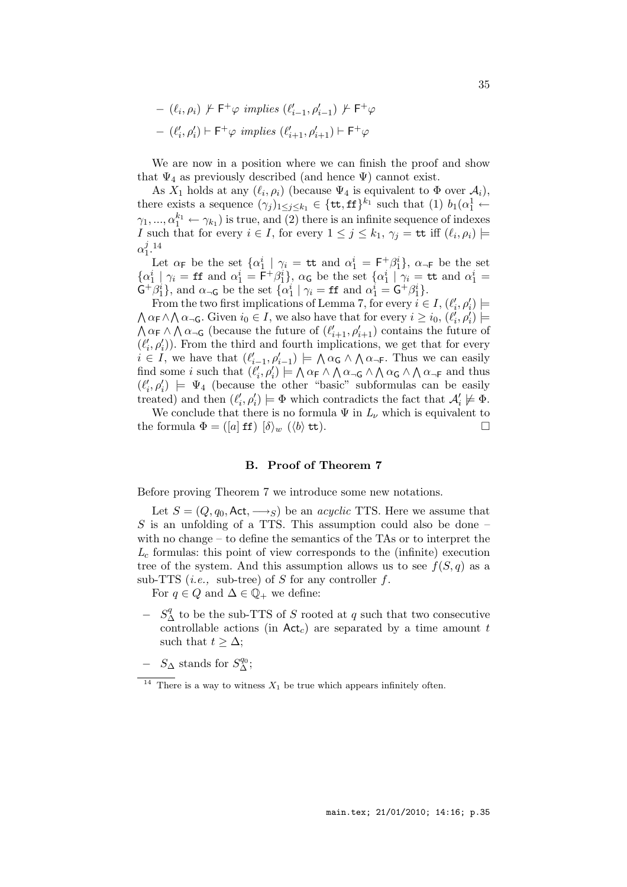$-$  ( $\ell_i, \rho_i$ ) ⊬ F<sup>+</sup> $\varphi$  implies ( $\ell'_{i-1}, \rho'_{i-1}$ ) ⊬ F<sup>+</sup> $\varphi$  $-$  ( $\ell'_i, \rho'_i$ ) ⊢ F<sup>+</sup> $\varphi$  *implies* ( $\ell'_{i+1}, \rho'_{i+1}$ ) ⊢ F<sup>+</sup> $\varphi$ 

We are now in a position where we can finish the proof and show that  $\Psi_4$  as previously described (and hence  $\Psi$ ) cannot exist.

As  $X_1$  holds at any  $(\ell_i, \rho_i)$  (because  $\Psi_4$  is equivalent to  $\Phi$  over  $\mathcal{A}_i$ ), there exists a sequence  $(\gamma_j)_{1 \leq j \leq k_1} \in {\{\texttt{tt}, \texttt{ff}\}}^{k_1}$  such that  $(1)$   $b_1(\alpha_1^1 \leftarrow$  $\gamma_1, ..., \alpha_1^{k_1} \leftarrow \gamma_{k_1}$ ) is true, and (2) there is an infinite sequence of indexes I such that for every  $i \in I$ , for every  $1 \leq j \leq k_1$ ,  $\gamma_j = \mathsf{tt}$  iff  $(\ell_i, \rho_i) \models$  $\alpha_1^j$  $\frac{j}{1}$ . 14

Let  $\alpha_F$  be the set  $\{\alpha_1^i \mid \gamma_i = \text{tt} \text{ and } \alpha_1^i = F^+ \beta_1^i\}, \alpha_F$  be the set  $\{\alpha_1^i \mid \gamma_i = \mathbf{f} \text{f} \text{ and } \alpha_1^i = \mathbf{F}^+ \beta_1^i\}, \alpha_{\mathbf{G}} \text{ be the set } \{\alpha_1^i \mid \gamma_i = \mathbf{t} \text{t} \text{ and } \alpha_1^i = \mathbf{f} \text{ } \text{ } \alpha_1^i = \mathbf{f} \text{ } \text{ } \alpha_1^i = \mathbf{f} \text{ } \text{ } \alpha_1^i = \mathbf{f} \text{ } \text{ } \alpha_1^i = \mathbf{f} \text{ } \text{ } \alpha_1^i = \mathbf{f} \text{ } \$  $\hat{\mathsf{G}}^{\dagger} \hat{\beta}_1^i$ , and  $\alpha_{\neg \mathsf{G}}$  be the set  $\{\alpha_1^i \mid \gamma_i = \mathsf{f} \mathsf{f} \text{ and } \alpha_1^i = \mathsf{G}^{\dagger} \beta_1^i\}.$ 

From the two first implications of Lemma 7, for every  $i \in I$ ,  $(\ell'_i, \rho'_i)$   $\models$  $\bigwedge \alpha_{\mathsf{F}} \wedge \bigwedge \alpha_{\mathsf{TG}}$ . Given  $i_0 \in I$ , we also have that for every  $i \geq i_0$ ,  $(\ell'_i, \rho'_i) \models$  $\bigwedge \alpha_{\mathsf{F}} \wedge \bigwedge \alpha_{\mathsf{-G}}$  (because the future of  $(\ell'_{i+1}, \rho'_{i+1})$  contains the future of  $(\ell'_i, \rho'_i)$ ). From the third and fourth implications, we get that for every  $i \in I$ , we have that  $(\ell'_{i-1}, \rho'_{i-1}) \models \bigwedge \alpha_{\mathsf{G}} \wedge \bigwedge \alpha_{\mathsf{T}}$ . Thus we can easily find some *i* such that  $(\ell'_i, \rho'_i) \models \bigwedge \alpha_{\mathsf{F}} \wedge \bigwedge \alpha_{\neg \mathsf{G}} \wedge \bigwedge \alpha_{\mathsf{G}} \wedge \bigwedge \alpha_{\neg \mathsf{F}}$  and thus  $(\ell'_i, \rho'_i) \models \Psi_4$  (because the other "basic" subformulas can be easily treated) and then  $(\ell'_i, \rho'_i) \models \Phi$  which contradicts the fact that  $\mathcal{A}'_i \not\models \Phi$ .

We conclude that there is no formula  $\Psi$  in  $L_{\nu}$  which is equivalent to the formula  $\Phi = ([a] \text{ ff}) [\delta \rangle_w (\langle b \rangle \text{ tt}).$ 

### B. Proof of Theorem 7

Before proving Theorem 7 we introduce some new notations.

Let  $S = (Q, q_0, \text{Act}, \longrightarrow_S)$  be an *acyclic* TTS. Here we assume that S is an unfolding of a TTS. This assumption could also be done  $$ with no change – to define the semantics of the TAs or to interpret the  $L_c$  formulas: this point of view corresponds to the (infinite) execution tree of the system. And this assumption allows us to see  $f(S, q)$  as a sub-TTS (*i.e.*, sub-tree) of S for any controller  $f$ .

For  $q \in Q$  and  $\Delta \in \mathbb{Q}_+$  we define:

- −  $S^q_$ <sup>∆</sup> to be the sub-TTS of S rooted at q such that two consecutive controllable actions (in  $Act_c$ ) are separated by a time amount t such that  $t > \Delta$ ;
- $S_{\Delta}$  stands for  $S_{\Delta}^{q_0}$ ;

<sup>&</sup>lt;sup>14</sup> There is a way to witness  $X_1$  be true which appears infinitely often.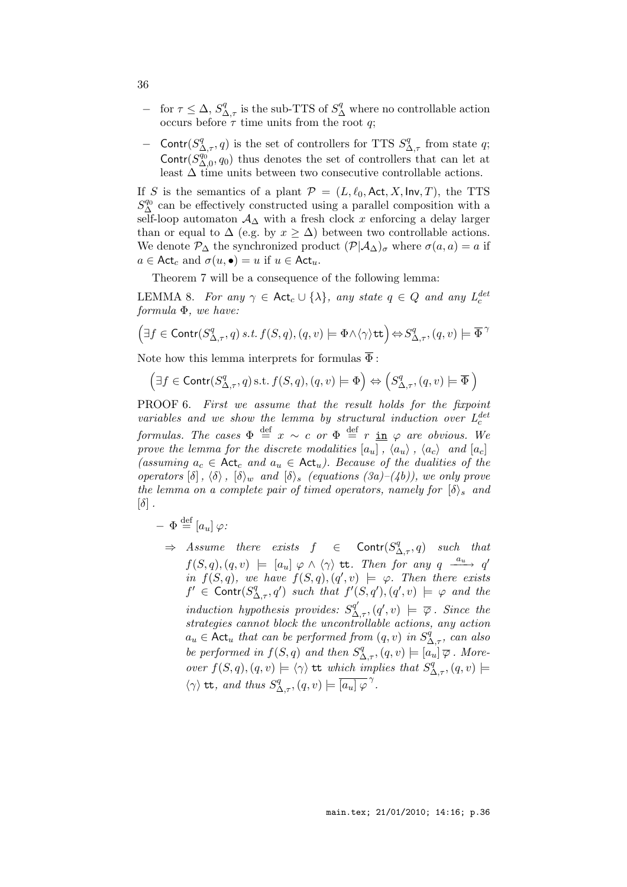- $-$  for  $τ ≤ Δ, S<sup>q</sup><sub>Δ,τ</sub>$  is the sub-TTS of  $S<sup>q</sup><sub>Δ</sub>$  where no controllable action occurs before  $\tau$  time units from the root q;
- − Contr $(S^q_{{\Delta},\tau}, q)$  is the set of controllers for TTS  $S^q_{{\Delta},\tau}$  from state q; Contr $(S_{\Delta,0}^{q_0}, q_0)$  thus denotes the set of controllers that can let at least  $\Delta$  time units between two consecutive controllable actions.

If S is the semantics of a plant  $\mathcal{P} = (L, \ell_0, \text{Act}, X, \text{Inv}, T)$ , the TTS  $S_{\Delta}^{q_0}$  can be effectively constructed using a parallel composition with a self-loop automaton  $A_{\Delta}$  with a fresh clock x enforcing a delay larger than or equal to  $\Delta$  (e.g. by  $x \geq \Delta$ ) between two controllable actions. We denote  $\mathcal{P}_{\Delta}$  the synchronized product  $(\mathcal{P}|\mathcal{A}_{\Delta})_{\sigma}$  where  $\sigma(a,a) = a$  if  $a \in \text{Act}_c$  and  $\sigma(u, \bullet) = u$  if  $u \in \text{Act}_u$ .

Theorem 7 will be a consequence of the following lemma:

LEMMA 8. For any  $\gamma \in \text{Act}_c \cup \{\lambda\}$ , any state  $q \in Q$  and any  $L_c^{det}$ formula Φ, we have:

$$
\left(\exists f \in \mathrm{Contr}(S^q_{\Delta,\tau},q) \: s.t. \: f(S,q), (q,v) \models \Phi \land \langle \gamma \rangle \mathrm{tt} \right) \Leftrightarrow S^q_{\Delta,\tau}, (q,v) \models \overline{\Phi}^{\,\gamma}
$$

Note how this lemma interprets for formulas  $\overline{\Phi}$  :

$$
(\exists f \in \text{Contr}(S^q_{\Delta,\tau}, q) \text{ s.t. } f(S, q), (q, v) \models \Phi) \Leftrightarrow (S^q_{\Delta,\tau}, (q, v) \models \overline{\Phi})
$$

PROOF 6. First we assume that the result holds for the fixpoint variables and we show the lemma by structural induction over  $L_c^{det}$ c formulas. The cases  $\Phi \stackrel{\text{def}}{=} x \sim c$  or  $\Phi \stackrel{\text{def}}{=} r \underline{\text{in}} \varphi$  are obvious. We prove the lemma for the discrete modalities  $[a_u]$ ,  $\langle a_u \rangle$ ,  $\langle a_c \rangle$  and  $[a_c]$ (assuming  $a_c \in \text{Act}_c$  and  $a_u \in \text{Act}_u$ ). Because of the dualities of the operators  $[\delta]$ ,  $\langle \delta \rangle$ ,  $[\delta \rangle_w$  and  $[\delta \rangle_s$  (equations (3a)–(4b)), we only prove the lemma on a complete pair of timed operators, namely for  $\{\delta\}_{s}$  and  $[\delta]$ .

- $\Phi \stackrel{\text{def}}{=} [a_u] \varphi$ :
	- $\Rightarrow$  Assume there exists  $f \in$  Contr $(S^q_{\Delta,\tau}, q)$  such that  $f(S,q), (q, v) \models [a_u] \varphi \wedge \langle \gamma \rangle$  tt. Then for any  $q \xrightarrow{a_u} q'$ in  $f(S,q)$ , we have  $f(S,q), (q', v) \models \varphi$ . Then there exists  $f' \in \text{Contr}(S^q_{\Delta,\tau}, q')$  such that  $f'(S, q'), (q', v) \models \varphi$  and the induction hypothesis provides:  $S_{\Delta,\tau}^{q'},(q',v) \models \overline{\varphi}$ . Since the strategies cannot block the uncontrollable actions, any action  $a_u \in \mathsf{Act}_u$  that can be performed from  $(q, v)$  in  $S^{\dot{q}}_{\Delta, \tau}$ , can also be performed in  $f(S,q)$  and then  $S^q_{\Delta,\tau}$ ,  $(q, v) \models [a_u] \overline{\varphi}$ . Moreover  $f(S,q), (q, v) \models \langle \gamma \rangle$  tt which implies that  $S^q_{\Delta, \tau}, (q, v) \models$  $\langle \gamma \rangle$  tt, and thus  $S^q_{\Delta,\tau}, (q, v) \models \overline{[a_u] \varphi}^{\gamma}$ .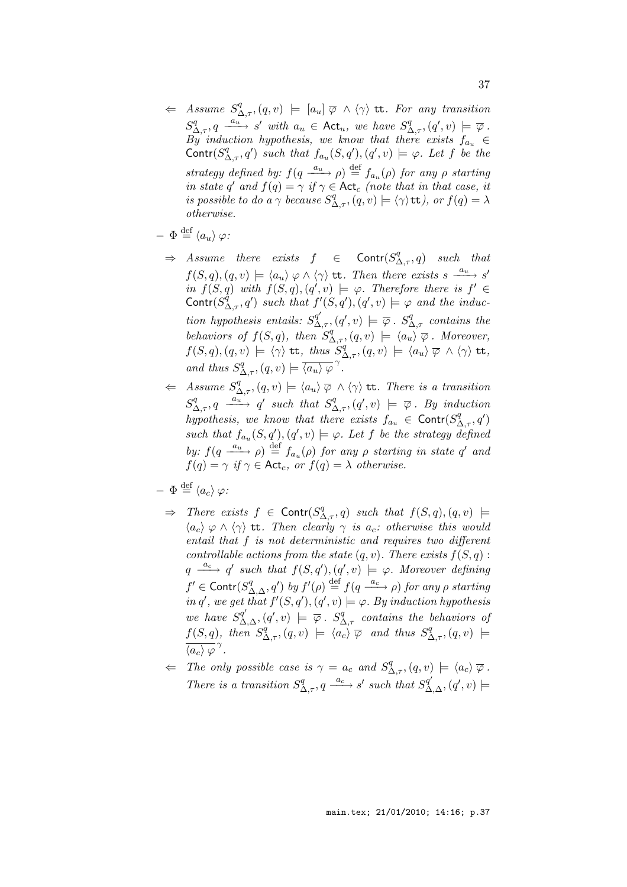$\Leftarrow$  Assume  $S^q_{\Delta,\tau}$ ,  $(q, v) \models [a_u] \ \overline{\varphi} \ \wedge \ \langle \gamma \rangle$  tt. For any transition  $S^q_{\Delta,\tau}, q \stackrel{a_u}{\longrightarrow} s'$  with  $a_u \in \text{Act}_u$ , we have  $S^q_{\Delta,\tau}, (q', v) \models \overline{\varphi}$ .  $\overrightarrow{By}$  induction hypothesis, we know that there exists  $f_{a_n} \in$ Contr $(S^q_{\Delta,\tau}, q')$  such that  $f_{a_u}(S, q'), (q', v) \models \varphi$ . Let f be the strategy defined by:  $f(q \xrightarrow{a_u} \rho) \stackrel{\text{def}}{=} f_{a_u}(\rho)$  for any  $\rho$  starting in state q' and  $f(q) = \gamma$  if  $\gamma \in \text{Act}_c$  (note that in that case, it is possible to do a  $\gamma$  because  $S^q_{\Delta,\tau}$ ,  $(q, v) \models \langle \gamma \rangle$ tt), or  $f(q) = \lambda$ otherwise.

$$
- \Phi \stackrel{\text{def}}{=} \langle a_u \rangle \varphi:
$$

- $\Rightarrow$  Assume there exists  $f \in$  Contr $(S^q_{\Delta,\tau}, q)$  such that  $f(S,q), (q, v) \models \langle a_u \rangle \varphi \wedge \langle \gamma \rangle$  tt. Then there exists  $s \xrightarrow{a_u} s'$ in  $f(S,q)$  with  $f(S,q),(q',v) \models \varphi$ . Therefore there is  $f' \in$ Contr $(S_{\Delta,\tau}^{\tilde{q}},q')$  such that  $f'(S,q'),(q',v) \models \varphi$  and the induction hypothesis entails:  $S^{q'}_{\Delta,\tau},(q',v) \models \overline{\varphi}$ .  $S^{q}_{\Delta,\tau}$  contains the behaviors of  $f(S,q)$ , then  $S^q_{\Delta,\tau}$ ,  $(q,v) \models \langle a_u \rangle \overline{\varphi}$ . Moreover,  $f(S,q), (q, v) \models \langle \gamma \rangle$  tt, thus  $S_{\Delta, \tau}^q, (q, v) \models \langle a_u \rangle \ \overline{\varphi} \ \wedge \langle \gamma \rangle$  tt, and thus  $S^q_{\Delta,\tau}$ ,  $(q, v) \models \overline{\langle a_u \rangle \varphi}^{\gamma}$ .
- $\Leftarrow$  Assume  $S^q_{\Delta,\tau}$ ,  $(q, v) \models \langle a_u \rangle \ \overline{\varphi} \land \langle \gamma \rangle$  tt. There is a transition  $S^q_{\Delta,\tau}, q \xrightarrow{a_u} q'$  such that  $S^q_{\Delta,\tau}, (q', v) \models \overline{\varphi}$ . By induction hypothesis, we know that there exists  $f_{a_u} \in \text{Contr}(S^q_{\Delta,\tau}, q')$ such that  $f_{a_u}(S,q'),(q',v) \models \varphi$ . Let f be the strategy defined by:  $f(q \xrightarrow{a_u} \rho) \stackrel{\text{def}}{=} f_{a_u}(\rho)$  for any  $\rho$  starting in state q' and  $f(q) = \gamma$  if  $\gamma \in \text{Act}_c$ , or  $f(q) = \lambda$  otherwise.

$$
- \Phi \stackrel{\text{def}}{=} \langle a_c \rangle \varphi:
$$

- $\Rightarrow$  There exists  $f \in$  Contr $(S_{\Delta,\tau}^q, q)$  such that  $f(S, q), (q, v) \models$  $\langle a_c \rangle \varphi \wedge \langle \gamma \rangle$  tt. Then clearly  $\gamma$  is  $a_c$ : otherwise this would entail that f is not deterministic and requires two different controllable actions from the state  $(q, v)$ . There exists  $f(S, q)$ :  $q \stackrel{a_c}{\longrightarrow} q'$  such that  $f(S,q'), (q', v) \models \varphi$ . Moreover defining  $f'\in \textsf{Contr}(S^q_{\Delta,\Delta},q')$  by  $f'(\rho)\stackrel{{\rm def}}{=} f(q\stackrel{a_c}{\longrightarrow}\rho)$  for any  $\rho$  starting in q', we get that  $f'(S, q'), (q', v) \models \varphi$ . By induction hypothesis we have  $S^{q'}_{\Delta,\Delta}$ ,  $(q', v) \models \overline{\varphi}$ .  $S^{q}_{\Delta,\tau}$  contains the behaviors of  $f(S,q)$ , then  $S^q_{\Delta,\tau}$ ,  $(q, v) \models \langle a_c \rangle \overline{\varphi}$  and thus  $S^q_{\Delta,\tau}$ ,  $(q, v) \models$  $\overline{\langle a_c \rangle \varphi}^{\gamma}$ .
- $\Leftarrow$  The only possible case is  $\gamma = a_c$  and  $S^q_{\Delta,\tau}$ ,  $(q, v) \models \langle a_c \rangle \overline{\varphi}$ . There is a transition  $S^q_{\Delta,\tau}$ ,  $q \xrightarrow{a_c} s'$  such that  $S^{q'}_{\Delta,\Delta}$ ,  $(q', v) \models$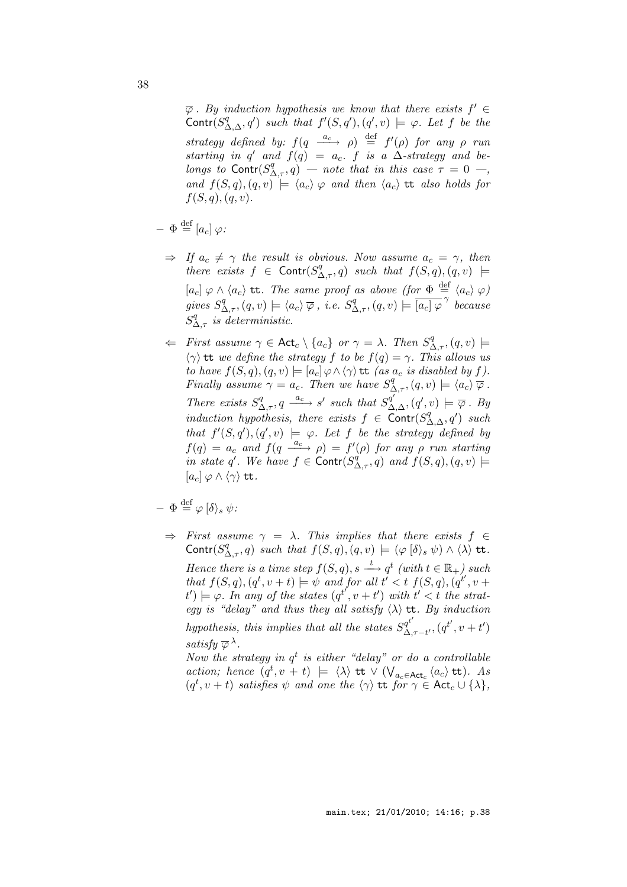$\overline{\varphi}$ . By induction hypothesis we know that there exists  $f' \in$ Contr $(S^q_{\Delta,\Delta}, q')$  such that  $f'(S, q'), (q', v) \models \varphi$ . Let f be the strategy defined by:  $f(q \xrightarrow{a_c} \rho) \stackrel{\text{def}}{=} f'(\rho)$  for any  $\rho$  run starting in q' and  $f(q) = a_c$ . f is a  $\Delta$ -strategy and belongs to Contr $(S^q_{\Delta,\tau}, q)$  – note that in this case  $\tau = 0$  –, and  $f(S, q), (q, v) \models \langle a_c \rangle \varphi$  and then  $\langle a_c \rangle$  tt also holds for  $f(S, q), (q, v).$ 

$$
- \Phi \stackrel{\text{def}}{=} [a_c] \varphi:
$$

- $\Rightarrow$  If  $a_c \neq \gamma$  the result is obvious. Now assume  $a_c = \gamma$ , then there exists  $f \in \text{Contr}(S^q_{\Delta,\tau},q)$  such that  $f(S,q),(q,v) \models$  $[a_c] \varphi \wedge \langle a_c \rangle$  tt. The same proof as above (for  $\Phi \stackrel{\text{def}}{=} \langle a_c \rangle \varphi$ ) gives  $S^q_{\Delta,\tau}$ ,  $(q, v) \models \langle a_c \rangle \overline{\varphi}$ , i.e.  $S^q_{\Delta,\tau}$ ,  $(q, v) \models \overline{[a_c] \varphi}^{\gamma}$  because  $S^q_{\Delta,\tau}$  is deterministic.
- $\Leftarrow$  First assume  $\gamma \in \text{Act}_c \setminus \{a_c\}$  or  $\gamma = \lambda$ . Then  $S^q_{\Delta,\tau}$ ,  $(q, v) \models$  $\langle \gamma \rangle$  tt we define the strategy f to be  $f(q) = \gamma$ . This allows us to have  $f(S, q), (q, v) \models [a_c] \varphi \land \langle \gamma \rangle$  tt (as  $a_c$  is disabled by f). Finally assume  $\gamma = a_c$ . Then we have  $S^q_{\Delta,\tau}$ ,  $(q, v) \models \langle a_c \rangle \overline{\varphi}$ . There exists  $S^q_{\Delta,\tau}$ ,  $q \xrightarrow{a_c} s'$  such that  $S^{q'}_{\Delta,\Delta}$ ,  $(q', v) \models \overline{\varphi}$ . By induction hypothesis, there exists  $f \in \overline{Contr}(S^q_{\Delta,\Delta}, q')$  such that  $f'(S, q'), (q', v) \models \varphi$ . Let f be the strategy defined by  $f(q) = a_c$  and  $f(q \xrightarrow{a_c} \rho) = f'(\rho)$  for any  $\rho$  run starting in state q'. We have  $f \in \text{Contr}(S^q_{\Delta,\tau},q)$  and  $f(S,q),(q,v) \models$  $[a_c] \varphi \wedge \langle \gamma \rangle$  tt.

$$
- \Phi \stackrel{\text{def}}{=} \varphi \, [\delta \rangle_s \, \psi
$$

 $\Rightarrow$  First assume  $\gamma = \lambda$ . This implies that there exists  $f \in$ Contr $(S^q_{\Delta,\tau}, q)$  such that  $f(S,q), (q, v) \models (\varphi \,[\delta \rangle_s \, \psi) \land \langle \lambda \rangle$  tt. Hence there is a time step  $f(S,q)$ ,  $s \stackrel{t}{\longrightarrow} q^t$  (with  $t \in \mathbb{R}_+$ ) such that  $f(S,q)$ ,  $(q^t, v+t) \models \psi$  and for all  $t' < t$   $f(S,q)$ ,  $(q^{t'}, v +$  $(t')\models \varphi$ . In any of the states  $(q^{t'}, v + t')$  with  $t' < t$  the strategy is "delay" and thus they all satisfy  $\langle \lambda \rangle$  tt. By induction hypothesis, this implies that all the states  $S_{\Lambda}^{q^{t'}}$  $\Delta^{q^{t'}}_{\Delta,\tau-t'},(q^{t'},v+t')$ satisfy  $\overline{\varphi} \lambda$ . Now the strategy in  $q^t$  is either "delay" or do a controllable

action; hence  $(q^t, v + t) \models \langle \lambda \rangle$  tt  $\vee$   $(\bigvee_{a_c \in \mathsf{Act}_c} \langle a_c \rangle$  tt). As  $(q^t, v + t)$  satisfies  $\psi$  and one the  $\langle \gamma \rangle$  tt for  $\gamma \in \text{Act}_c \cup \{ \lambda \},$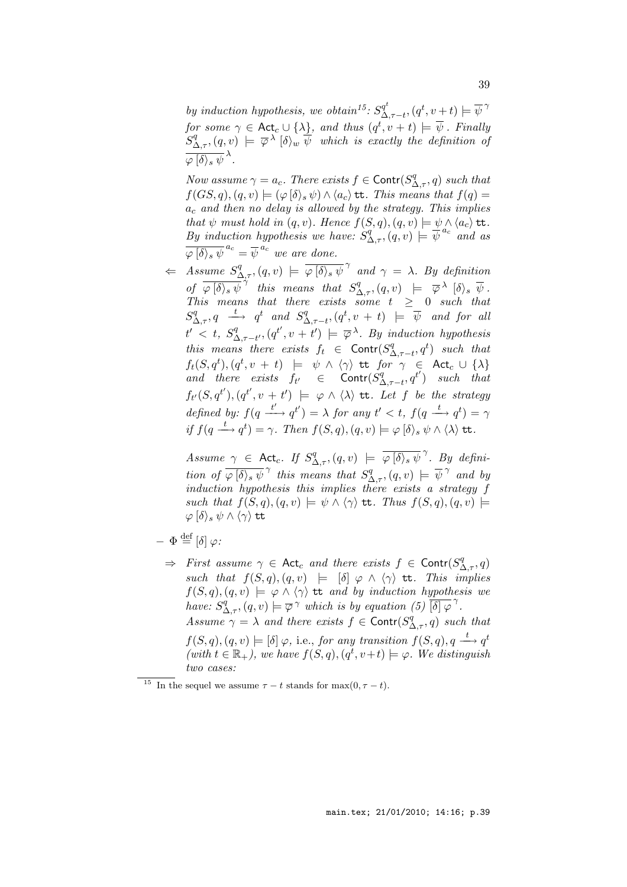by induction hypothesis, we obtain<sup>15</sup>:  $S^{q^t}_{\Delta}$  $\mathcal{A}_{\Delta,\tau-t}^{q^t},(q^t,v+t)\models \overline{\psi}^{\gamma}$ for some  $\gamma \in \mathsf{Act}_c \cup \{\lambda\}$ , and thus  $(q^t,v+t) \models \overline{\psi}$  . Finally  $S^q_{\Delta,\tau} , (q,v) \models \overline{\varphi}^{\lambda} [\delta \rangle_w \overline{\psi}$  which is exactly the definition of  $\overline{\varphi\left[\delta\right\rangle_{s}\psi}^{\lambda}.$ 

Now assume  $\gamma = a_c$ . There exists  $f \in \text{Contr}(S^q_{\Delta,\tau}, q)$  such that  $f(GS, q), (q, v) \models (\varphi | \delta \rangle_s \psi) \wedge \langle a_c \rangle$  tt. This means that  $f(q) =$  $a_c$  and then no delay is allowed by the strategy. This implies that  $\psi$  must hold in  $(q, v)$ . Hence  $f(S, q), (q, v) \models \psi \wedge \langle a_c \rangle$  tt. By induction hypothesis we have:  $S^q_{\Delta,\tau}$ ,  $(q, v) \models \overline{\psi}^{a_c}$  and as  $\overline{\varphi\left[\delta\right\rangle_{s}\psi}^{\,a_{c}}=\overline{\psi}^{\,a_{c}}$  we are done.

 $\Leftarrow$  Assume  $S^q_{\Delta,\tau}$ ,  $(q, v) \models \overline{\varphi(\delta)_s \psi}^\gamma$  and  $\gamma = \lambda$ . By definition of  $\overline{\varphi(\delta)}$ ,  $\overline{\psi}^{\gamma}$  this means that  $S^q_{\Delta,\tau},(q, v) \models \overline{\varphi}^{\lambda}$   $[\delta\rangle$ ,  $\overline{\psi}$ . This means that there exists some  $t \geq 0$  such that  $S^q_{\Delta,\tau},q \xrightarrow{t} q^t \text{ and } S^q_{\Delta}$  $\mathcal{L}_{\Delta,\tau-t}^{q},(q^t,v \ + \ t) \ \ \models \ \ \overline{\psi} \ \ \textit{ and for all}$  $t'$  < t,  $S^q_{\Lambda}$  $\mathcal{L}_{\Delta,\tau-t'}^q, (q^{t'}, v + t') \models \overline{\varphi}^{\lambda}$ . By induction hypothesis this means there exists  $f_t \in \text{Contr}(S^q_{\Delta})$  $\Delta_{,\tau-t}^q, q^t$  such that  $f_t(S,q^t), (q^t,v \ + \ t) \ \ \models \ \ \psi \ \wedge \ \langle \gamma \rangle \ \ \texttt{tt} \ \ for \ \ \gamma \ \ \in \ \ \mathsf{Act}_c \ \cup \ \{ \lambda \}$ and there exists  $f_t$   $\in$  Contr $(S_A^q)$  $\Delta_{\tau-t}^{(q)}$ ,  $q^{t'}$ ) such that  $f_{t'}(S,q^{t'}), (q^{t'}, v + t') \models \varphi \land \langle \lambda \rangle$  tt. Let f be the strategy defined by:  $f(q \stackrel{t'}{\longrightarrow} q^{t'}) = \lambda$  for any  $t' < t$ ,  $f(q \stackrel{t}{\longrightarrow} q^{t}) = \gamma$ if  $f(q \stackrel{t}{\longrightarrow} q^t) = \gamma$ . Then  $f(S, q), (q, v) \models \varphi [\delta \rangle_s \psi \wedge \langle \lambda \rangle \text{tt}.$ 

Assume  $\gamma$   $\in$  Act<sub>c</sub>. If  $S^q_{\Delta,\tau}$ ,  $(q, v)$   $\models \overline{\varphi(\delta)}_s \overline{\psi}^{\gamma}$ . By definition of  $\overline{\varphi(\delta)}_s \overline{\psi}^{\gamma}$  this means that  $S^q_{\Delta,\tau}$ ,  $(q, v) \models \overline{\psi}^{\gamma}$  and by induction hypothesis this implies there exists a strategy f such that  $f(S, q), (q, v) \models \psi \land \langle \gamma \rangle$  tt. Thus  $f(S, q), (q, v) \models$  $\varphi$   $\langle \delta \rangle_s \psi \wedge \langle \gamma \rangle$  tt

- $\Phi \stackrel{\text{def}}{=} [\delta] \varphi$ :
	- $\Rightarrow$  First assume  $\gamma \in \text{Act}_c$  and there exists  $f \in \text{Contr}(S^q_{\Delta,\tau},q)$ such that  $f(S,q),(q,v) \models [\delta] \varphi \wedge \langle \gamma \rangle$  tt. This implies  $f(S,q),(q,v) \models \varphi \land \langle \gamma \rangle$  tt and by induction hypothesis we have:  $S^q_{\Delta,\tau}$ ,  $(q, v) \models \overline{\varphi}^{\gamma}$  which is by equation  $(5)$   $\overline{\delta}^{\gamma}$ . Assume  $\gamma = \lambda$  and there exists  $f \in \text{Contr}(S^q_{\Delta,\tau},q)$  such that  $f(S,q), (q, v) \models [\delta] \varphi$ , i.e., for any transition  $f(S,q), q \stackrel{t}{\longrightarrow} q^t$ (with  $t \in \mathbb{R}_+$ ), we have  $f(S, q), (q^t, v+t) \models \varphi$ . We distinguish two cases:

<sup>&</sup>lt;sup>15</sup> In the sequel we assume  $\tau - t$  stands for max $(0, \tau - t)$ .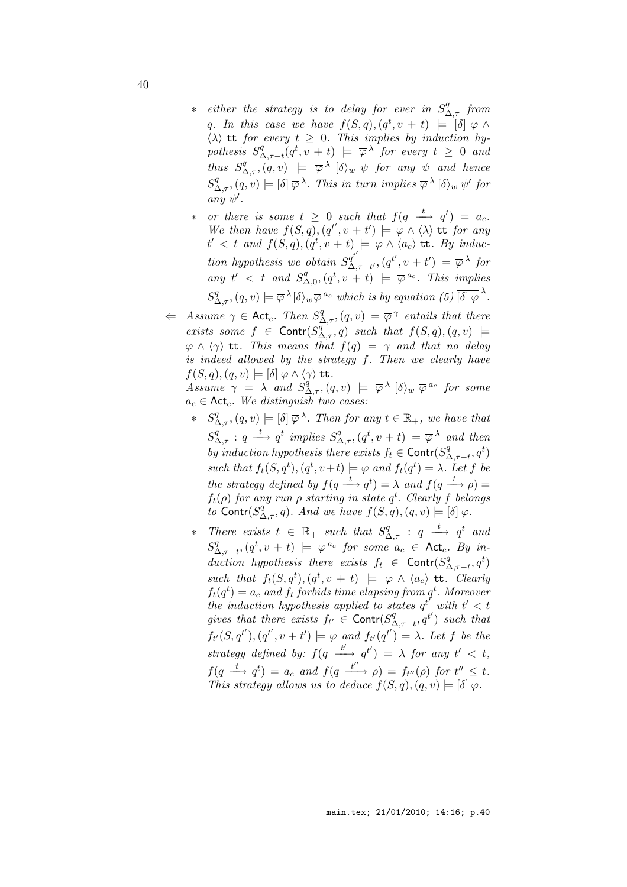- ∗ either the strategy is to delay for ever in  $S^q_{\Delta, \tau}$  from q. In this case we have  $f(S,q)$ ,  $(q^t, v + t) \models [\delta] \varphi \wedge$  $\langle \lambda \rangle$  tt for every  $t \geq 0$ . This implies by induction hy $pothesis$   $S^q_A$  $\mathcal{L}_{\Delta,\tau-t}^q(q^t,v+t) \models \overline{\varphi}^{\lambda}$  for every  $t \geq 0$  and thus  $S^q_{\Delta,\tau}$ ,  $(q, v) \models \overline{\varphi}^{\lambda}$  [ $\delta$ )<sub>w</sub>  $\psi$  for any  $\psi$  and hence  $S^q_{\Delta,\tau}, (q, v) \models [\delta] \overline{\varphi}^{\lambda}$ . This in turn implies  $\overline{\varphi}^{\lambda} [\delta \rangle_w \psi'$  for any  $\psi'$ .
- ∗ or there is some  $t \geq 0$  such that  $f(q \stackrel{t}{\longrightarrow} q^t) = a_c$ . We then have  $f(S,q)$ ,  $(q^{t'}, v + t') \models \varphi \wedge \langle \lambda \rangle$  is for any  $t' < t$  and  $f(S,q)$ ,  $(q^t, v + t) \models \varphi \land \langle a_c \rangle$  tt. By induction hypothesis we obtain  $S_\Delta^{q^{t'}}$  $\mathcal{A}_{\Delta,\tau-t'}^{q^t'}$ ,  $(q^{t'},v+t')\models \overline{\varphi}^{\lambda}$  for any  $t' < t$  and  $S^q$  $\mathcal{L}_{\Delta,0}^{q},(q^t,v+t) \models \overline{\varphi}^{a_c}$ . This implies  $S^q_{\Delta,\tau}, (q, v) \models \overline{\varphi}^{\lambda}[\delta\rangle_w \overline{\varphi}^{a_c}$  which is by equation (5)  $\overline{[\delta]\varphi}^{\lambda}$ .
- $\Leftarrow$  Assume  $\gamma \in \text{Act}_c$ . Then  $S^q_{\Delta,\tau}$ ,  $(q, v) \models \overline{\varphi}^{\gamma}$  entails that there exists some  $f \in \text{Contr}(S_{\Delta,\tau}^{\overline{q}},q)$  such that  $f(S,q),(q,v) \models$  $\varphi \wedge \langle \gamma \rangle$  tt. This means that  $f(q) = \gamma$  and that no delay is indeed allowed by the strategy f. Then we clearly have  $f(S,q),(q,v) \models [\delta] \varphi \wedge \langle \gamma \rangle$  tt.

Assume  $\gamma = \lambda$  and  $S_{\Delta,\tau}^{q}$ ,  $(q, v) \models \overline{\varphi}^{\lambda}$  [ $\delta$ )<sub>w</sub>  $\overline{\varphi}^{a_c}$  for some  $a_c \in \mathsf{Act}_c$ . We distinguish two cases:

- \*  $S^q_{\Delta,\tau}$ ,  $(q, v) \models [\delta] \overline{\varphi}^{\lambda}$ . Then for any  $t \in \mathbb{R}_+$ , we have that  $S^q_{\Delta,\tau}: q \stackrel{t}{\longrightarrow} q^t$  implies  $S^q_{\Delta,\tau}, (q^t, v+t) \models \overline{\varphi}^{\lambda}$  and then by induction hypothesis there exists  $f_t \in \text{Contr}(S^q_{\Delta})$  $\Delta_{,\tau-t}^{q},q^{t}$ such that  $f_t(S, q^t), (q^t, v+t) \models \varphi$  and  $f_t(q^t) = \lambda$ . Let f be the strategy defined by  $f(q \stackrel{t}{\longrightarrow} q^t) = \lambda$  and  $f(q \stackrel{t}{\longrightarrow} \rho) =$  $f_t(\rho)$  for any run  $\rho$  starting in state  $q^t$ . Clearly f belongs to Contr $(S^q_{\Delta,\tau}, q)$ . And we have  $f(S, q), (q, v) \models [\delta] \varphi$ .
- ∗ There exists  $t \in \mathbb{R}_+$  such that  $S^q_{\Delta,\tau}$  :  $q \stackrel{t}{\longrightarrow} q^t$  and  $S^q_\wedge$  $\mathcal{L}_{\Delta,\tau-t}^{q},(q^t,v+t) \models \overline{\varphi}^{\,a_c}$  for some  $a_c \in \mathsf{Act}_c$ . By induction hypothesis there exists  $f_t \in \text{Contr}(S^q_\Delta)$  $\Delta_{,\tau-t}^{q},q^{t}$ such that  $f_t(S, q^t), (q^t, v + t) \models \varphi \land \langle a_c \rangle$  tt. Clearly  $f_t(q^t) = a_c$  and  $f_t$  forbids time elapsing from  $q^t$ . Moreover the induction hypothesis applied to states  $q^{t'}$  with  $t' < t$ gives that there exists  $f_{t'} \in \text{Contr}(S^q_{\Delta})$  $\Lambda^{q}_{\Lambda,\tau-t}$ ,  $q^{t'}$ ) such that  $f_{t'}(S,q^{t'}), (q^{t'}, v+t') \models \varphi \text{ and } f_{t'}(q^{t'}) = \lambda.$  Let f be the strategy defined by:  $f(q \xrightarrow{t'} q^{t'}) = \lambda$  for any  $t' < t$ ,  $f(q \stackrel{t}{\longrightarrow} q^t) = a_c$  and  $f(q \stackrel{t''}{\longrightarrow} \rho) = f_{t''}(\rho)$  for  $t'' \leq t$ . This strategy allows us to deduce  $f(S, q), (q, v) \models [\delta] \varphi$ .